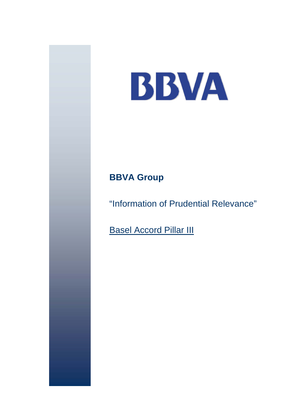

# **BBVA Group**

"Information of Prudential Relevance"

**Basel Accord Pillar III**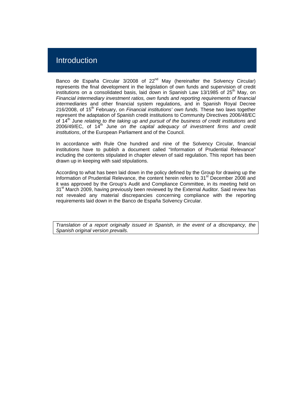## Introduction

Banco de España Circular 3/2008 of 22<sup>nd</sup> May (hereinafter the Solvency Circular) represents the final development in the legislation of own funds and supervision of credit institutions on a consolidated basis, laid down in Spanish Law 13/1985 of  $25<sup>th</sup>$  Mav, on *Financial intermediary investment ratios, own funds and reporting requirements of financial intermediaries* and other financial system regulations, and in Spanish Royal Decree 216/2008, of 15<sup>th</sup> February, on *Financial institutions' own funds*. These two laws together represent the adaptation of Spanish credit institutions to Community Directives 2006/48/EC of 14<sup>th</sup> June *relating to the taking up and pursuit of the business of credit institutions* and 2006/49/EC, of 14<sup>th</sup> June on the capital adequacy of investment firms and credit *institutions*, of the European Parliament and of the Council.

In accordance with Rule One hundred and nine of the Solvency Circular, financial institutions have to publish a document called "Information of Prudential Relevance" including the contents stipulated in chapter eleven of said regulation. This report has been drawn up in keeping with said stipulations.

According to what has been laid down in the policy defined by the Group for drawing up the Information of Prudential Relevance, the content herein refers to 31<sup>st</sup> December 2008 and it was approved by the Group's Audit and Compliance Committee, in its meeting held on 31<sup>st</sup> March 2009, having previously been reviewed by the External Auditor. Said review has not revealed any material discrepancies concerning compliance with the reporting requirements laid down in the Banco de España Solvency Circular.

*Translation of a report originally issued in Spanish, in the event of a discrepancy, the Spanish original version prevails.*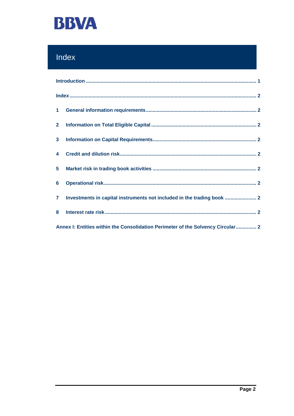

# Index

| 2 <sub>2</sub> |                                                                                 |  |
|----------------|---------------------------------------------------------------------------------|--|
|                |                                                                                 |  |
|                |                                                                                 |  |
|                |                                                                                 |  |
| 6 <sup>1</sup> |                                                                                 |  |
|                | 7 Investments in capital instruments not included in the trading book  2        |  |
| 8              |                                                                                 |  |
|                | Annex I: Entities within the Consolidation Perimeter of the Solvency Circular 2 |  |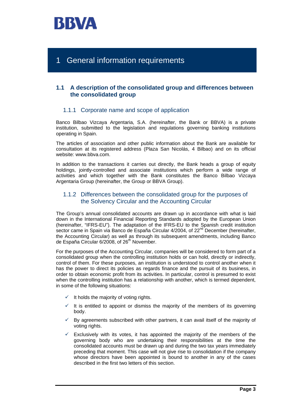

## 1 General information requirements

### **1.1 A description of the consolidated group and differences between the consolidated group**

### 1.1.1 Corporate name and scope of application

Banco Bilbao Vizcaya Argentaria, S.A. (hereinafter, the Bank or BBVA) is a private institution, submitted to the legislation and regulations governing banking institutions operating in Spain.

The articles of association and other public information about the Bank are available for consultation at its registered address (Plaza San Nicolás, 4 Bilbao) and on its official website: www.bbva.com.

In addition to the transactions it carries out directly, the Bank heads a group of equity holdings, jointly-controlled and associate institutions which perform a wide range of activities and which together with the Bank constitutes the Banco Bilbao Vizcaya Argentaria Group (hereinafter, the Group or BBVA Group).

### 1.1.2 Differences between the consolidated group for the purposes of the Solvency Circular and the Accounting Circular

The Group's annual consolidated accounts are drawn up in accordance with what is laid down in the International Financial Reporting Standards adopted by the European Union (hereinafter, "IFRS-EU"). The adaptation of the IFRS-EU to the Spanish credit institution sector came in Spain via Banco de España Circular 4/2004, of 22<sup>nd D</sup>ecember (hereinafter, the Accounting Circular) as well as through its subsequent amendments, including Banco de España Circular 6/2008, of 26<sup>th</sup> November.

For the purposes of the Accounting Circular, companies will be considered to form part of a consolidated group when the controlling institution holds or can hold, directly or indirectly, control of them. For these purposes, an institution is understood to control another when it has the power to direct its policies as regards finance and the pursuit of its business, in order to obtain economic profit from its activities. In particular, control is presumed to exist when the controlling institution has a relationship with another, which is termed dependent, in some of the following situations:

- $\checkmark$  It holds the majority of voting rights.
- $\checkmark$  It is entitled to appoint or dismiss the majority of the members of its governing body.
- $\checkmark$  By agreements subscribed with other partners, it can avail itself of the majority of voting rights.
- Exclusively with its votes, it has appointed the majority of the members of the governing body who are undertaking their responsibilities at the time the consolidated accounts must be drawn up and during the two tax years immediately preceding that moment. This case will not give rise to consolidation if the company whose directors have been appointed is bound to another in any of the cases described in the first two letters of this section.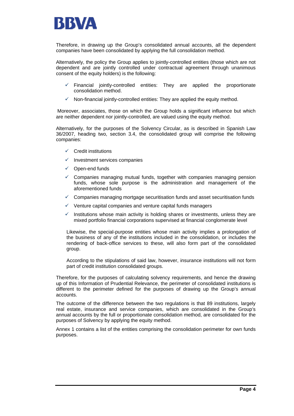

Therefore, in drawing up the Group's consolidated annual accounts, all the dependent companies have been consolidated by applying the full consolidation method.

Alternatively, the policy the Group applies to jointly-controlled entities (those which are not dependent and are jointly controlled under contractual agreement through unanimous consent of the equity holders) is the following:

- 9 Financial jointly-controlled entities: They are applied the proportionate consolidation method.
- Non-financial jointly-controlled entities: They are applied the equity method.

 Moreover, associates, those on which the Group holds a significant influence but which are neither dependent nor jointly-controlled, are valued using the equity method.

Alternatively, for the purposes of the Solvency Circular, as is described in Spanish Law 36/2007, heading two, section 3.4, the consolidated group will comprise the following companies:

- $\checkmark$  Credit institutions
- Investment services companies
- Open-end funds
- $\checkmark$  Companies managing mutual funds, together with companies managing pension funds, whose sole purpose is the administration and management of the aforementioned funds
- $\checkmark$  Companies managing mortgage securitisation funds and asset securitisation funds
- Venture capital companies and venture capital funds managers
- $\checkmark$  Institutions whose main activity is holding shares or investments, unless they are mixed portfolio financial corporations supervised at financial conglomerate level

Likewise, the special-purpose entities whose main activity implies a prolongation of the business of any of the institutions included in the consolidation, or includes the rendering of back-office services to these, will also form part of the consolidated group.

According to the stipulations of said law, however, insurance institutions will not form part of credit institution consolidated groups.

Therefore, for the purposes of calculating solvency requirements, and hence the drawing up of this Information of Prudential Relevance, the perimeter of consolidated institutions is different to the perimeter defined for the purposes of drawing up the Group's annual accounts.

The outcome of the difference between the two regulations is that 89 institutions, largely real estate, insurance and service companies, which are consolidated in the Group's annual accounts by the full or proportionate consolidation method, are consolidated for the purposes of Solvency by applying the equity method.

Annex 1 contains a list of the entities comprising the consolidation perimeter for own funds purposes.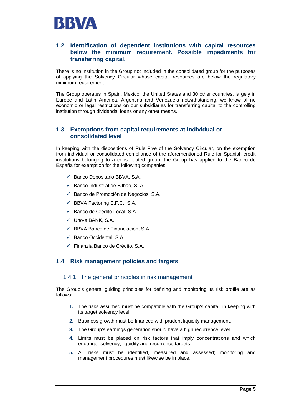

### **1.2 Identification of dependent institutions with capital resources below the minimum requirement. Possible impediments for transferring capital.**

There is no institution in the Group not included in the consolidated group for the purposes of applying the Solvency Circular whose capital resources are below the regulatory minimum requirement.

The Group operates in Spain, Mexico, the United States and 30 other countries, largely in Europe and Latin America. Argentina and Venezuela notwithstanding, we know of no economic or legal restrictions on our subsidiaries for transferring capital to the controlling institution through dividends, loans or any other means.

### **1.3 Exemptions from capital requirements at individual or consolidated level**

In keeping with the dispositions of Rule Five of the Solvency Circular, on the exemption from individual or consolidated compliance of the aforementioned Rule for Spanish credit institutions belonging to a consolidated group, the Group has applied to the Banco de España for exemption for the following companies:

- $\checkmark$  Banco Depositario BBVA, S.A.
- $\checkmark$  Banco Industrial de Bilbao, S. A.
- $\checkmark$  Banco de Promoción de Negocios, S.A.
- $\checkmark$  BBVA Factoring E.F.C., S.A.
- $\checkmark$  Banco de Crédito Local, S.A.
- $\checkmark$  Uno-e BANK, S.A.
- $\checkmark$  BBVA Banco de Financiación, S.A.
- $\checkmark$  Banco Occidental, S.A.
- $\checkmark$  Finanzia Banco de Crédito, S.A.

### **1.4 Risk management policies and targets**

### 1.4.1 The general principles in risk management

The Group's general guiding principles for defining and monitoring its risk profile are as follows:

- **1.** The risks assumed must be compatible with the Group's capital, in keeping with its target solvency level.
- **2.** Business growth must be financed with prudent liquidity management.
- **3.** The Group's earnings generation should have a high recurrence level.
- **4.** Limits must be placed on risk factors that imply concentrations and which endanger solvency, liquidity and recurrence targets.
- **5.** All risks must be identified, measured and assessed; monitoring and management procedures must likewise be in place.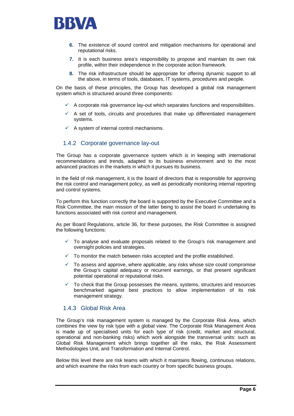

- **6.** The existence of sound control and mitigation mechanisms for operational and reputational risks.
- **7.** It is each business area's responsibility to propose and maintain its own risk profile, within their independence in the corporate action framework.
- **8.** The risk infrastructure should be appropriate for offering dynamic support to all the above, in terms of tools, databases, IT systems, procedures and people.

On the basis of these principles, the Group has developed a global risk management system which is structured around three components:

- $\checkmark$  A corporate risk governance lay-out which separates functions and responsibilities.
- $\checkmark$  A set of tools, circuits and procedures that make up differentiated management systems.
- $\checkmark$  A system of internal control mechanisms.

### 1.4.2 Corporate governance lay-out

The Group has a corporate governance system which is in keeping with international recommendations and trends, adapted to its business environment and to the most advanced practices in the markets in which it pursues its business.

In the field of risk management, it is the board of directors that is responsible for approving the risk control and management policy, as well as periodically monitoring internal reporting and control systems.

To perform this function correctly the board is supported by the Executive Committee and a Risk Committee, the main mission of the latter being to assist the board in undertaking its functions associated with risk control and management.

As per Board Regulations, article 36, for these purposes, the Risk Committee is assigned the following functions:

- $\checkmark$  To analyse and evaluate proposals related to the Group's risk management and oversight policies and strategies.
- $\checkmark$  To monitor the match between risks accepted and the profile established.
- $\checkmark$  To assess and approve, where applicable, any risks whose size could compromise the Group's capital adequacy or recurrent earnings, or that present significant potential operational or reputational risks.
- 9 To check that the Group possesses the means, systems, structures and resources benchmarked against best practices to allow implementation of its risk management strategy.

### 1.4.3 Global Risk Area

The Group's risk management system is managed by the Corporate Risk Area, which combines the view by risk type with a global view. The Corporate Risk Management Area is made up of specialised units for each type of risk (credit, market and structural, operational and non-banking risks) which work alongside the transversal units: such as Global Risk Management which brings together all the risks, the Risk Assessment Methodologies Unit, and Transformation and Internal Control.

Below this level there are risk teams with which it maintains flowing, continuous relations, and which examine the risks from each country or from specific business groups.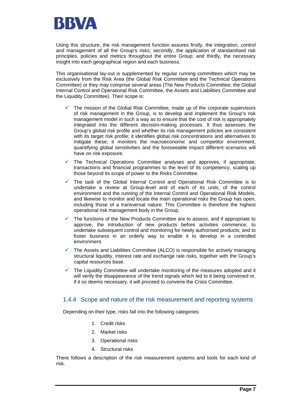

Using this structure, the risk management function assures firstly, the integration, control and management of all the Group's risks; secondly, the application of standardised risk principles, policies and metrics throughout the entire Group; and thirdly, the necessary insight into each geographical region and each business.

This organisational lay-out is supplemented by regular running committees which may be exclusively from the Risk Area (the Global Risk Committee and the Technical Operations Committee) or they may comprise several areas (The New Products Committee; the Global Internal Control and Operational Risk Committee, the Assets and Liabilities Committee and the Liquidity Committee). Their scope is:

- The mission of the Global Risk Committee, made up of the corporate supervisors of risk management in the Group, is to develop and implement the Group's risk management model in such a way as to ensure that the cost of risk is appropriately integrated into the different decision-making processes. It thus assesses the Group's global risk profile and whether its risk management policies are consistent with its target risk profile; it identifies global risk concentrations and alternatives to mitigate these; it monitors the macroeconomic and competitor environment, quantifying global sensitivities and the foreseeable impact different scenarios will have on risk exposure.
- The Technical Operations Committee analyses and approves, if appropriate, transactions and financial programmes to the level of its competency, scaling up those beyond its scope of power to the Risks Committee.
- 9 The task of the Global Internal Control and Operational Risk Committee is to undertake a review at Group-level and of each of its units, of the control environment and the running of the Internal Control and Operational Risk Models, and likewise to monitor and locate the main operational risks the Group has open, including those of a transversal nature. This Committee is therefore the highest operational risk management body in the Group.
- The functions of the New Products Committee are to assess, and if appropriate to approve, the introduction of new products before activities commence; to undertake subsequent control and monitoring for newly authorised products; and to foster business in an orderly way to enable it to develop in a controlled environment.
- The Assets and Liabilities Committee (ALCO) is responsible for actively managing structural liquidity, interest rate and exchange rate risks, together with the Group's capital resources base.
- The Liquidity Committee will undertake monitoring of the measures adopted and it will verify the disappearance of the trend signals which led to it being convened or, if it so deems necessary, it will proceed to convene the Crisis Committee.

### 1.4.4 Scope and nature of the risk measurement and reporting systems

Depending on their type, risks fall into the following categories:

- 1. Credit risks
- 2. Market risks
- 3. Operational risks
- 4. Structural risks

There follows a description of the risk measurement systems and tools for each kind of risk.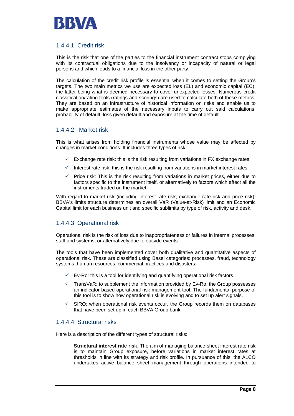

### 1.4.4.1 Credit risk

This is the risk that one of the parties to the financial instrument contract stops complying with its contractual obligations due to the insolvency or incapacity of natural or legal persons and which leads to a financial loss in the other party.

The calculation of the credit risk profile is essential when it comes to setting the Group's targets. The two main metrics we use are expected loss (EL) and economic capital (EC), the latter being what is deemed necessary to cover unexpected losses. Numerous credit classification/rating tools (ratings and scorings) are used to calculate both of these metrics. They are based on an infrastructure of historical information on risks and enable us to make appropriate estimates of the necessary inputs to carry out said calculations: probability of default, loss given default and exposure at the time of default.

### 1.4.4.2 Market risk

This is what arises from holding financial instruments whose value may be affected by changes in market conditions. It includes three types of risk:

- Exchange rate risk: this is the risk resulting from variations in FX exchange rates.
- Interest rate risk: this is the risk resulting from variations in market interest rates.
- $\checkmark$  Price risk: This is the risk resulting from variations in market prices, either due to factors specific to the instrument itself, or alternatively to factors which affect all the instruments traded on the market.

With regard to market risk (including interest rate risk, exchange rate risk and price risk), BBVA's limits structure determines an overall VaR (Value-at-Risk) limit and an Economic Capital limit for each business unit and specific sublimits by type of risk, activity and desk.

### 1.4.4.3 Operational risk

Operational risk is the risk of loss due to inappropriateness or failures in internal processes, staff and systems, or alternatively due to outside events.

The tools that have been implemented cover both qualitative and quantitative aspects of operational risk. These are classified using Basel categories: processes, fraud, technology systems, human resources, commercial practices and disasters:

- Ev-Ro: this is a tool for identifying and quantifying operational risk factors.
- $\checkmark$  TransVaR: to supplement the information provided by Ev-Ro, the Group possesses an indicator-based operational risk management tool. The fundamental purpose of this tool is to show how operational risk is evolving and to set up alert signals.
- SIRO: when operational risk events occur, the Group records them on databases that have been set up in each BBVA Group bank.

### 1.4.4.4 Structural risks

Here is a description of the different types of structural risks:

**Structural interest rate risk**. The aim of managing balance-sheet interest rate risk is to maintain Group exposure, before variations in market interest rates at thresholds in line with its strategy and risk profile. In pursuance of this, the ALCO undertakes active balance sheet management through operations intended to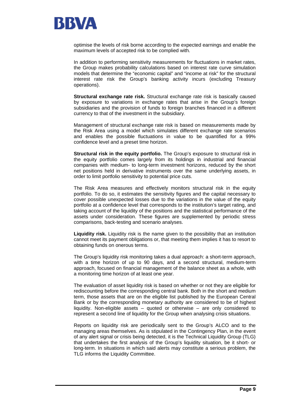

optimise the levels of risk borne according to the expected earnings and enable the maximum levels of accepted risk to be complied with.

In addition to performing sensitivity measurements for fluctuations in market rates, the Group makes probability calculations based on interest rate curve simulation models that determine the "economic capital" and "income at risk" for the structural interest rate risk the Group's banking activity incurs (excluding Treasury operations).

**Structural exchange rate risk.** Structural exchange rate risk is basically caused by exposure to variations in exchange rates that arise in the Group's foreign subsidiaries and the provision of funds to foreign branches financed in a different currency to that of the investment in the subsidiary.

Management of structural exchange rate risk is based on measurements made by the Risk Area using a model which simulates different exchange rate scenarios and enables the possible fluctuations in value to be quantified for a 99% confidence level and a preset time horizon.

**Structural risk in the equity portfolio.** The Group's exposure to structural risk in the equity portfolio comes largely from its holdings in industrial and financial companies with medium- to long-term investment horizons, reduced by the short net positions held in derivative instruments over the same underlying assets, in order to limit portfolio sensitivity to potential price cuts.

The Risk Area measures and effectively monitors structural risk in the equity portfolio. To do so, it estimates the sensitivity figures and the capital necessary to cover possible unexpected losses due to the variations in the value of the equity portfolio at a confidence level that corresponds to the institution's target rating, and taking account of the liquidity of the positions and the statistical performance of the assets under consideration. These figures are supplemented by periodic stress comparisons, back-testing and scenario analyses.

**Liquidity risk.** Liquidity risk is the name given to the possibility that an institution cannot meet its payment obligations or, that meeting them implies it has to resort to obtaining funds on onerous terms.

The Group's liquidity risk monitoring takes a dual approach: a short-term approach, with a time horizon of up to 90 days, and a second structural, medium-term approach, focused on financial management of the balance sheet as a whole, with a monitoring time horizon of at least one year.

The evaluation of asset liquidity risk is based on whether or not they are eligible for rediscounting before the corresponding central bank. Both in the short and medium term, those assets that are on the eligible list published by the European Central Bank or by the corresponding monetary authority are considered to be of highest liquidity. Non-eligible assets – quoted or otherwise – are only considered to represent a second line of liquidity for the Group when analysing crisis situations.

Reports on liquidity risk are periodically sent to the Group's ALCO and to the managing areas themselves. As is stipulated in the Contingency Plan, in the event of any alert signal or crisis being detected, it is the Technical Liquidity Group (TLG) that undertakes the first analysis of the Group's liquidity situation, be it short- or long-term. In situations in which said alerts may constitute a serious problem, the TLG informs the Liquidity Committee.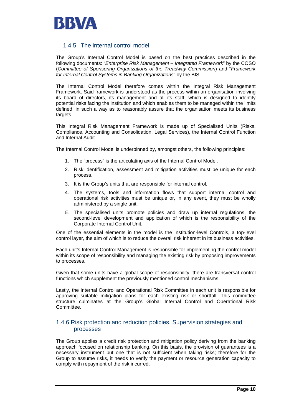

### 1.4.5 The internal control model

The Group's Internal Control Model is based on the best practices described in the following documents: "*Enterprise Risk Management – Integrated Framework*" by the COSO (*Committee of Sponsoring Organizations of the Treadway Commission*) and "*Framework for Internal Control Systems in Banking Organizations*" by the BIS.

The Internal Control Model therefore comes within the Integral Risk Management Framework. Said framework is understood as the process within an organisation involving its board of directors, its management and all its staff, which is designed to identify potential risks facing the institution and which enables them to be managed within the limits defined, in such a way as to reasonably assure that the organisation meets its business targets.

This Integral Risk Management Framework is made up of Specialised Units (Risks, Compliance, Accounting and Consolidation, Legal Services), the Internal Control Function and Internal Audit.

The Internal Control Model is underpinned by, amongst others, the following principles:

- 1. The "process" is the articulating axis of the Internal Control Model.
- 2. Risk identification, assessment and mitigation activities must be unique for each process.
- 3. It is the Group's units that are responsible for internal control.
- 4. The systems, tools and information flows that support internal control and operational risk activities must be unique or, in any event, they must be wholly administered by a single unit.
- *5.* The specialised units promote policies and draw up internal regulations, the second-level development and application of which is the responsibility of the Corporate Internal Control Unit.

One of the essential elements in the model is the Institution-level Controls, a top-level control layer, the aim of which is to reduce the overall risk inherent in its business activities.

Each unit's Internal Control Management is responsible for implementing the control model within its scope of responsibility and managing the existing risk by proposing improvements to processes.

Given that some units have a global scope of responsibility, there are transversal control functions which supplement the previously mentioned control mechanisms.

Lastly, the Internal Control and Operational Risk Committee in each unit is responsible for approving suitable mitigation plans for each existing risk or shortfall. This committee structure culminates at the Group's Global Internal Control and Operational Risk Committee.

### 1.4.6 Risk protection and reduction policies. Supervision strategies and processes

The Group applies a credit risk protection and mitigation policy deriving from the banking approach focused on relationship banking. On this basis, the provision of guarantees is a necessary instrument but one that is not sufficient when taking risks; therefore for the Group to assume risks, it needs to verify the payment or resource generation capacity to comply with repayment of the risk incurred.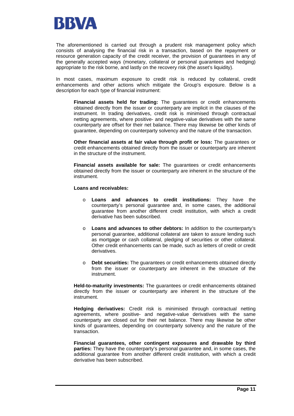

The aforementioned is carried out through a prudent risk management policy which consists of analysing the financial risk in a transaction, based on the repayment or resource generation capacity of the credit receiver, the provision of guarantees in any of the generally accepted ways (monetary, collateral or personal guarantees and hedging) appropriate to the risk borne, and lastly on the recovery risk (the asset's liquidity).

In most cases, maximum exposure to credit risk is reduced by collateral, credit enhancements and other actions which mitigate the Group's exposure. Below is a description for each type of financial instrument:

**Financial assets held for trading:** The guarantees or credit enhancements obtained directly from the issuer or counterparty are implicit in the clauses of the instrument. In trading derivatives, credit risk is minimised through contractual netting agreements, where positive- and negative-value derivatives with the same counterparty are offset for their net balance. There may likewise be other kinds of guarantee, depending on counterparty solvency and the nature of the transaction.

**Other financial assets at fair value through profit or loss:** The guarantees or credit enhancements obtained directly from the issuer or counterparty are inherent in the structure of the instrument.

**Financial assets available for sale:** The guarantees or credit enhancements obtained directly from the issuer or counterparty are inherent in the structure of the instrument.

#### **Loans and receivables:**

- o **Loans and advances to credit institutions:** They have the counterparty's personal guarantee and, in some cases, the additional guarantee from another different credit institution, with which a credit derivative has been subscribed.
- o **Loans and advances to other debtors:** In addition to the counterparty's personal guarantee, additional collateral are taken to assure lending such as mortgage or cash collateral, pledging of securities or other collateral. Other credit enhancements can be made, such as letters of credit or credit derivatives.
- o **Debt securities:** The guarantees or credit enhancements obtained directly from the issuer or counterparty are inherent in the structure of the instrument.

**Held-to-maturity investments:** The guarantees or credit enhancements obtained directly from the issuer or counterparty are inherent in the structure of the instrument.

**Hedging derivatives:** Credit risk is minimised through contractual netting agreements, where positive- and negative-value derivatives with the same counterparty are closed out for their net balance. There may likewise be other kinds of guarantees, depending on counterparty solvency and the nature of the transaction.

**Financial guarantees, other contingent exposures and drawable by third parties:** They have the counterparty's personal guarantee and, in some cases, the additional guarantee from another different credit institution, with which a credit derivative has been subscribed.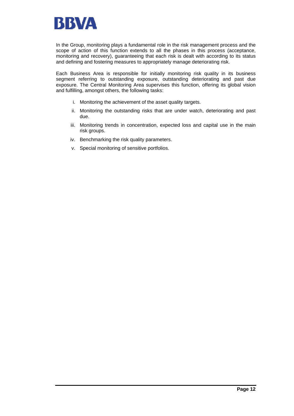

In the Group, monitoring plays a fundamental role in the risk management process and the scope of action of this function extends to all the phases in this process (acceptance, monitoring and recovery), guaranteeing that each risk is dealt with according to its status and defining and fostering measures to appropriately manage deteriorating risk.

Each Business Area is responsible for initially monitoring risk quality in its business segment referring to outstanding exposure, outstanding deteriorating and past due exposure. The Central Monitoring Area supervises this function, offering its global vision and fulfilling, amongst others, the following tasks:

- i. Monitoring the achievement of the asset quality targets.
- ii. Monitoring the outstanding risks that are under watch, deteriorating and past due.
- iii. Monitoring trends in concentration, expected loss and capital use in the main risk groups.
- iv. Benchmarking the risk quality parameters.
- v. Special monitoring of sensitive portfolios.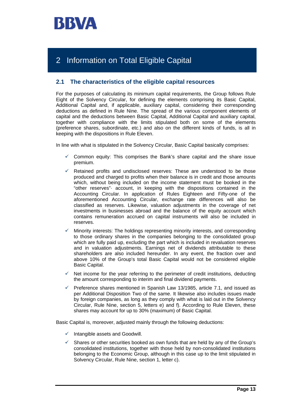

# 2 Information on Total Eligible Capital

### **2.1 The characteristics of the eligible capital resources**

For the purposes of calculating its minimum capital requirements, the Group follows Rule Eight of the Solvency Circular, for defining the elements comprising its Basic Capital, Additional Capital and, if applicable, auxiliary capital, considering their corresponding deductions as defined in Rule Nine. The spread of the various component elements of capital and the deductions between Basic Capital, Additional Capital and auxiliary capital, together with compliance with the limits stipulated both on some of the elements (preference shares, subordinate, etc.) and also on the different kinds of funds, is all in keeping with the dispositions in Rule Eleven.

In line with what is stipulated in the Solvency Circular, Basic Capital basically comprises:

- Common equity: This comprises the Bank's share capital and the share issue premium.
- Retained profits and undisclosed reserves: These are understood to be those produced and charged to profits when their balance is in credit and those amounts which, without being included on the income statement must be booked in the "other reserves"· account, in keeping with the dispositions contained in the Accounting Circular. In application of Rules Eighteen and Fifty-one of the aforementioned Accounting Circular, exchange rate differences will also be classified as reserves. Likewise, valuation adjustments in the coverage of net investments in businesses abroad and the balance of the equity account which contains remuneration accrued on capital instruments will also be included in reserves.
- Minority interests: The holdings representing minority interests, and corresponding to those ordinary shares in the companies belonging to the consolidated group which are fully paid up, excluding the part which is included in revaluation reserves and in valuation adjustments. Earnings net of dividends attributable to these shareholders are also included hereunder. In any event, the fraction over and above 10% of the Group's total Basic Capital would not be considered eligible Basic Capital.
- Net income for the year referring to the perimeter of credit institutions, deducting the amount corresponding to interim and final dividend payments.
- Preference shares mentioned in Spanish Law 13/1985, article 7.1, and issued as per Additional Disposition Two of the same. It likewise also includes issues made by foreign companies, as long as they comply with what is laid out in the Solvency Circular, Rule Nine, section 5, letters e) and f). According to Rule Eleven, these shares may account for up to 30% (maximum) of Basic Capital.

Basic Capital is, moreover, adjusted mainly through the following deductions:

- $\checkmark$  Intangible assets and Goodwill.
- Shares or other securities booked as own funds that are held by any of the Group's consolidated institutions, together with those held by non-consolidated institutions belonging to the Economic Group, although in this case up to the limit stipulated in Solvency Circular, Rule Nine, section 1, letter c).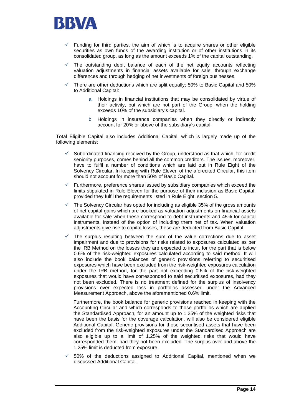

- Funding for third parties, the aim of which is to acquire shares or other eligible securities as own funds of the awarding institution or of other institutions in its consolidated group, as long as the amount exceeds 1% of the capital outstanding.
- The outstanding debit balance of each of the net equity accounts reflecting valuation adjustments in financial assets available for sale, through exchange differences and through hedging of net investments of foreign businesses.
- 9 There are other deductions which are split equally; 50% to Basic Capital and 50% to Additional Capital:
	- a. Holdings in financial institutions that may be consolidated by virtue of their activity, but which are not part of the Group, when the holding exceeds 10% of the subsidiary's capital.
	- b. Holdings in insurance companies when they directly or indirectly account for 20% or above of the subsidiary's capital.

Total Eligible Capital also includes Additional Capital, which is largely made up of the following elements:

- Subordinated financing received by the Group, understood as that which, for credit seniority purposes, comes behind all the common creditors. The issues, moreover, have to fulfil a number of conditions which are laid out in Rule Eight of the Solvency Circular. In keeping with Rule Eleven of the aforecited Circular, this item should not account for more than 50% of Basic Capital.
- Furthermore, preference shares issued by subsidiary companies which exceed the limits stipulated in Rule Eleven for the purpose of their inclusion as Basic Capital, provided they fulfil the requirements listed in Rule Eight, section 5.
- The Solvency Circular has opted for including as eligible 35% of the gross amounts of net capital gains which are booked as valuation adjustments on financial assets available for sale when these correspond to debt instruments and 45% for capital instruments, instead of the option of including them net of tax. When valuation adjustments give rise to capital losses, these are deducted from Basic Capital
- The surplus resulting between the sum of the value corrections due to asset impairment and due to provisions for risks related to exposures calculated as per the IRB Method on the losses they are expected to incur, for the part that is below 0.6% of the risk-weighted exposures calculated according to said method. It will also include the book balances of generic provisions referring to securitised exposures which have been excluded from the risk-weighted exposures calculation under the IRB method, for the part not exceeding 0.6% of the risk-weighted exposures that would have corresponded to said securitised exposures, had they not been excluded. There is no treatment defined for the surplus of insolvency provisions over expected loss in portfolios assessed under the Advanced Measurement Approach, above the aforementioned 0.6% limit.

Furthermore, the book balance for generic provisions reached in keeping with the Accounting Circular and which corresponds to those portfolios which are applied the Standardised Approach, for an amount up to 1.25% of the weighted risks that have been the basis for the coverage calculation, will also be considered eligible Additional Capital. Generic provisions for those securitised assets that have been excluded from the risk-weighted exposures under the Standardised Approach are also eligible up to a limit of 1.25% of the weighted risks that would have corresponded them, had they not been excluded. The surplus over and above the 1.25% limit is deducted from exposure.

 $\checkmark$  50% of the deductions assigned to Additional Capital, mentioned when we discussed Additional Capital.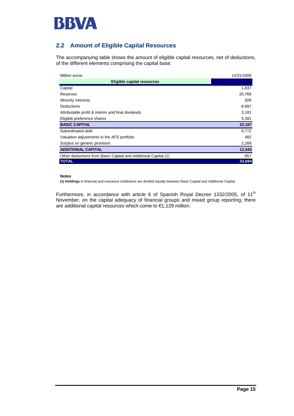

## **2.2 Amount of Eligible Capital Resources**

The accompanying table shows the amount of eligible capital resources, net of deductions, of the different elements comprising the capital base:

| Million euros                                                  | 12/31/2008 |
|----------------------------------------------------------------|------------|
| <b>Eligible capital resources</b>                              |            |
| Capital                                                        | 1,837      |
| Reserves                                                       | 20,768     |
| Minority interests                                             | 928        |
| <b>Deductions</b>                                              | $-9,997$   |
| Attributable profit & interim and final dividends              | 3,181      |
| Eligible preference shares                                     | 5,391      |
| <b>BASIC CAPITAL</b>                                           | 22,107     |
| Subordinated debt                                              | 9,772      |
| Valuation adjustments in the AFS portfolio                     | 482        |
| Surplus on generic provision                                   | 2,289      |
| <b>ADDITIONAL CAPITAL</b>                                      | 12,543     |
| Other deductions from Basic Capital and Additional Capital (1) | $-957$     |
| <b>TOTAL</b>                                                   | 33.694     |

#### **Notes**

**(1) Holdings** in financial and insurance institutions are divided equally between Basic Capital and Additional Capital.

Furthermore, in accordance with article 6 of Spanish Royal Decree 1332/2005, of 11<sup>th</sup> November, on the capital adequacy of financial groups and mixed group reporting, there are additional capital resources which come to €1,129 million.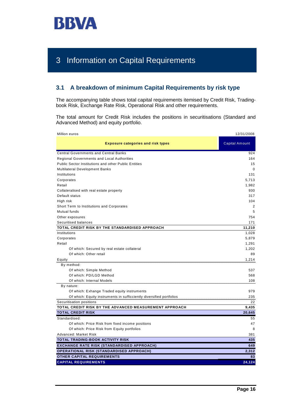

# 3 Information on Capital Requirements

### **3.1 A breakdown of minimum Capital Requirements by risk type**

The accompanying table shows total capital requirements itemised by Credit Risk, Tradingbook Risk, Exchange Rate Risk, Operational Risk and other requirements.

The total amount for Credit Risk includes the positions in securitisations (Standard and Advanced Method) and equity portfolio.

| Million euros                                                            | 12/31/2008            |
|--------------------------------------------------------------------------|-----------------------|
| <b>Exposure categories and risk types</b>                                | <b>Capital Amount</b> |
| <b>Central Governments and Central Banks</b>                             | 924                   |
| <b>Regional Governments and Local Authorities</b>                        | 164                   |
| <b>Public Sector Institutions and other Public Entities</b>              | 15                    |
| <b>Multilateral Development Banks</b>                                    | 0                     |
| Institutions                                                             | 131                   |
| Corporates                                                               | 5,713                 |
| Retail                                                                   | 1,982                 |
| Collateralised with real estate property                                 | 930                   |
| Default status                                                           | 317                   |
| High risk                                                                | 104                   |
| Short Term to Institutions and Corporates                                | 2                     |
| Mutual funds                                                             | 5                     |
| Other exposures                                                          | 754                   |
| Securitised balances                                                     | 171                   |
| TOTAL CREDIT RISK BY THE STANDARDISED APPROACH                           | 11,210                |
| Institutions                                                             | 1,028                 |
| Corporates                                                               | 5,879                 |
| Retail                                                                   | 1,291                 |
| Of which: Secured by real estate collateral                              | 1,202                 |
| Of which: Other retail                                                   | 89                    |
| Equity                                                                   | 1,214                 |
| By method:                                                               |                       |
| Of which: Simple Method                                                  | 537                   |
| Of which: PD/LGD Method                                                  | 568                   |
| Of which: Internal Models                                                | 108                   |
| By nature:                                                               |                       |
| Of which: Exhange Traded equity instruments                              | 979                   |
| Of which: Equity instruments in sufficciently diversified portfolios<br> | 235<br>               |
| Securitisation positions                                                 | 22                    |
| TOTAL CREDIT RISK BY THE ADVANCED MEASUREMENT APPROACH                   | 9,435                 |
| <b>TOTAL CREDIT RISK</b>                                                 | 20,645                |
| Standardised:                                                            | 55                    |
| Of which: Price Risk from fixed income positions                         | 47                    |
| Of which: Price Risk from Equity portfolios                              | 8                     |
| Advanced: Market Risk                                                    | 381                   |
| <b>TOTAL TRADING-BOOK ACTIVITY RISK</b>                                  | 435                   |
| <b>EXCHANGE RATE RISK (STANDARDISED APPROACH)</b>                        | 649                   |
| <b>OPERATIONAL RISK (STANDARDISED APPROACH)</b>                          | 2,312                 |
| <b>OTHER CAPITAL REQUIREMENTS</b>                                        | 83                    |
| <b>CAPITAL REQUIREMENTS</b>                                              | 24,124                |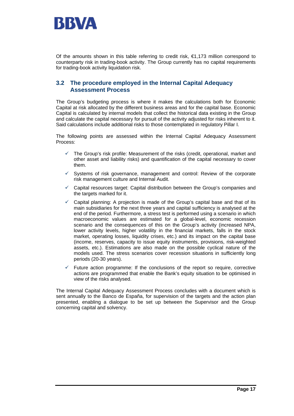

Of the amounts shown in this table referring to credit risk,  $\epsilon$ 1,173 million correspond to counterparty risk in trading-book activity. The Group currently has no capital requirements for trading-book activity liquidation risk.

### **3.2 The procedure employed in the Internal Capital Adequacy Assessment Process**

The Group's budgeting process is where it makes the calculations both for Economic Capital at risk allocated by the different business areas and for the capital base. Economic Capital is calculated by internal models that collect the historical data existing in the Group and calculate the capital necessary for pursuit of the activity adjusted for risks inherent to it. Said calculations include additional risks to those contemplated in regulatory Pillar I.

The following points are assessed within the Internal Capital Adequacy Assessment Process:

- $\checkmark$  The Group's risk profile: Measurement of the risks (credit, operational, market and other asset and liability risks) and quantification of the capital necessary to cover them.
- $\checkmark$  Systems of risk governance, management and control: Review of the corporate risk management culture and Internal Audit.
- $\checkmark$  Capital resources target: Capital distribution between the Group's companies and the targets marked for it.
- Capital planning: A projection is made of the Group's capital base and that of its main subsidiaries for the next three years and capital sufficiency is analysed at the end of the period. Furthermore, a stress test is performed using a scenario in which macroeconomic values are estimated for a global-level, economic recession scenario and the consequences of this on the Group's activity (increased NPA, lower activity levels, higher volatility in the financial markets, falls in the stock market, operating losses, liquidity crises, etc.) and its impact on the capital base (income, reserves, capacity to issue equity instruments, provisions, risk-weighted assets, etc.). Estimations are also made on the possible cyclical nature of the models used. The stress scenarios cover recession situations in sufficiently long periods (20-30 years).
- Future action programme: If the conclusions of the report so require, corrective actions are programmed that enable the Bank's equity situation to be optimised in view of the risks analysed.

The Internal Capital Adequacy Assessment Process concludes with a document which is sent annually to the Banco de España, for supervision of the targets and the action plan presented, enabling a dialogue to be set up between the Supervisor and the Group concerning capital and solvency.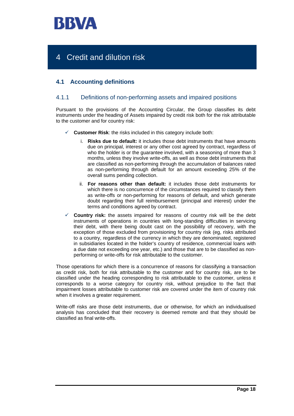

# 4 Credit and dilution risk

## **4.1 Accounting definitions**

### 4.1.1 Definitions of non-performing assets and impaired positions

Pursuant to the provisions of the Accounting Circular, the Group classifies its debt instruments under the heading of Assets impaired by credit risk both for the risk attributable to the customer and for country risk:

- **Customer Risk:** the risks included in this category include both:
	- i. **Risks due to default:** it includes those debt instruments that have amounts due on principal, interest or any other cost agreed by contract, regardless of who the holder is or the guarantee involved, with a seasoning of more than 3 months, unless they involve write-offs, as well as those debt instruments that are classified as non-performing through the accumulation of balances rated as non-performing through default for an amount exceeding 25% of the overall sums pending collection.
	- ii. **For reasons other than default:** it includes those debt instruments for which there is no concurrence of the circumstances required to classify them as write-offs or non-performing for reasons of default, and which generate doubt regarding their full reimbursement (principal and interest) under the terms and conditions agreed by contract.
- **Country risk:** the assets impaired for reasons of country risk will be the debt instruments of operations in countries with long-standing difficulties in servicing their debt, with there being doubt cast on the possibility of recovery, with the exception of those excluded from provisioning for country risk (eg, risks attributed to a country, regardless of the currency in which they are denominated, registered in subsidiaries located in the holder's country of residence, commercial loans with a due date not exceeding one year, etc.) and those that are to be classified as nonperforming or write-offs for risk attributable to the customer.

Those operations for which there is a concurrence of reasons for classifying a transaction as credit risk, both for risk attributable to the customer and for country risk, are to be classified under the heading corresponding to risk attributable to the customer, unless it corresponds to a worse category for country risk, without prejudice to the fact that impairment losses attributable to customer risk are covered under the item of country risk when it involves a greater requirement.

Write-off risks are those debt instruments, due or otherwise, for which an individualised analysis has concluded that their recovery is deemed remote and that they should be classified as final write-offs.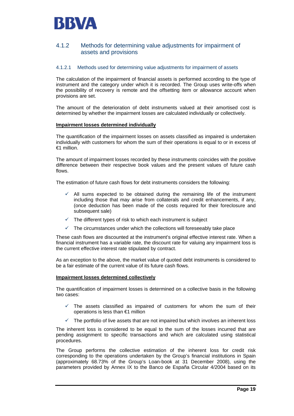

### 4.1.2 Methods for determining value adjustments for impairment of assets and provisions

### 4.1.2.1 Methods used for determining value adjustments for impairment of assets

The calculation of the impairment of financial assets is performed according to the type of instrument and the category under which it is recorded. The Group uses write-offs when the possibility of recovery is remote and the offsetting item or allowance account when provisions are set.

The amount of the deterioration of debt instruments valued at their amortised cost is determined by whether the impairment losses are calculated individually or collectively.

#### **Impairment losses determined individually**

The quantification of the impairment losses on assets classified as impaired is undertaken individually with customers for whom the sum of their operations is equal to or in excess of €1 million.

The amount of impairment losses recorded by these instruments coincides with the positive difference between their respective book values and the present values of future cash flows.

The estimation of future cash flows for debt instruments considers the following:

- All sums expected to be obtained during the remaining life of the instrument including those that may arise from collaterals and credit enhancements, if any, (once deduction has been made of the costs required for their foreclosure and subsequent sale)
- $\checkmark$  The different types of risk to which each instrument is subject
- $\checkmark$  The circumstances under which the collections will foreseeably take place

These cash flows are discounted at the instrument's original effective interest rate. When a financial instrument has a variable rate, the discount rate for valuing any impairment loss is the current effective interest rate stipulated by contract.

As an exception to the above, the market value of quoted debt instruments is considered to be a fair estimate of the current value of its future cash flows.

#### **Impairment losses determined collectively**

The quantification of impairment losses is determined on a collective basis in the following two cases:

- $\checkmark$  The assets classified as impaired of customers for whom the sum of their operations is less than €1 million
- The portfolio of live assets that are not impaired but which involves an inherent loss

The inherent loss is considered to be equal to the sum of the losses incurred that are pending assignment to specific transactions and which are calculated using statistical procedures.

The Group performs the collective estimation of the inherent loss for credit risk corresponding to the operations undertaken by the Group's financial institutions in Spain (approximately 68.73% of the Group's Loan-book at 31 December 2008), using the parameters provided by Annex IX to the Banco de España Circular 4/2004 based on its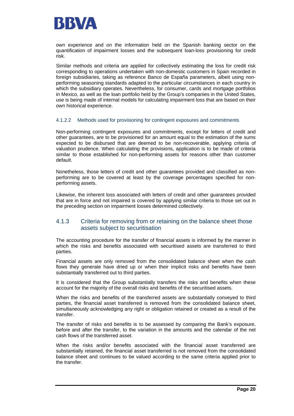

own experience and on the information held on the Spanish banking sector on the quantification of impairment losses and the subsequent loan-loss provisioning for credit risk.

Similar methods and criteria are applied for collectively estimating the loss for credit risk corresponding to operations undertaken with non-domestic customers in Spain recorded in foreign subsidiaries, taking as reference Banco de España parameters, albeit using nonperforming seasoning standards adapted to the particular circumstances in each country in which the subsidiary operates. Nevertheless, for consumer, cards and mortgage portfolios in Mexico, as well as the loan portfolio held by the Group's companies in the United States, use is being made of internal models for calculating impairment loss that are based on their own historical experience.

#### 4.1.2.2 Methods used for provisioning for contingent exposures and commitments

Non-performing contingent exposures and commitments, except for letters of credit and other guarantees, are to be provisioned for an amount equal to the estimation of the sums expected to be disbursed that are deemed to be non-recoverable, applying criteria of valuation prudence. When calculating the provisions, application is to be made of criteria similar to those established for non-performing assets for reasons other than customer default.

Nonetheless, those letters of credit and other guarantees provided and classified as nonperforming are to be covered at least by the coverage percentages specified for nonperforming assets.

Likewise, the inherent loss associated with letters of credit and other guarantees provided that are in force and not impaired is covered by applying similar criteria to those set out in the preceding section on impairment losses determined collectively.

### 4.1.3 Criteria for removing from or retaining on the balance sheet those assets subject to securitisation

The accounting procedure for the transfer of financial assets is informed by the manner in which the risks and benefits associated with securitised assets are transferred to third parties.

Financial assets are only removed from the consolidated balance sheet when the cash flows they generate have dried up or when their implicit risks and benefits have been substantially transferred out to third parties.

It is considered that the Group substantially transfers the risks and benefits when these account for the majority of the overall risks and benefits of the securitised assets.

When the risks and benefits of the transferred assets are substantially conveyed to third parties, the financial asset transferred is removed from the consolidated balance sheet, simultaneously acknowledging any right or obligation retained or created as a result of the transfer.

The transfer of risks and benefits is to be assessed by comparing the Bank's exposure, before and after the transfer, to the variation in the amounts and the calendar of the net cash flows of the transferred asset.

When the risks and/or benefits associated with the financial asset transferred are substantially retained, the financial asset transferred is not removed from the consolidated balance sheet and continues to be valued according to the same criteria applied prior to the transfer.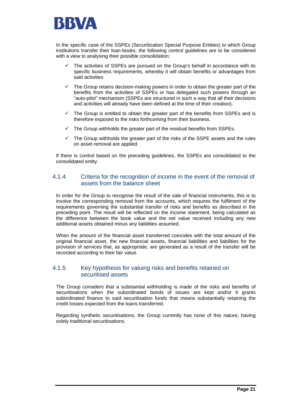

In the specific case of the SSPEs (Securitization Special Purpose Entities) to which Group institutions transfer their loan-books, the following control guidelines are to be considered with a view to analysing their possible consolidation:

- The activities of SSPEs are pursued on the Group's behalf in accordance with its specific business requirements, whereby it will obtain benefits or advantages from said activities.
- $\checkmark$  The Group retains decision-making powers in order to obtain the greater part of the benefits from the activities of SSPEs or has delegated such powers through an "auto-pilot" mechanism (SSPEs are structured in such a way that all their decisions and activities will already have been defined at the time of their creation).
- $\checkmark$  The Group is entitled to obtain the greater part of the benefits from SSPEs and is therefore exposed to the risks forthcoming from their business.
- The Group withholds the greater part of the residual benefits from SSPEs.
- $\checkmark$  The Group withholds the greater part of the risks of the SSPE assets and the rules on asset removal are applied.

If there is control based on the preceding guidelines, the SSPEs are consolidated to the consolidated entity.

### 4.1.4 Criteria for the recognition of income in the event of the removal of assets from the balance sheet

In order for the Group to recognise the result of the sale of financial instruments, this is to involve the corresponding removal from the accounts, which requires the fulfilment of the requirements governing the substantial transfer of risks and benefits as described in the preceding point. The result will be reflected on the income statement, being calculated as the difference between the book value and the net value received including any new additional assets obtained minus any liabilities assumed.

When the amount of the financial asset transferred coincides with the total amount of the original financial asset, the new financial assets, financial liabilities and liabilities for the provision of services that, as appropriate, are generated as a result of the transfer will be recorded according to their fair value.

### 4.1.5 Key hypothesis for valuing risks and benefits retained on securitised assets

The Group considers that a substantial withholding is made of the risks and benefits of securitisations when the subordinated bonds of issues are kept and/or it grants subordinated finance to said securitisation funds that means substantially retaining the credit losses expected from the loans transferred.

Regarding synthetic securitisations, the Group currently has none of this nature, having solely traditional securitisations.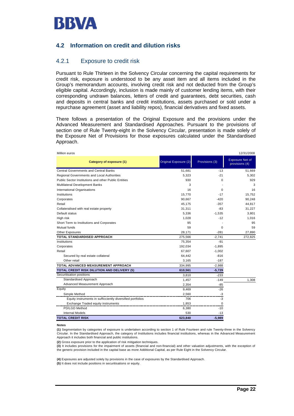

### **4.2 Information on credit and dilution risks**

### 4.2.1 Exposure to credit risk

Pursuant to Rule Thirteen in the Solvency Circular concerning the capital requirements for credit risk, exposure is understood to be any asset item and all items included in the Group's memorandum accounts, involving credit risk and not deducted from the Group's eligible capital. Accordingly, inclusion is made mainly of customer lending items, with their corresponding undrawn balances, letters of credit and guarantees, debt securities, cash and deposits in central banks and credit institutions, assets purchased or sold under a repurchase agreement (asset and liability repos), financial derivatives and fixed assets.

There follows a presentation of the Original Exposure and the provisions under the Advanced Measurement and Standardised Approaches. Pursuant to the provisions of section one of Rule Twenty-eight in the Solvency Circular, presentation is made solely of the Exposure Net of Provisions for those exposures calculated under the Standardised Approach.

| Million euros                                              |                       |                | 12/31/2008                               |
|------------------------------------------------------------|-----------------------|----------------|------------------------------------------|
| Category of exposure (1)                                   | Original Exposure (2) | Provisions (3) | <b>Exposure Net of</b><br>provisions (4) |
| <b>Central Governments and Central Banks</b>               | 51,681                | $-13$          | 51,669                                   |
| Regional Governments and Local Authorities                 | 5,323                 | $-21$          | 5,302                                    |
| Public Sector Institutions and other Public Entities       | 930                   | 0              | 929                                      |
| <b>Multilateral Development Banks</b>                      | 3                     |                | 3                                        |
| International Organisations                                | 16                    | $\Omega$       | 16                                       |
| Institutions                                               | 15,770                | $-17$          | 15,752                                   |
| Corporates                                                 | 90,667                | $-420$         | 90,248                                   |
| Retail                                                     | 45,175                | $-357$         | 44,817                                   |
| Collateralised with real estate property                   | 31,311                | -83            | 31,227                                   |
| Default status                                             | 5,336                 | $-1,535$       | 3,801                                    |
| High risk                                                  | 1,028                 | $-12$          | 1,016                                    |
| Short Term to Institutions and Corporates                  | 95                    |                | 95                                       |
| Mutual funds                                               | 59                    | 0              | 59                                       |
| Other Exposures                                            | 28,171                | $-281$         | 27,890                                   |
| TOTAL STANDARDISED APPROACH                                | 275,566               | $-2,741$       | 272,825                                  |
| Institutions                                               | 75,354                | $-91$          |                                          |
| Corporates                                                 | 192,034               | $-1,895$       |                                          |
| Retail                                                     | 67,607                | $-1,002$       |                                          |
| Secured by real estate collateral                          | 64,442                | $-816$         |                                          |
| Other retail                                               | 3,165                 | $-187$         |                                          |
| <b>TOTAL ADVANCED MEASUREMENT APPROACH</b>                 | 334,995               | $-2,988$       |                                          |
| TOTAL CREDIT RISK DILUTION AND DELIVERY (5)                | 610,561               | $-5,729$       |                                          |
| Securitisation positions                                   | 3,810                 | $-233$         |                                          |
| Standardised Approach                                      | 1,457                 | $-149$         | 1.308                                    |
| Advanced Measurement Approach                              | 2,354                 | $-85$          |                                          |
| Equity                                                     | 9,469                 | $-26$          |                                          |
| Simple Method                                              | 2,560                 | -3             |                                          |
| Equity instruments in sufficciently diversified portfolios | 706                   | -3             |                                          |
| Exchange Traded equity instruments                         | 1,853                 | 0              |                                          |
| PD/LGD Method                                              | 6,380                 | $-10$          |                                          |
| <b>Internal Models</b>                                     | 530                   | $-13$          |                                          |
| <b>TOTAL CREDIT RISK</b>                                   | 623,840               | $-5,989$       |                                          |

#### **Notes**

**(1)** Segmentation by categories of exposure is undertaken according to section 1 of Rule Fourteen and rule Twenty-three in the Solvency Circular. In the Standardised Approach, the category of Institutions includes financial institutions, whereas in the Advanced Measurement Approach it includes both financial and public institutions.

**(2)** Gross exposure prior to the application of risk mitigation techniques.

**(3)** It includes provisions for the impairment of assets (financial and non-financial) and other valuation adjustments, with the exception of the generic provision included in the capital base as more Additional Capital, as per Rule Eight in the Solvency Circular.

**(4)** Exposures are adjusted solely by provisions in the case of exposures by the Standardised Approach.

**(5)** It does not include positions in securitisations or equity.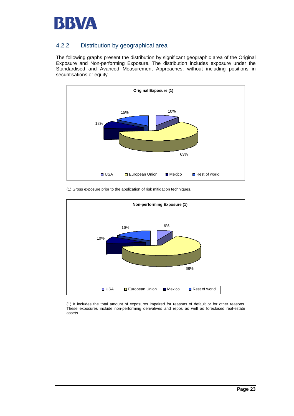

## 4.2.2 Distribution by geographical area

The following graphs present the distribution by significant geographic area of the Original Exposure and Non-performing Exposure. The distribution includes exposure under the Standardised and Avanced Measurement Approaches, without including positions in securitisations or equity.





(1) Gross exposure prior to the application of risk mitigation techniques.

(1) It includes the total amount of exposures impaired for reasons of default or for other reasons. These exposures include non-performing derivatives and repos as well as foreclosed real-estate assets.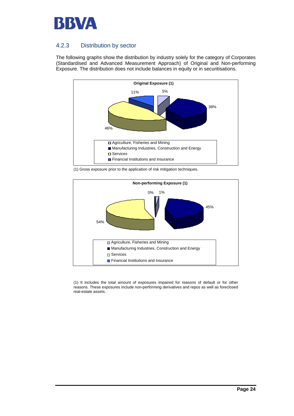

## 4.2.3 Distribution by sector

The following graphs show the distribution by industry solely for the category of Corporates (Standardised and Advanced Measurement Approach) of Original and Non-performing Exposure. The distribution does not include balances in equity or in securitisations.



(1) Gross exposure prior to the application of risk mitigation techniques.



(1) It includes the total amount of exposures impaired for reasons of default or for other reasons. These exposures include non-performing derivatives and repos as well as foreclosed real-estate assets.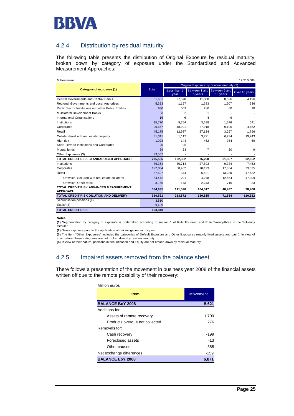

### 4.2.4 Distribution by residual maturity

The following table presents the distribution of Original Exposure by residual maturity, broken down by category of exposure under the Standardised and Advanced Measurement Approaches:

| Million euros<br>12/31/2008                               |         |                                            |                                        |          |               |  |  |  |
|-----------------------------------------------------------|---------|--------------------------------------------|----------------------------------------|----------|---------------|--|--|--|
|                                                           |         | Original Exposure by residual maturity (2) |                                        |          |               |  |  |  |
| Category of exposure (1)                                  | Total   | Less than 1<br>year                        | Between 1 and Between 5 and<br>5 years | 10 years | Over 10 years |  |  |  |
| Central Governments and Central Banks                     | 51,681  | 27,570                                     | 11,388                                 | 8.526    | 4,196         |  |  |  |
| Regional Governments and Local Authorities                | 5,323   | 1.197                                      | 1.683                                  | 1,507    | 936           |  |  |  |
| Public Sector Institutions and other Public Entities      | 930     | 559                                        | 280                                    | 80       | 10            |  |  |  |
| Multilateral Development Banks                            | 3       | $\overline{2}$                             | 1                                      |          |               |  |  |  |
| <b>International Organisations</b>                        | 16      | 6                                          | 4                                      | 6        |               |  |  |  |
| Institutions                                              | 15,770  | 9,754                                      | 3.698                                  | 1,676    | 641           |  |  |  |
| Corporates                                                | 90.667  | 48.901                                     | 27,918                                 | 9.196    | 4.652         |  |  |  |
| Retail                                                    | 45.175  | 12.987                                     | 27.134                                 | 3.257    | 1.796         |  |  |  |
| Collateralised with real estate property                  | 31.311  | 1.112                                      | 3.721                                  | 6.734    | 19.743        |  |  |  |
| High risk                                                 | 1,028   | 144                                        | 462                                    | 354      | 69            |  |  |  |
| Short Term to Institutions and Corporates                 | 95      | 95                                         |                                        |          |               |  |  |  |
| Mutual funds                                              | 59      | 23                                         | $\overline{7}$                         | 20       | 9             |  |  |  |
| Other Exposures (3)                                       | 33,507  |                                            |                                        |          |               |  |  |  |
| TOTAL CREDIT RISK STANDARDISED APPROACH                   | 275,566 | 102,352                                    | 76,298                                 | 31,357   | 32,052        |  |  |  |
| Institutions                                              | 75,354  | 30.714                                     | 27,803                                 | 9.384    | 7.453         |  |  |  |
| Corporates                                                | 192,034 | 80.432                                     | 70.193                                 | 17.834   | 23.575        |  |  |  |
| Retail                                                    | 67,607  | 374                                        | 6,521                                  | 13,280   | 47,432        |  |  |  |
| Of which: Secured with real estate collateral             | 64,442  | 201                                        | 4.278                                  | 12.564   | 47,399        |  |  |  |
| Of which: Other retail                                    | 3,165   | 173                                        | 2,243                                  | 716      | 33            |  |  |  |
| TOTAL CREDIT RISK ADVANCED MEASUREMENT<br><b>APPROACH</b> | 334,995 | 111,520                                    | 104,517                                | 40,497   | 78,460        |  |  |  |
| TOTAL CREDIT RISK DILUTION AND DELIVERY                   | 610.561 | 213,872                                    | 180,815                                | 71.854   | 110,512       |  |  |  |
| Securitisation positions (4)                              | 3,810   |                                            |                                        |          |               |  |  |  |
| Equity (4)                                                | 9,469   |                                            |                                        |          |               |  |  |  |
| <b>TOTAL CREDIT RISK</b>                                  | 623,840 |                                            |                                        |          |               |  |  |  |

#### **Notes**

**(1)** Segmentation by category of exposure is undertaken according to section 1 of Rule Fourteen and Rule Twenty-three in the Solvency Circular.

**(2)** Gross exposure prior to the application of risk mitigation techniques.

**(3)** The item "Other Exposures" includes the categories of Default Exposure and Other Exposures (mainly fixed assets and cash). In view of their nature, these categories are not broken down by residual maturity. **(4)** In view of their nature, positions in securitisation and Equity are not broken down by residual maturity.

### 4.2.5 Impaired assets removed from the balance sheet

There follows a presentation of the movement in business year 2008 of the financial assets written off due to the remote possibility of their recovery:

| Million euros                  |                 |  |  |
|--------------------------------|-----------------|--|--|
| <b>Item</b>                    | <b>Movement</b> |  |  |
| <b>BALANCE BoY 2008</b>        | 5,621           |  |  |
| Additions for:                 |                 |  |  |
| Assets of remote recovery      | 1,700           |  |  |
| Products overdue not collected | 276             |  |  |
| Removals for:                  |                 |  |  |
| Cash recovery                  | $-199$          |  |  |
| Foreclosed assets              | $-13$           |  |  |
| Other causes                   | $-355$          |  |  |
| Net exchange differences       | $-159$          |  |  |
| <b>BALANCE EoY 2008</b>        | 6,871           |  |  |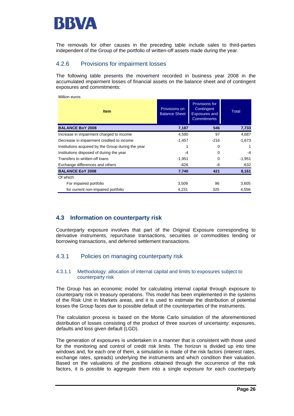

The removals for other causes in the preceding table include sales to third-parties independent of the Group of the portfolio of written-off assets made during the year.

### 4.2.6 Provisions for impairment losses

The following table presents the movement recorded in business year 2008 in the accumulated impairment losses of financial assets on the balance sheet and of contingent exposures and commitments:

| Million euros                                      |                                       |                                                                                   |              |
|----------------------------------------------------|---------------------------------------|-----------------------------------------------------------------------------------|--------------|
| <b>Item</b>                                        | Provisions on<br><b>Balance Sheet</b> | <b>Provisions for</b><br>Contingent<br><b>Exposures and</b><br><b>Commitments</b> | <b>Total</b> |
| <b>BALANCE BoY 2008</b>                            | 7,187                                 | 546                                                                               | 7,733        |
| Increase in impairment charged to income           | 4,590                                 | 97                                                                                | 4,687        |
| Decrease in impairment credited to income          | $-1,457$                              | $-216$                                                                            | $-1,673$     |
| Institutions acquired by the Group during the year |                                       | 0                                                                                 |              |
| Institutions disposed of during the year           | -4                                    | 0                                                                                 | -4           |
| Transfers to written-off loans                     | $-1,951$                              | 0                                                                                 | $-1,951$     |
| Exchange differences and others                    | -626                                  | -6                                                                                | $-632$       |
| <b>BALANCE EoY 2008</b>                            | 7,740                                 | 421                                                                               | 8,161        |
| Of which:                                          |                                       |                                                                                   |              |
| For impaired portfolio                             | 3,509                                 | 96                                                                                | 3,605        |
| for current non-impaired portfolio                 | 4,231                                 | 325                                                                               | 4,556        |

### **4.3 Information on counterparty risk**

Counterparty exposure involves that part of the Original Exposure corresponding to derivative instruments, repurchase transactions, securities or commodities lending or borrowing transactions, and deferred settlement transactions.

### 4.3.1 Policies on managing counterparty risk

#### 4.3.1.1 Methodology: allocation of internal capital and limits to exposures subject to counterparty risk

The Group has an economic model for calculating internal capital through exposure to counterparty risk in treasury operations. This model has been implemented in the systems of the Risk Unit in Markets areas, and it is used to estimate the distribution of potential losses the Group faces due to possible default of the counterparties of the instruments.

The calculation process is based on the Monte Carlo simulation of the aforementioned distribution of losses consisting of the product of three sources of uncertainty: exposures, defaults and loss given default (LGD).

The generation of exposures is undertaken in a manner that is consistent with those used for the monitoring and control of credit risk limits. The horizon is divided up into time windows and, for each one of them, a simulation is made of the risk factors (interest rates, exchange rates, spreads) underlying the instruments and which condition their valuation. Based on the valuations of the positions obtained through the occurrence of the risk factors, it is possible to aggregate them into a single exposure for each counterparty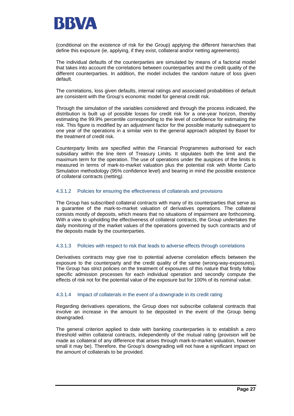

(conditional on the existence of risk for the Group) applying the different hierarchies that define this exposure (ie, applying, if they exist, collateral and/or netting agreements).

The individual defaults of the counterparties are simulated by means of a factorial model that takes into account the correlations between counterparties and the credit quality of the different counterparties. In addition, the model includes the random nature of loss given default.

The correlations, loss given defaults, internal ratings and associated probabilities of default are consistent with the Group's economic model for general credit risk.

Through the simulation of the variables considered and through the process indicated, the distribution is built up of possible losses for credit risk for a one-year horizon, thereby estimating the 99.9% percentile corresponding to the level of confidence for estimating the risk. This figure is modified by an adjustment factor for the possible maturity subsequent to one year of the operations in a similar vein to the general approach adopted by Basel for the treatment of credit risk.

Counterparty limits are specified within the Financial Programmes authorised for each subsidiary within the line item of Treasury Limits. It stipulates both the limit and the maximum term for the operation. The use of operations under the auspices of the limits is measured in terms of mark-to-market valuation plus the potential risk with Monte Carlo Simulation methodology (95% confidence level) and bearing in mind the possible existence of collateral contracts (netting*)*.

#### 4.3.1.2 Policies for ensuring the effectiveness of collaterals and provisions

The Group has subscribed collateral contracts with many of its counterparties that serve as a guarantee of the mark-to-market valuation of derivatives operations. The collateral consists mostly of deposits, which means that no situations of impairment are forthcoming. With a view to upholding the effectiveness of collateral contracts, the Group undertakes the daily monitoring of the market values of the operations governed by such contracts and of the deposits made by the counterparties.

#### 4.3.1.3 Policies with respect to risk that leads to adverse effects through correlations

Derivatives contracts may give rise to potential adverse correlation effects between the exposure to the counterparty and the credit quality of the same (wrong-way-exposures). The Group has strict policies on the treatment of exposures of this nature that firstly follow specific admission processes for each individual operation and secondly compute the effects of risk not for the potential value of the exposure but for 100% of its nominal value.

#### 4.3.1.4 Impact of collaterals in the event of a downgrade in its credit rating

Regarding derivatives operations, the Group does not subscribe collateral contracts that involve an increase in the amount to be deposited in the event of the Group being downgraded.

The general criterion applied to date with banking counterparties is to establish a zero threshold within collateral contracts, independently of the mutual rating (provision will be made as collateral of any difference that arises through mark-to-market valuation, however small it may be). Therefore, the Group's downgrading will not have a significant impact on the amount of collaterals to be provided.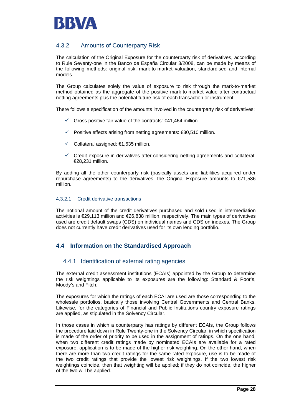

## 4.3.2 Amounts of Counterparty Risk

The calculation of the Original Exposure for the counterparty risk of derivatives, according to Rule Seventy-one in the Banco de España Circular 3/2008, can be made by means of the following methods: original risk, mark-to-market valuation, standardised and internal models.

The Group calculates solely the value of exposure to risk through the mark-to-market method obtained as the aggregate of the positive mark-to-market value after contractual netting agreements plus the potential future risk of each transaction or instrument.

There follows a specification of the amounts involved in the counterparty risk of derivatives:

- $✓$  Gross positive fair value of the contracts:  $€41,464$  million.
- $✓$  Positive effects arising from netting agreements:  $€30,510$  million.
- $\checkmark$  Collateral assigned: €1,635 million.
- $\checkmark$  Credit exposure in derivatives after considering netting agreements and collateral: €28,231 million.

By adding all the other counterparty risk (basically assets and liabilities acquired under repurchase agreements) to the derivatives, the Original Exposure amounts to  $E$ 71,586 million.

### 4.3.2.1 Credit derivative transactions

The notional amount of the credit derivatives purchased and sold used in intermediation activities is €29,113 million and €26,838 million, respectively. The main types of derivatives used are credit default swaps (CDS) on individual names and CDS on indexes. The Group does not currently have credit derivatives used for its own lending portfolio.

### **4.4 Information on the Standardised Approach**

### 4.4.1 Identification of external rating agencies

The external credit assessment institutions (ECAIs) appointed by the Group to determine the risk weightings applicable to its exposures are the following: Standard & Poor's, Moody's and Fitch.

The exposures for which the ratings of each ECAI are used are those corresponding to the wholesale portfolios, basically those involving Central Governments and Central Banks. Likewise, for the categories of Financial and Public Institutions country exposure ratings are applied, as stipulated in the Solvency Circular.

In those cases in which a counterparty has ratings by different ECAIs, the Group follows the procedure laid down in Rule Twenty-one in the Solvency Circular, in which specification is made of the order of priority to be used in the assignment of ratings. On the one hand, when two different credit ratings made by nominated ECAIs are available for a rated exposure, application is to be made of the higher risk weighting. On the other hand, when there are more than two credit ratings for the same rated exposure, use is to be made of the two credit ratings that provide the lowest risk weightings. If the two lowest risk weightings coincide, then that weighting will be applied; if they do not coincide, the higher of the two will be applied.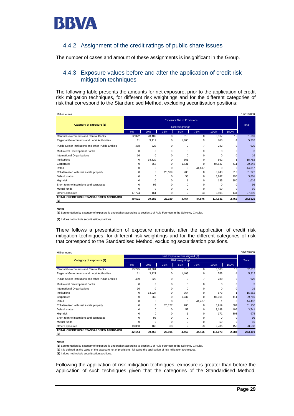

### 4.4.2 Assignment of the credit ratings of public share issues

The number of cases and amount of these assignments is insignificant in the Group.

### 4.4.3 Exposure values before and after the application of credit risk mitigation techniques

The following table presents the amounts for net exposure, prior to the application of credit risk mitigation techniques, for different risk weightings and for the different categories of risk that correspond to the Standardised Method, excluding securitisation positions:

| Million euros                                        |                                   |          |             |                 |                |          |          | 12/31/2008 |
|------------------------------------------------------|-----------------------------------|----------|-------------|-----------------|----------------|----------|----------|------------|
|                                                      | <b>Exposure Net of Provisions</b> |          |             |                 |                |          |          |            |
| Category of exposure (1)                             |                                   |          |             | Risk weightings |                |          |          | Total      |
|                                                      | 0%                                | 20%      | 35%         | 50%             | 75%            | 100%     | 150%     |            |
| Central Governments and Central Banks                | 22,322                            | 20,402   | $\Omega$    | 613             | $\Omega$       | 8,317    | 15       | 51,669     |
| Regional Governments and Local Authorities           | 11                                | 3,112    | 0           | 1,408           | 0              | 768      | 4        | 5,302      |
| Public Sector Institutions and other Public Entities | 458                               | 222      | $\Omega$    | $\Omega$        | $\overline{7}$ | 242      | $\Omega$ | 929        |
| Multilateral Development Banks                       | 0                                 | 3        | 0           | 0               | 0              | $\Omega$ | $\Omega$ | 3          |
| International Organisations                          | 16                                | $\Omega$ | $\Omega$    | $\Omega$        | $\Omega$       | $\Omega$ | $\Omega$ | 16         |
| Institutions                                         | $\Omega$                          | 14.829   | $\Omega$    | 361             | $\Omega$       | 562      |          | 15,752     |
| Corporates                                           | $\Omega$                          | 558      | 0           | 1.731           | 0              | 87.547   | 411      | 90,248     |
| Retail                                               | $\Omega$                          | 0        | $\mathbf 0$ | 0               | 44,817         | $\Omega$ | 0        | 44,817     |
| Collateralised with real estate property             | $\Omega$                          | 0        | 26,189      | 280             | $\Omega$       | 3,948    | 810      | 31,227     |
| Default status                                       | $\Omega$                          | $\Omega$ | $\Omega$    | 58              | $\Omega$       | 3,247    | 496      | 3,801      |
| High risk                                            | $\Omega$                          | $\Omega$ | $\Omega$    |                 | $\Omega$       | 135      | 880      | 1,016      |
| Short-term to institutions and corporates            | $\Omega$                          | 95       | $\Omega$    | $\Omega$        | $\Omega$       | $\Omega$ | $\Omega$ | 95         |
| Mutual funds                                         | $\Omega$                          | $\Omega$ | $\Omega$    | $\Omega$        | $\Omega$       | 59       | $\Omega$ | 59         |
| Other Exposures                                      | 17,724                            | 161      | $\Omega$    | $\overline{2}$  | 53             | 9,805    | 144      | 27,890     |
| TOTAL CREDIT RISK STANDARDISED APPROACH<br>(2)       | 40,531                            | 39,382   | 26,189      | 4,454           | 44,876         | 114,631  | 2,762    | 272,825    |

**Notes**

**(1)** Segmentation by category of exposure is undertaken according to section 1 of Rule Fourteen in the Solvency Circular.

**(2)** It does not include securitisation positions.

There follows a presentation of exposure amounts, after the application of credit risk mitigation techniques, for different risk weightings and for the different categories of risk that correspond to the Standardised Method, excluding securitisation positions.

| Million euros                                        |                             |          |          |          |                | 31/12/2008 |          |         |
|------------------------------------------------------|-----------------------------|----------|----------|----------|----------------|------------|----------|---------|
|                                                      | Net Exposure Reassigned (2) |          |          |          |                |            |          |         |
| Category of exposure (1)                             | <b>Risk weightings</b>      |          |          |          |                |            |          | Total   |
|                                                      | 0%                          | 20%      | 35%      | 50%      | 75%            | 100%       | 150%     |         |
| Central Governments and Central Banks                | 23,295                      | 20,381   | 0        | 613      | 0              | 8,308      | 15       | 52,612  |
| Regional Governments and Local Authorities           | 11                          | 3,121    | 0        | 1,408    | 0              | 768        |          | 5,312   |
| Public Sector Institutions and other Public Entities | 459                         | 222      | 0        | $\Omega$ | $\overline{7}$ | 239        | $\Omega$ | 926     |
| Multilateral Development Banks                       | 0                           | 3        | $\Omega$ | $\Omega$ | $\Omega$       | $\Omega$   | $\Omega$ | 3       |
| International Organisations                          | 16                          | $\Omega$ | $\Omega$ | $\Omega$ | $\Omega$       | $\Omega$   | O        | 16      |
| Institutions                                         | 0                           | 14.924   | $\Omega$ | 364      | $\Omega$       | 573        |          | 15,862  |
| Corporates                                           | 0                           | 560      | 0        | 1,737    | 0              | 87,061     | 411      | 89,769  |
| Retail                                               | U                           | 0        | $\Omega$ | 0        | 44,407         |            | $\Omega$ | 44,407  |
| Collateralised with real estate property             | 0                           | 0        | 26,127   | 280      | 0              | 3,919      | 804      | 31,130  |
| Default status                                       | U                           | 0        | 0        | 57       | 0              | 3,188      | 496      | 3,741   |
| High risk                                            | U                           | 0        | $\Omega$ |          | $\Omega$       | 171        | 803      | 975     |
| Short-term to institutions and corporates            | U                           | 95       | $\Omega$ | 0        | $\Omega$       | $\Omega$   | C        | 95      |
| Mutual funds                                         | U                           | $\Omega$ | $\Omega$ | U        | $\Omega$       | 59         | 0        | 59      |
| Other Exposures                                      | 18,363                      | 160      | 68       | 2        | 53             | 9,786      | 150      | 28,583  |
| TOTAL CREDIT RISK STANDARDISED APPROACH<br>(3)       | 42,144                      | 39,468   | 26,195   | 4,462    | 44,466         | 114,073    | 2,684    | 273,491 |

**Notes**

**(1)** Segmentation by category of exposure is undertaken according to section 1 of Rule Fourteen in the Solvency Circular.

**(2)** It is defined as the value of the exposure net of provisions, following the application of risk mitigation techniques.

**(3)** It does not include securitisation positions.

Following the application of risk mitigation techniques, exposure is greater than before the application of such techniques given that the categories of the Standardised Method,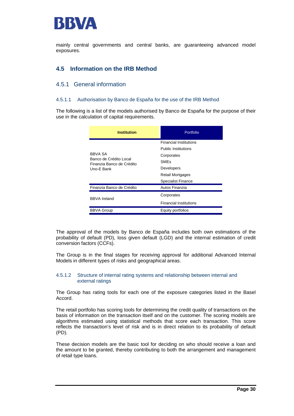

mainly central governments and central banks, are guaranteeing advanced model exposures.

## **4.5 Information on the IRB Method**

### 4.5.1 General information

#### 4.5.1.1 Authorisation by Banco de España for the use of the IRB Method

The following is a list of the models authorised by Banco de España for the purpose of their use in the calculation of capital requirements.

| <b>Institution</b>                                  | Portfolio                     |  |  |
|-----------------------------------------------------|-------------------------------|--|--|
|                                                     | <b>Financial Institutions</b> |  |  |
|                                                     | <b>Public Institutions</b>    |  |  |
| <b>BBVA SA</b>                                      | Corporates                    |  |  |
| Banco de Crédito Local<br>Finanzia Banco de Crédito | <b>SMFs</b>                   |  |  |
| Uno-E Bank                                          | Developers                    |  |  |
|                                                     | <b>Retail Mortgages</b>       |  |  |
|                                                     | <b>Specialist Finance</b>     |  |  |
| Finanzia Banco de Crédito                           | Autos Finanzia                |  |  |
| <b>BBVA Ireland</b>                                 | Corporates                    |  |  |
|                                                     | <b>Financial Institutions</b> |  |  |
| <b>BBVA Group</b>                                   | Equity portfolios             |  |  |

The approval of the models by Banco de España includes both own estimations of the probability of default (PD), loss given default (LGD) and the internal estimation of credit conversion factors (CCFs).

The Group is in the final stages for receiving approval for additional Advanced Internal Models in different types of risks and geographical areas.

#### 4.5.1.2 Structure of internal rating systems and relationship between internal and external ratings

The Group has rating tools for each one of the exposure categories listed in the Basel Accord.

The retail portfolio has scoring tools for determining the credit quality of transactions on the basis of information on the transaction itself and on the customer. The scoring models are algorithms estimated using statistical methods that score each transaction. This score reflects the transaction's level of risk and is in direct relation to its probability of default (PD).

These decision models are the basic tool for deciding on who should receive a loan and the amount to be granted, thereby contributing to both the arrangement and management of retail type loans.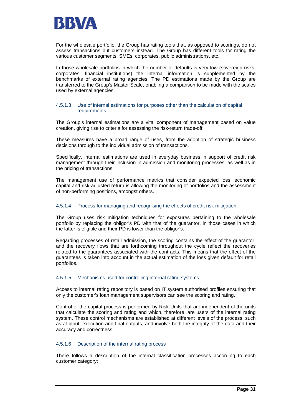

For the wholesale portfolio, the Group has rating tools that, as opposed to scorings, do not assess transactions but customers instead. The Group has different tools for rating the various customer segments: SMEs, corporates, public administrations, etc.

In those wholesale portfolios in which the number of defaults is very low (sovereign risks, corporates, financial institutions) the internal information is supplemented by the benchmarks of external rating agencies. The PD estimations made by the Group are transferred to the Group's Master Scale, enabling a comparison to be made with the scales used by external agencies.

#### 4.5.1.3 Use of internal estimations for purposes other than the calculation of capital requirements

The Group's internal estimations are a vital component of management based on value creation, giving rise to criteria for assessing the risk-return trade-off.

These measures have a broad range of uses, from the adoption of strategic business decisions through to the individual admission of transactions.

Specifically, internal estimations are used in everyday business in support of credit risk management through their inclusion in admission and monitoring processes, as well as in the pricing of transactions.

The management use of performance metrics that consider expected loss, economic capital and risk-adjusted return is allowing the monitoring of portfolios and the assessment of non-performing positions, amongst others.

#### 4.5.1.4 Process for managing and recognising the effects of credit risk mitigation

The Group uses risk mitigation techniques for exposures pertaining to the wholesale portfolio by replacing the obligor's PD with that of the guarantor, in those cases in which the latter is eligible and their PD is lower than the obligor's.

Regarding processes of retail admission, the scoring contains the effect of the guarantor, and the recovery flows that are forthcoming throughout the cycle reflect the recoveries related to the guarantees associated with the contracts. This means that the effect of the guarantees is taken into account in the actual estimation of the loss given default for retail portfolios.

#### 4.5.1.5 Mechanisms used for controlling internal rating systems

Access to internal rating repository is based on IT system authorised profiles ensuring that only the customer's loan management supervisors can see the scoring and rating.

Control of the capital process is performed by Risk Units that are independent of the units that calculate the scoring and rating and which, therefore, are users of the internal rating system. These control mechanisms are established at different levels of the process, such as at input, execution and final outputs, and involve both the integrity of the data and their accuracy and correctness.

#### 4.5.1.6 Description of the internal rating process

There follows a description of the internal classification processes according to each customer category: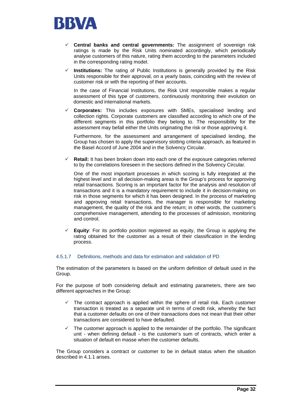

- 9 **Central banks and central governments:** The assignment of sovereign risk ratings is made by the Risk Units nominated accordingly, which periodically analyse customers of this nature, rating them according to the parameters included in the corresponding rating model.
- $\checkmark$  Institutions: The rating of Public Institutions is generally provided by the Risk Units responsible for their approval, on a yearly basis, coinciding with the review of customer risk or with the reporting of their accounts.

 In the case of Financial Institutions, the Risk Unit responsible makes a regular assessment of this type of customers, continuously monitoring their evolution on domestic and international markets.

9 **Corporates:** This includes exposures with SMEs, specialised lending and collection rights. Corporate customers are classified according to which one of the different segments in this portfolio they belong to. The responsibility for the assessment may befall either the Units originating the risk or those approving it.

Furthermore, for the assessment and arrangement of specialised lending, the Group has chosen to apply the supervisory slotting criteria approach, as featured in the Basel Accord of June 2004 and in the Solvency Circular.

**Retail:** It has been broken down into each one of the exposure categories referred to by the correlations foreseen in the sections defined in the Solvency Circular.

One of the most important processes in which scoring is fully integrated at the highest level and in all decision-making areas is the Group's process for approving retail transactions. Scoring is an important factor for the analysis and resolution of transactions and it is a mandatory requirement to include it in decision-making on risk in those segments for which it has been designed. In the process of marketing and approving retail transactions, the manager is responsible for marketing management, the quality of the risk and the return; in other words, the customer's comprehensive management, attending to the processes of admission, monitoring and control.

**Equity:** For its portfolio position registered as equity, the Group is applying the rating obtained for the customer as a result of their classification in the lending process.

### 4.5.1.7 Definitions, methods and data for estimation and validation of PD

The estimation of the parameters is based on the uniform definition of default used in the Group.

For the purpose of both considering default and estimating parameters, there are two different approaches in the Group:

- The contract approach is applied within the sphere of retail risk. Each customer transaction is treated as a separate unit in terms of credit risk, whereby the fact that a customer defaults on one of their transactions does not mean that their other transactions are considered to have defaulted.
- $\checkmark$  The customer approach is applied to the remainder of the portfolio. The significant unit - when defining default - is the customer's sum of contracts, which enter a situation of default en masse when the customer defaults.

The Group considers a contract or customer to be in default status when the situation described in 4.1.1 arises.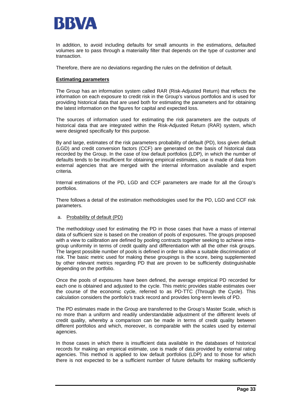

In addition, to avoid including defaults for small amounts in the estimations, defaulted volumes are to pass through a materiality filter that depends on the type of customer and transaction.

Therefore, there are no deviations regarding the rules on the definition of default.

### **Estimating parameters**

The Group has an information system called RAR (Risk-Adjusted Return) that reflects the information on each exposure to credit risk in the Group's various portfolios and is used for providing historical data that are used both for estimating the parameters and for obtaining the latest information on the figures for capital and expected loss.

The sources of information used for estimating the risk parameters are the outputs of historical data that are integrated within the Risk-Adjusted Return (RAR) system, which were designed specifically for this purpose.

By and large, estimates of the risk parameters probability of default (PD), loss given default (LGD) and credit conversion factors (CCF) are generated on the basis of historical data recorded by the Group. In the case of low default portfolios (LDP), in which the number of defaults tends to be insufficient for obtaining empirical estimates, use is made of data from external agencies that are merged with the internal information available and expert criteria.

Internal estimations of the PD, LGD and CCF parameters are made for all the Group's portfolios.

There follows a detail of the estimation methodologies used for the PD, LGD and CCF risk parameters.

### a. Probability of default (PD)

The methodology used for estimating the PD in those cases that have a mass of internal data of sufficient size is based on the creation of pools of exposures. The groups proposed with a view to calibration are defined by pooling contracts together seeking to achieve intragroup uniformity in terms of credit quality and differentiation with all the other risk groups. The largest possible number of pools is defined in order to allow a suitable discrimination of risk. The basic metric used for making these groupings is the score, being supplemented by other relevant metrics regarding PD that are proven to be sufficiently distinguishable depending on the portfolio.

Once the pools of exposures have been defined, the average empirical PD recorded for each one is obtained and adjusted to the cycle. This metric provides stable estimates over the course of the economic cycle, referred to as PD-TTC (Through the Cycle). This calculation considers the portfolio's track record and provides long-term levels of PD.

The PD estimates made in the Group are transferred to the Group's Master Scale, which is no more than a uniform and readily understandable adjustment of the different levels of credit quality, whereby a comparison can be made in terms of credit quality between different portfolios and which, moreover, is comparable with the scales used by external agencies.

In those cases in which there is insufficient data available in the databases of historical records for making an empirical estimate, use is made of data provided by external rating agencies. This method is applied to low default portfolios (LDP) and to those for which there is not expected to be a sufficient number of future defaults for making sufficiently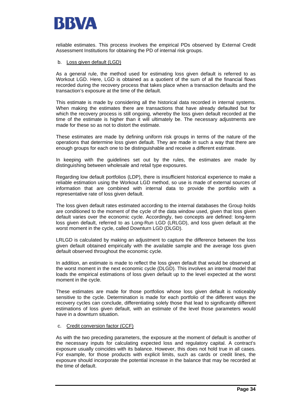

reliable estimates. This process involves the empirical PDs observed by External Credit Assessment Institutions for obtaining the PD of internal risk groups.

#### b. Loss given default (LGD)

As a general rule, the method used for estimating loss given default is referred to as Workout LGD. Here, LGD is obtained as a quotient of the sum of all the financial flows recorded during the recovery process that takes place when a transaction defaults and the transaction's exposure at the time of the default.

This estimate is made by considering all the historical data recorded in internal systems. When making the estimates there are transactions that have already defaulted but for which the recovery process is still ongoing, whereby the loss given default recorded at the time of the estimate is higher than it will ultimately be. The necessary adjustments are made for these so as not to distort the estimate.

These estimates are made by defining uniform risk groups in terms of the nature of the operations that determine loss given default. They are made in such a way that there are enough groups for each one to be distinguishable and receive a different estimate.

In keeping with the guidelines set out by the rules, the estimates are made by distinguishing between wholesale and retail type exposures.

Regarding low default portfolios (LDP), there is insufficient historical experience to make a reliable estimation using the Workout LGD method, so use is made of external sources of information that are combined with internal data to provide the portfolio with a representative rate of loss given default.

The loss given default rates estimated according to the internal databases the Group holds are conditioned to the moment of the cycle of the data window used, given that loss given default varies over the economic cycle. Accordingly, two concepts are defined: long-term loss given default, referred to as Long-Run LGD (LRLGD), and loss given default at the worst moment in the cycle, called Downturn LGD (DLGD).

LRLGD is calculated by making an adjustment to capture the difference between the loss given default obtained empirically with the available sample and the average loss given default observed throughout the economic cycle.

In addition, an estimate is made to reflect the loss given default that would be observed at the worst moment in the next economic cycle (DLGD). This involves an internal model that loads the empirical estimations of loss given default up to the level expected at the worst moment in the cycle.

These estimates are made for those portfolios whose loss given default is noticeably sensitive to the cycle. Determination is made for each portfolio of the different ways the recovery cycles can conclude, differentiating solely those that lead to significantly different estimations of loss given default, with an estimate of the level those parameters would have in a downturn situation.

#### c. Credit conversion factor (CCF)

As with the two preceding parameters, the exposure at the moment of default is another of the necessary inputs for calculating expected loss and regulatory capital. A contract's exposure usually coincides with its balance. However, this does not hold true in all cases. For example, for those products with explicit limits, such as cards or credit lines, the exposure should incorporate the potential increase in the balance that may be recorded at the time of default.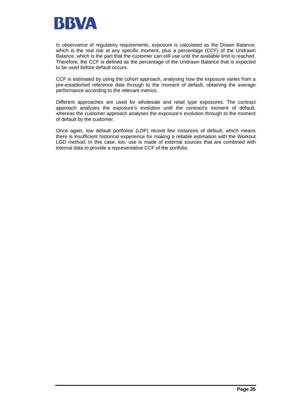

In observance of regulatory requirements, exposure is calculated as the Drawn Balance, which is the real risk at any specific moment, plus a percentage (CCF) of the Undrawn Balance, which is the part that the customer can still use until the available limit is reached. Therefore, the CCF is defined as the percentage of the Undrawn Balance that is expected to be used before default occurs.

CCF is estimated by using the cohort approach, analysing how the exposure varies from a pre-established reference date through to the moment of default, obtaining the average performance according to the relevant metrics.

Different approaches are used for wholesale and retail type exposures. The contract approach analyses the exposure's evolution until the contract's moment of default, whereas the customer approach analyses the exposure's evolution through to the moment of default by the customer.

Once again, low default portfolios (LDP) record few instances of default, which means there is insufficient historical experience for making a reliable estimation with the Workout LGD method. In this case, too, use is made of external sources that are combined with internal data to provide a representative CCF of the portfolio.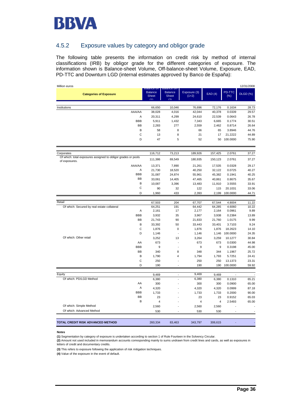

### 4.5.2 Exposure values by category and obligor grade

The following table presents the information on credit risk by method of internal classifications (IRB) by obligor grade for the different categories of exposure. The information shown is Balance-sheet Volume, Off-balance-sheet Volume, Exposure, EAD, PD-TTC and Downturn LGD (internal estimates approved by Banco de España):

| Million euros                                                 |            |                                                             |                                                            |                         |                 |                  | 12/31/2008      |
|---------------------------------------------------------------|------------|-------------------------------------------------------------|------------------------------------------------------------|-------------------------|-----------------|------------------|-----------------|
| <b>Categories of Exposure</b>                                 |            | <b>DRIRING: ON</b><br><b>Balance</b><br><b>Sheet</b><br>(1) | <b>DAIANCE ON</b><br><b>Balance</b><br><b>Sheet</b><br>(2) | Exposure (3)<br>$(1+2)$ | EAD(4)          | PD-TTC<br>$(\%)$ | <b>DLGD (%)</b> |
| Institutions                                                  |            | 66,650                                                      | 10,046                                                     | 76,696                  | 72,176          | 0.1634           | 28.73           |
|                                                               | AAA/AA     | 38,028                                                      | 4,016                                                      | 42,044                  | 40,378          | 0.0339           | 29.57           |
|                                                               | Α          | 20,311                                                      | 4,299                                                      | 24,610                  | 22,539          | 0.0643           | 26.78           |
|                                                               | <b>BBB</b> | 5,911                                                       | 1,432                                                      | 7,343                   | 6,665           | 0.1774           | 30.51           |
|                                                               | <b>BB</b>  | 2,283                                                       | 277                                                        | 2,559                   | 2,462           | 0.8714           | 26.64           |
|                                                               | В          | 58                                                          | 8                                                          | 66                      | 65              | 3.8946           | 44.76           |
|                                                               | C          | 13                                                          | 8                                                          | 21                      | 17              | 21.2222          | 44.89           |
|                                                               | D          | 47                                                          | 5                                                          | 52                      | 50              | 100.0000         | 75.90           |
| Corporates                                                    |            | 116,712                                                     | 73,213                                                     | 189,926                 | 157,425         | 2.0761           | 37.27           |
| Of which: total exposures assigned to obligor grades or pools |            |                                                             |                                                            |                         |                 |                  |                 |
| of exposures.                                                 |            | 111,386                                                     | 69,549                                                     | 180,935                 | 150,123         | 2.0761           | 37.27           |
|                                                               | AAA/AA     | 13,371                                                      | 7,890                                                      | 21,261                  | 17,535          | 0.0328           | 29.17           |
|                                                               | Α          | 21,730                                                      | 18,520                                                     | 40,250                  | 32,122          | 0.0725           | 40.27           |
|                                                               | <b>BBB</b> | 31,087                                                      | 24,874                                                     | 55,961                  | 45,382          | 0.1941           | 40.25           |
|                                                               | BB         | 33,061                                                      | 14,405                                                     | 47,465                  | 40,861          | 0.8675           | 35.67           |
|                                                               | B          | 10,087                                                      | 3,396                                                      | 13,483                  | 11,910          | 3.5555           | 33.91           |
|                                                               | C          | 90                                                          | 32                                                         | 122                     | 115             | 20.1031          | 33.06           |
|                                                               | D          | 1,960                                                       | 433                                                        | 2,393                   | 2,199           | 100.0000         | 44.71           |
| Retail                                                        |            |                                                             |                                                            |                         |                 |                  |                 |
|                                                               |            | 67,503                                                      | 204                                                        | 67,707                  | 67,544          | 4.8004           | 11.22           |
| Of which: Secured by real estate collateral                   | A          | 64,251<br>2,161                                             | 191<br>17                                                  | 64,442<br>2,177         | 64,285<br>2,164 | 4.6060<br>0.0961 | 10.22<br>9.89   |
|                                                               | <b>BBB</b> | 3,932                                                       | 35                                                         | 3,967                   | 3,938           | 0.2384           | 13.89           |
|                                                               | BB         | 21,743                                                      | 90                                                         | 21,833                  | 21,760          | 1.0175           | 9.99            |
|                                                               | B          | 33,392                                                      | 50                                                         | 33,443                  | 33,401          | 3.7103           | 9.24            |
|                                                               | C          | 1,876                                                       | 0                                                          | 1,876                   | 1,876           | 18.2623          | 14.10           |
|                                                               | D          | 1,146                                                       | ÷,                                                         | 1,146                   | 1,146           | 100.0000         | 24.35           |
| Of which: Other retail                                        |            | 3,252                                                       | 13                                                         | 3,264                   | 3,259           | 10.1277          | 30.84           |
|                                                               | AA         | 673                                                         | ÷                                                          | 673                     | 673             | 0.0300           | 44.98           |
|                                                               | <b>BBB</b> | 9                                                           | $\overline{\phantom{a}}$                                   | 9                       | 9               | 0.3198           | 45.00           |
|                                                               | <b>BB</b>  | 340                                                         | 8                                                          | 348                     | 344             | 1.1967           | 25.72           |
|                                                               | B          | 1,790                                                       | 4                                                          | 1,794                   | 1,793           | 5.7251           | 24.41           |
|                                                               | C          | 250                                                         | $\overline{a}$                                             | 250                     | 250             | 13.1373          | 23.31           |
|                                                               | D          | 190                                                         |                                                            | 190                     | 190             | 100.0000         | 59.92           |
|                                                               |            |                                                             |                                                            |                         |                 |                  |                 |
| Equity                                                        |            | 9,469                                                       | $\blacksquare$                                             | 9,469                   | 9,469           | ÷,               |                 |
| Of which: PD/LGD Method                                       |            | 6,380                                                       |                                                            | 6,380                   | 6,380           | 0.1310           | 65.21           |
|                                                               | AA         | 300                                                         |                                                            | 300                     | 300             | 0.0900           | 65.00           |
|                                                               | Α          | 4,320                                                       |                                                            | 4,320                   | 4,320           | 0.0999           | 87.18           |
|                                                               | <b>BBB</b> | 1,733                                                       |                                                            | 1,733                   | 1,733           | 0.2000           | 90.00           |
|                                                               | BB         | 23                                                          |                                                            | 23                      | 23              | 0.9152           | 65.03           |
|                                                               | B          | $\overline{4}$                                              |                                                            | 4                       | $\overline{4}$  | 2.5493           | 65.00           |
| Of which: Simple Method                                       |            | 2,560                                                       |                                                            | 2,560                   | 2,560           |                  |                 |
| Of which: Advanced Method                                     |            | 530                                                         |                                                            | 530                     | 530             |                  |                 |
|                                                               |            |                                                             |                                                            |                         |                 |                  |                 |
| TOTAL CREDIT RISK ADVANCED METHOD                             |            | 260.334                                                     | 83.463                                                     | 343,797                 | 306,615         |                  |                 |

**Notes**

**(1)** Segmentation by category of exposure is undertaken according to section 1 of Rule Fourteen in the Solvency Circular.

**(2)** Amount not used included in memorandum accounts corresponding mainly to sums undrawn from credit lines and cards, as well as exposures in letters of credit and documentary credits.

**(3)** This refers to exposure following the application of risk mitigation techniques.

**(4)** Value of the exposure in the event of default.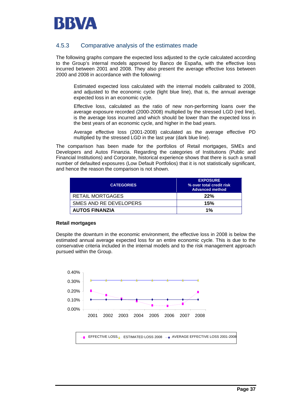

### 4.5.3 Comparative analysis of the estimates made

The following graphs compare the expected loss adjusted to the cycle calculated according to the Group's internal models approved by Banco de España, with the effective loss incurred between 2001 and 2008. They also present the average effective loss between 2000 and 2008 in accordance with the following:

 Estimated expected loss calculated with the internal models calibrated to 2008, and adjusted to the economic cycle (light blue line), that is, the annual average expected loss in an economic cycle.

 Effective loss, calculated as the ratio of new non-performing loans over the average exposure recorded (2000-2008) multiplied by the stressed LGD (red line), is the average loss incurred and which should be lower than the expected loss in the best years of an economic cycle, and higher in the bad years.

 Average effective loss (2001-2008) calculated as the average effective PD multiplied by the stressed LGD in the last year (dark blue line).

The comparison has been made for the portfolios of Retail mortgages, SMEs and Developers and Autos Finanzia. Regarding the categories of Institutions (Public and Financial Institutions) and Corporate, historical experience shows that there is such a small number of defaulted exposures (Low Default Portfolios) that it is not statistically significant, and hence the reason the comparison is not shown.

| <b>CATEGORIES</b>       | <b>EXPOSURE</b><br>% over total credit risk<br><b>Advanced method</b> |
|-------------------------|-----------------------------------------------------------------------|
| <b>RETAIL MORTGAGES</b> | 22%                                                                   |
| SMES AND RE DEVELOPERS  | 15%                                                                   |
| <b>AUTOS FINANZIA</b>   | 1%                                                                    |

#### **Retail mortgages**

Despite the downturn in the economic environment, the effective loss in 2008 is below the estimated annual average expected loss for an entire economic cycle. This is due to the conservative criteria included in the internal models and to the risk management approach pursued within the Group.



EFFECTIVE LOSS <sub>A</sub>— ESTIMATED LOSS 2008 <sub>→</sub> AVERAGE EFFECTIVE LOSS 2001-2008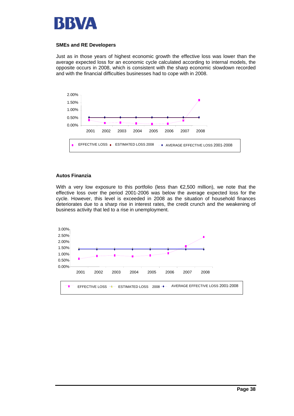

### **SMEs and RE Developers**

Just as in those years of highest economic growth the effective loss was lower than the average expected loss for an economic cycle calculated according to internal models, the opposite occurs in 2008, which is consistent with the sharp economic slowdown recorded and with the financial difficulties businesses had to cope with in 2008.



#### **Autos Finanzia**

With a very low exposure to this portfolio (less than  $\epsilon$ 2,500 million), we note that the effective loss over the period 2001-2006 was below the average expected loss for the cycle. However, this level is exceeded in 2008 as the situation of household finances deteriorates due to a sharp rise in interest rates, the credit crunch and the weakening of business activity that led to a rise in unemployment.

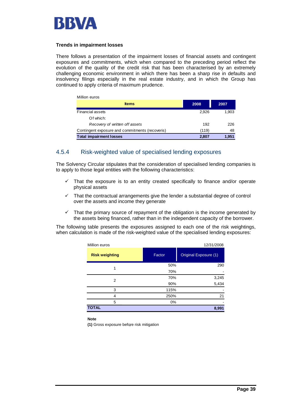

#### **Trends in impairment losses**

There follows a presentation of the impairment losses of financial assets and contingent exposures and commitments, which when compared to the preceding period reflect the evolution of the quality of the credit risk that has been characterised by an extremely challenging economic environment in which there has been a sharp rise in defaults and insolvency filings especially in the real estate industry, and in which the Group has continued to apply criteria of maximum prudence.

| <b>Items</b>                                    | 2008  | 2007  |
|-------------------------------------------------|-------|-------|
| <b>Financial assets</b>                         | 2.926 | 1.903 |
| Of which:                                       |       |       |
| Recovery of written off assets                  | 192   | 226   |
| Contingent exposure and commitments (recoveris) | (119) | 48    |
| <b>Total impairment losses</b>                  | 2.807 | 1.951 |

### 4.5.4 Risk-weighted value of specialised lending exposures

The Solvency Circular stipulates that the consideration of specialised lending companies is to apply to those legal entities with the following characteristics:

- $\checkmark$  That the exposure is to an entity created specifically to finance and/or operate physical assets
- That the contractual arrangements give the lender a substantial degree of control over the assets and income they generate
- $\checkmark$  That the primary source of repayment of the obligation is the income generated by the assets being financed, rather than in the independent capacity of the borrower.

The following table presents the exposures assigned to each one of the risk weightings, when calculation is made of the risk-weighted value of the specialised lending exposures:

| Million euros         |        | 12/31/2008               |
|-----------------------|--------|--------------------------|
| <b>Risk weighting</b> | Factor | Original Exposure (1)    |
| 1                     | 50%    | 290                      |
|                       | 70%    | $\overline{\phantom{a}}$ |
| 2                     | 70%    | 3,245<br>5,434           |
|                       | 90%    |                          |
| 3                     | 115%   |                          |
| 4                     | 250%   | 21                       |
| 5                     | 0%     |                          |
| <b>TOTAL</b>          |        | 8,991                    |

**Note**

**(1)** Gross exposure before risk mitigation ,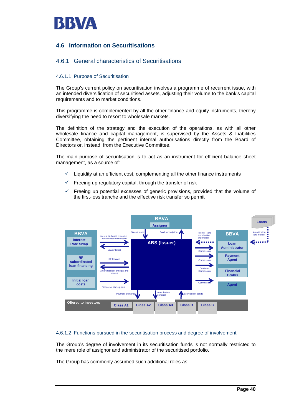

## **4.6 Information on Securitisations**

### 4.6.1 General characteristics of Securitisations

### 4.6.1.1 Purpose of Securitisation

The Group's current policy on securitisation involves a programme of recurrent issue, with an intended diversification of securitised assets, adjusting their volume to the bank's capital requirements and to market conditions.

This programme is complemented by all the other finance and equity instruments, thereby diversifying the need to resort to wholesale markets.

The definition of the strategy and the execution of the operations, as with all other wholesale finance and capital management, is supervised by the Assets & Liabilities Committee, obtaining the pertinent internal authorisations directly from the Board of Directors or, instead, from the Executive Committee.

The main purpose of securitisation is to act as an instrument for efficient balance sheet management, as a source of:

- Liquidity at an efficient cost, complementing all the other finance instruments
- $\checkmark$  Freeing up regulatory capital, through the transfer of risk
- Freeing up potential excesses of generic provisions, provided that the volume of the first-loss tranche and the effective risk transfer so permit



### 4.6.1.2 Functions pursued in the securitisation process and degree of involvement

The Group's degree of involvement in its securitisation funds is not normally restricted to the mere role of assignor and administrator of the securitised portfolio.

The Group has commonly assumed such additional roles as: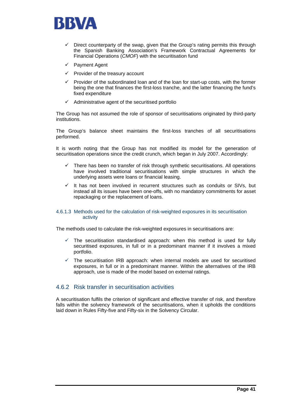

- Direct counterparty of the swap, given that the Group's rating permits this through the Spanish Banking Association's Framework Contractual Agreements for Financial Operations (*CMOF*) with the securitisation fund
- $\checkmark$  Payment Agent
- $\checkmark$  Provider of the treasury account
- 9 Provider of the subordinated loan and of the loan for start-up costs, with the former being the one that finances the first-loss tranche, and the latter financing the fund's fixed expenditure
- $\checkmark$  Administrative agent of the securitised portfolio

The Group has not assumed the role of sponsor of securitisations originated by third-party institutions.

The Group's balance sheet maintains the first-loss tranches of all securitisations performed.

It is worth noting that the Group has not modified its model for the generation of securitisation operations since the credit crunch, which began in July 2007. Accordingly:

- There has been no transfer of risk through synthetic securitisations. All operations have involved traditional securitisations with simple structures in which the underlying assets were loans or financial leasing.
- It has not been involved in recurrent structures such as conduits or SIVs, but instead all its issues have been one-offs, with no mandatory commitments for asset repackaging or the replacement of loans.

#### 4.6.1.3 Methods used for the calculation of risk-weighted exposures in its securitisation activity

The methods used to calculate the risk-weighted exposures in securitisations are:

- The securitisation standardised approach: when this method is used for fully securitised exposures, in full or in a predominant manner if it involves a mixed portfolio.
- The securitisation IRB approach: when internal models are used for securitised exposures, in full or in a predominant manner. Within the alternatives of the IRB approach, use is made of the model based on external ratings.

### 4.6.2 Risk transfer in securitisation activities

A securitisation fulfils the criterion of significant and effective transfer of risk, and therefore falls within the solvency framework of the securitisations, when it upholds the conditions laid down in Rules Fifty-five and Fifty-six in the Solvency Circular.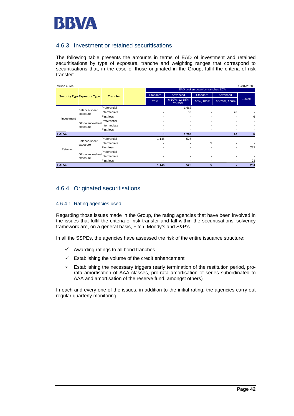

### 4.6.3 Investment or retained securitisations

The following table presents the amounts in terms of EAD of investment and retained securitisations by type of exposure, tranche and weighting ranges that correspond to securitisations that, in the case of those originated in the Group, fulfil the criteria of risk transfer:

| Million euros |                                                                                           |                |  |                                  |                          |                 |              | 12/31/2008 |  |  |  |  |
|---------------|-------------------------------------------------------------------------------------------|----------------|--|----------------------------------|--------------------------|-----------------|--------------|------------|--|--|--|--|
|               |                                                                                           |                |  | EAD broken down by tranches ECAI |                          |                 |              |            |  |  |  |  |
|               | Security Type:Exposure Type                                                               | <b>Tranche</b> |  | Standard<br>Advanced             |                          | <b>Standard</b> | Advanced     |            |  |  |  |  |
|               |                                                                                           |                |  | 20%                              | 6-10%; 12-18%;<br>20-35% | 50%; 100%       | 50-75%; 100% | 1250%      |  |  |  |  |
|               |                                                                                           | Preferential   |  |                                  | 1,668                    |                 |              |            |  |  |  |  |
|               | Balance-sheet<br>exposure                                                                 | Intermediate   |  |                                  | 36                       |                 | 26           |            |  |  |  |  |
|               | First-loss<br>Investment<br>Preferential<br>Off-balance-sheet<br>Intermediate<br>exposure |                |  |                                  |                          |                 |              | 6          |  |  |  |  |
|               |                                                                                           |                |  |                                  |                          |                 |              |            |  |  |  |  |
|               |                                                                                           |                |  |                                  |                          |                 |              |            |  |  |  |  |
|               | First-loss                                                                                |                |  |                                  |                          |                 |              |            |  |  |  |  |
| <b>TOTAL</b>  |                                                                                           |                |  | $\bf{0}$                         | 1,704                    |                 | 26           | 6          |  |  |  |  |
|               | Balance-sheet                                                                             | Preferential   |  | 1,146                            | 525                      |                 |              |            |  |  |  |  |
|               | exposure                                                                                  | Intermediate   |  |                                  |                          | 5               | ٠            |            |  |  |  |  |
| Retained      |                                                                                           | First-loss     |  |                                  | $\overline{\phantom{a}}$ | ٠               | ٠            | 227        |  |  |  |  |
|               |                                                                                           | Preferential   |  |                                  | ۰                        |                 | ٠            |            |  |  |  |  |
|               | Off-balance-sheet<br>Intermediate<br>exposure                                             |                |  |                                  | ٠                        |                 |              |            |  |  |  |  |
|               |                                                                                           | First-loss     |  |                                  |                          |                 | ٠            | 23         |  |  |  |  |
| <b>TOTAL</b>  |                                                                                           |                |  | 1,146                            | 525                      | 5               | ٠            | 251        |  |  |  |  |

## 4.6.4 Originated securitisations

#### 4.6.4.1 Rating agencies used

Regarding those issues made in the Group, the rating agencies that have been involved in the issues that fulfil the criteria of risk transfer and fall within the securitisations' solvency framework are, on a general basis, Fitch, Moody's and S&P's.

In all the SSPEs, the agencies have assessed the risk of the entire issuance structure:

- $\checkmark$  Awarding ratings to all bond tranches
- $\checkmark$  Establishing the volume of the credit enhancement
- $\checkmark$  Establishing the necessary triggers (early termination of the restitution period, prorata amortisation of AAA classes, pro-rata amortisation of series subordinated to AAA and amortisation of the reserve fund, amongst others)

In each and every one of the issues, in addition to the initial rating, the agencies carry out regular quarterly monitoring.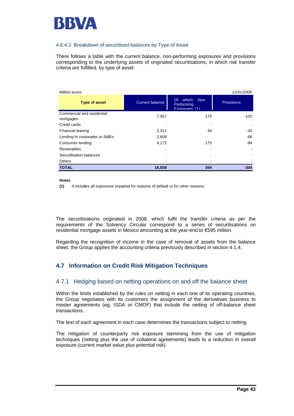

### 4.6.4.2 Breakdown of securitised balances by Type of Asset

There follows a table with the current balance, non-performing exposures and provisions corresponding to the underlying assets of originated securitisations, in which risk transfer criteria are fulfilled, by type of asset:

| Million euros                           |                        |                                                      | 12/31/2008        |
|-----------------------------------------|------------------------|------------------------------------------------------|-------------------|
| <b>Type of asset</b>                    | <b>Current balance</b> | which:<br>- Non<br>Of<br>Performing<br>Exposures (1) | <b>Provisions</b> |
| Commercial and residential<br>mortgages | 7,567                  | 175                                                  | $-102$            |
| Credit cards                            |                        |                                                      |                   |
| Financial leasing                       | 2,311                  | 44                                                   | -42               |
| Lending to corporates or SMEs           | 2,609                  |                                                      | -66               |
| Consumer lending                        | 4,172                  | 175                                                  | $-94$             |
| Receivables                             |                        | -                                                    |                   |
| Securitisation balances                 |                        | -                                                    |                   |
| <b>Others</b>                           |                        |                                                      |                   |
| <b>TOTAL</b>                            | 16,659                 | 394                                                  | $-304$            |

#### **Notes**

(1) It includes all exposures impaired for reasons of default or for other reasons.

The securitisations originated in 2008, which fulfil the transfer criteria as per the requirements of the Solvency Circular correspond to a series of securitisations on residential mortgage assets in Mexico amounting at the year-end to €595 million.

Regarding the recognition of income in the case of removal of assets from the balance sheet, the Group applies the accounting criteria previously described in section 4.1.4.

## **4.7 Information on Credit Risk Mitigation Techniques**

### 4.7.1 Hedging based on netting operations on and off the balance sheet

Within the limits established by the rules on netting in each one of its operating countries, the Group negotiates with its customers the assignment of the derivatives business to master agreements (eg, ISDA or CMOF) that include the netting of off-balance sheet transactions.

The text of each agreement in each case determines the transactions subject to netting.

The mitigation of counterparty risk exposure stemming from the use of mitigation techniques (netting plus the use of collateral agreements) leads to a reduction in overall exposure (current market value plus potential risk).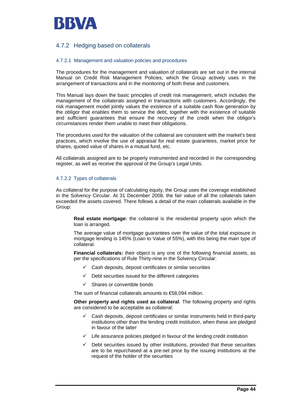

### 4.7.2 Hedging based on collaterals

#### 4.7.2.1 Management and valuation policies and procedures

The procedures for the management and valuation of collaterals are set out in the internal Manual on Credit Risk Management Policies, which the Group actively uses in the arrangement of transactions and in the monitoring of both these and customers.

This Manual lays down the basic principles of credit risk management, which includes the management of the collaterals assigned in transactions with customers. Accordingly, the risk management model jointly values the existence of a suitable cash flow generation by the obligor that enables them to service the debt, together with the existence of suitable and sufficient guarantees that ensure the recovery of the credit when the obligor's circumstances render them unable to meet their obligations.

The procedures used for the valuation of the collateral are consistent with the market's best practices, which involve the use of appraisal for real estate guarantees, market price for shares, quoted value of shares in a mutual fund, etc.

All collaterals assigned are to be properly instrumented and recorded in the corresponding register, as well as receive the approval of the Group's Legal Units.

#### 4.7.2.2 Types of collaterals

As collateral for the purpose of calculating equity, the Group uses the coverage established in the Solvency Circular. At 31 December 2008, the fair value of all the collaterals taken exceeded the assets covered. There follows a detail of the main collaterals available in the Group:

**Real estate mortgage:** the collateral is the residential property upon which the loan is arranged.

The average value of mortgage guarantees over the value of the total exposure in mortgage lending is 145% (Loan to Value of 55%), with this being the main type of collateral.

**Financial collaterals:** their object is any one of the following financial assets, as per the specifications of Rule Thirty-nine in the Solvency Circular:

- $\checkmark$  Cash deposits, deposit certificates or similar securities
- $\checkmark$  Debt securities issued for the different categories
- Shares or convertible bonds

The sum of financial collaterals amounts to €58,094 million.

**Other property and rights used as collateral**. The following property and rights are considered to be acceptable as collateral:

- Cash deposits, deposit certificates or similar instruments held in third-party institutions other than the lending credit institution, when these are pledged in favour of the latter
- $\checkmark$  Life assurance policies pledged in favour of the lending credit institution
- $\checkmark$  Debt securities issued by other institutions, provided that these securities are to be repurchased at a pre-set price by the issuing institutions at the request of the holder of the securities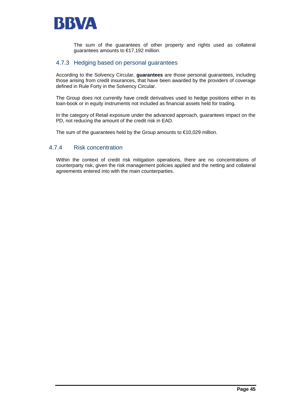

The sum of the guarantees of other property and rights used as collateral guarantees amounts to €17,192 million.

### 4.7.3 Hedging based on personal guarantees

According to the Solvency Circular, **guarantees** are those personal guarantees, including those arising from credit insurances, that have been awarded by the providers of coverage defined in Rule Forty in the Solvency Circular.

The Group does not currently have credit derivatives used to hedge positions either in its loan-book or in equity instruments not included as financial assets held for trading.

In the category of Retail exposure under the advanced approach, guarantees impact on the PD, not reducing the amount of the credit risk in EAD.

The sum of the guarantees held by the Group amounts to €10,029 million.

### 4.7.4 Risk concentration

Within the context of credit risk mitigation operations, there are no concentrations of counterparty risk, given the risk management policies applied and the netting and collateral agreements entered into with the main counterparties.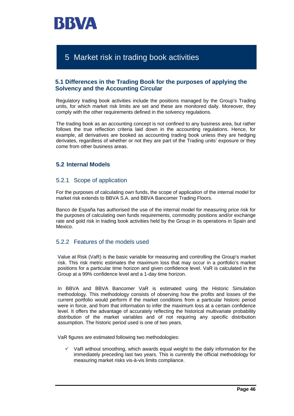

# 5 Market risk in trading book activities

### **5.1 Differences in the Trading Book for the purposes of applying the Solvency and the Accounting Circular**

Regulatory trading book activities include the positions managed by the Group's Trading units, for which market risk limits are set and these are monitored daily. Moreover, they comply with the other requirements defined in the solvency regulations.

The trading book as an accounting concept is not confined to any business area, but rather follows the true reflection criteria laid down in the accounting regulations. Hence, for example, all derivatives are booked as accounting trading book unless they are hedging derivates, regardless of whether or not they are part of the Trading units' exposure or they come from other business areas.

### **5.2 Internal Models**

### 5.2.1 Scope of application

For the purposes of calculating own funds, the scope of application of the internal model for market risk extends to BBVA S.A. and BBVA Bancomer Trading Floors.

Banco de España has authorised the use of the internal model for measuring price risk for the purposes of calculating own funds requirements, commodity positions and/or exchange rate and gold risk in trading book activities held by the Group in its operations in Spain and Mexico.

### 5.2.2 Features of the models used

Value at Risk (VaR) is the basic variable for measuring and controlling the Group's market risk. This risk metric estimates the maximum loss that may occur in a portfolio's market positions for a particular time horizon and given confidence level. VaR is calculated in the Group at a 99% confidence level and a 1-day time horizon.

In BBVA and BBVA Bancomer VaR is estimated using the Historic Simulation methodology. This methodology consists of observing how the profits and losses of the current portfolio would perform if the market conditions from a particular historic period were in force, and from that information to infer the maximum loss at a certain confidence level. It offers the advantage of accurately reflecting the historical multivariate probability distribution of the market variables and of not requiring any specific distribution assumption. The historic period used is one of two years.

VaR figures are estimated following two methodologies:

9 VaR without smoothing, which awards equal weight to the daily information for the immediately preceding last two years. This is currently the official methodology for measuring market risks vis-à-vis limits compliance.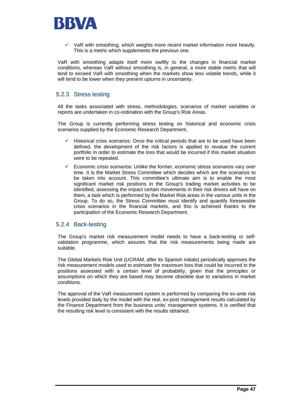

VaR with smoothing, which weights more recent market information more heavily. This is a metric which supplements the previous one.

VaR with smoothing adapts itself more swiftly to the changes in financial market conditions, whereas VaR without smoothing is, in general, a more stable metric that will tend to exceed VaR with smoothing when the markets show less volatile trends, while it will tend to be lower when they present upturns in uncertainty.

### 5.2.3 Stress testing

All the tasks associated with stress, methodologies, scenarios of market variables or reports are undertaken in co-ordination with the Group's Risk Areas.

The Group is currently performing stress testing on historical and economic crisis scenarios supplied by the Economic Research Department.

- Historical crisis scenarios: Once the critical periods that are to be used have been defined, the development of the risk factors is applied to revalue the current portfolio in order to estimate the loss that would be incurred if this market situation were to be repeated.
- 9 Economic crisis scenarios: Unlike the former, economic stress scenarios vary over time. It is the Market Stress Committee which decides which are the scenarios to be taken into account. This committee's ultimate aim is to enable the most significant market risk positions in the Group's trading market activities to be identified, assessing the impact certain movements in their risk drivers will have on them, a task which is performed by the Market Risk areas in the various units in the Group. To do so, the Stress Committee must identify and quantify foreseeable crisis scenarios in the financial markets, and this is achieved thanks to the participation of the Economic Research Department.

### 5.2.4 Back-testing

The Group's market risk measurement model needs to have a back-testing or selfvalidation programme, which assures that the risk measurements being made are suitable.

The Global Markets Risk Unit (*UCRAM,* after its Spanish initials) periodically approves the risk measurement models used to estimate the maximum loss that could be incurred in the positions assessed with a certain level of probability, given that the principles or assumptions on which they are based may become obsolete due to variations in market conditions.

The approval of the VaR measurement system is performed by comparing the ex-ante risk levels provided daily by the model with the real, ex-post management results calculated by the Finance Department from the business units' management systems. It is verified that the resulting risk level is consistent with the results obtained.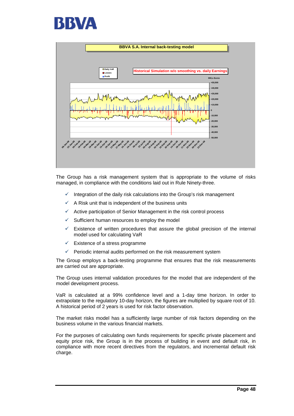



The Group has a risk management system that is appropriate to the volume of risks managed, in compliance with the conditions laid out in Rule Ninety-three.

- $\checkmark$  Integration of the daily risk calculations into the Group's risk management
- $\checkmark$  A Risk unit that is independent of the business units
- $\checkmark$  Active participation of Senior Management in the risk control process
- $\checkmark$  Sufficient human resources to employ the model
- Existence of written procedures that assure the global precision of the internal model used for calculating VaR
- $\checkmark$  Existence of a stress programme
- $\checkmark$  Periodic internal audits performed on the risk measurement system

The Group employs a back-testing programme that ensures that the risk measurements are carried out are appropriate.

The Group uses internal validation procedures for the model that are independent of the model development process.

VaR is calculated at a 99% confidence level and a 1-day time horizon. In order to extrapolate to the regulatory 10-day horizon, the figures are multiplied by square root of 10. A historical period of 2 years is used for risk factor observation.

The market risks model has a sufficiently large number of risk factors depending on the business volume in the various financial markets.

For the purposes of calculating own funds requirements for specific private placement and equity price risk, the Group is in the process of building in event and default risk, in compliance with more recent directives from the regulators, and incremental default risk charge.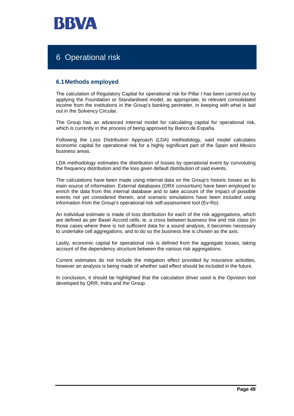

# 6 Operational risk

### **6.1 Methods employed**

The calculation of Regulatory Capital for operational risk for Pillar I has been carried out by applying the Foundation or Standardised model, as appropriate, to relevant consolidated income from the institutions in the Group's banking perimeter, in keeping with what is laid out in the Solvency Circular.

The Group has an advanced internal model for calculating capital for operational risk, which is currently in the process of being approved by Banco de España.

Following the Loss Distribution Approach (LDA) methodology, said model calculates economic capital for operational risk for a highly significant part of the Spain and Mexico business areas.

LDA methodology estimates the distribution of losses by operational event by convoluting the frequency distribution and the loss given default distribution of said events.

The calculations have been made using internal data on the Group's historic losses as its main source of information. External databases (ORX consortium) have been employed to enrich the data from this internal database and to take account of the impact of possible events not yet considered therein, and scenario simulations have been included using information from the Group's operational risk self-assessment tool (Ev-Ro).

An individual estimate is made of loss distribution for each of the risk aggregations, which are defined as per Basel Accord cells, ie, a cross between business line and risk class (in those cases where there is not sufficient data for a sound analysis, it becomes necessary to undertake cell aggregations, and to do so the business line is chosen as the axis.

Lastly, economic capital for operational risk is defined from the aggregate losses, taking account of the dependency structure between the various risk aggregations.

Current estimates do not include the mitigation effect provided by insurance activities, however an analysis is being made of whether said effect should be included in the future.

In conclusion, it should be highlighted that the calculation driver used is the Opvision tool developed by QRR, Indra and the Group.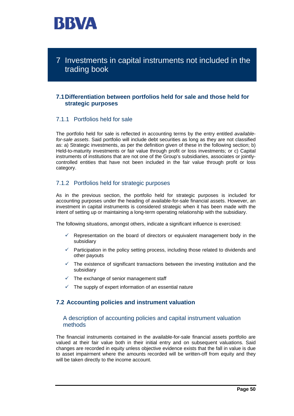

7 Investments in capital instruments not included in the trading book

### **7.1 Differentiation between portfolios held for sale and those held for strategic purposes**

### 7.1.1 Portfolios held for sale

The portfolio held for sale is reflected in accounting terms by the entry entitled *availablefor-sale assets*. Said portfolio will include debt securities as long as they are not classified as: a) Strategic investments, as per the definition given of these in the following section; b) Held-to-maturity investments or fair value through profit or loss investments; or c) Capital instruments of institutions that are not one of the Group's subsidiaries, associates or jointlycontrolled entities that have not been included in the fair value through profit or loss category.

### 7.1.2 Portfolios held for strategic purposes

As in the previous section, the portfolio held for strategic purposes is included for accounting purposes under the heading of available-for-sale financial assets. However, an investment in capital instruments is considered strategic when it has been made with the intent of setting up or maintaining a long-term operating relationship with the subsidiary.

The following situations, amongst others, indicate a significant influence is exercised:

- $\checkmark$  Representation on the board of directors or equivalent management body in the subsidiary
- $\checkmark$  Participation in the policy setting process, including those related to dividends and other payouts
- $\checkmark$  The existence of significant transactions between the investing institution and the subsidiary
- $\checkmark$  The exchange of senior management staff
- $\checkmark$  The supply of expert information of an essential nature

### **7.2 Accounting policies and instrument valuation**

### A description of accounting policies and capital instrument valuation methods

The financial instruments contained in the available-for-sale financial assets portfolio are valued at their fair value both in their initial entry and on subsequent valuations. Said changes are recorded in equity unless objective evidence exists that the fall in value is due to asset impairment where the amounts recorded will be written-off from equity and they will be taken directly to the income account.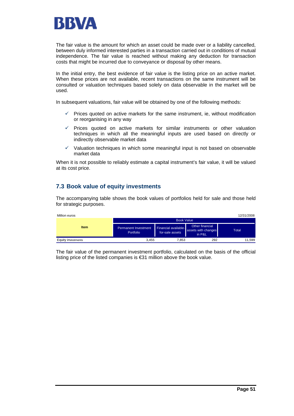

The fair value is the amount for which an asset could be made over or a liability cancelled, between duly informed interested parties in a transaction carried out in conditions of mutual independence. The fair value is reached without making any deduction for transaction costs that might be incurred due to conveyance or disposal by other means.

In the initial entry, the best evidence of fair value is the listing price on an active market. When these prices are not available, recent transactions on the same instrument will be consulted or valuation techniques based solely on data observable in the market will be used.

In subsequent valuations, fair value will be obtained by one of the following methods:

- $\checkmark$  Prices quoted on active markets for the same instrument, ie, without modification or reorganising in any way
- $\checkmark$  Prices quoted on active markets for similar instruments or other valuation techniques in which all the meaningful inputs are used based on directly or indirectly observable market data
- $\checkmark$  Valuation techniques in which some meaningful input is not based on observable market data

When it is not possible to reliably estimate a capital instrument's fair value, it will be valued at its cost price.

### **7.3 Book value of equity investments**

The accompanying table shows the book values of portfolios held for sale and those held for strategic purposes.

| Million euros      |                                          |                                                |                                                  | 12/31/2008 |  |  |  |  |
|--------------------|------------------------------------------|------------------------------------------------|--------------------------------------------------|------------|--|--|--|--|
| <b>Item</b>        | <b>Book Value</b>                        |                                                |                                                  |            |  |  |  |  |
|                    | <b>Permanent Investment</b><br>Portfolio | <b>Financial available-</b><br>for-sale assets | Other financial<br>assets with changes<br>in P&L | Total      |  |  |  |  |
| Equity investments | 3.455                                    | 7.853                                          | 292                                              | 11.599     |  |  |  |  |

The fair value of the permanent investment portfolio, calculated on the basis of the official listing price of the listed companies is €31 million above the book value.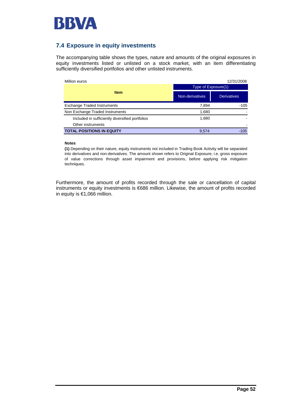

## **7.4 Exposure in equity investments**

The accompanying table shows the types, nature and amounts of the original exposures in equity investments listed or unlisted on a stock market, with an item differentiating sufficiently diversified portfolios and other unlisted instruments.

| Million euros                                   |                     | 12/31/2008         |
|-------------------------------------------------|---------------------|--------------------|
|                                                 | Type of Exposure(1) |                    |
| <b>Item</b>                                     | Non-derivatives     | <b>Derivatives</b> |
| <b>Exchange Traded Instruments</b>              | 7.894               | $-105$             |
| Non Exchange Traded Instruments                 | 1,680               |                    |
| Included in sufficiently diversified portfolios | 1,680               |                    |
| Other instruments                               |                     |                    |
| <b>TOTAL POSITIONS IN EQUITY</b>                | 9.574               | $-105$             |

#### **Notes**

**(1)** Depending on their nature, equity instruments not included in Trading Book Activity will be separated into derivatives and non-derivatives. The amount shown refers to Original Exposure, i.e. gross exposure of value corrections through asset impairment and provisions, before applying risk mitigation techniques.

Furthermore, the amount of profits recorded through the sale or cancellation of capital instruments or equity investments is €686 million. Likewise, the amount of profits recorded in equity is €1,066 million.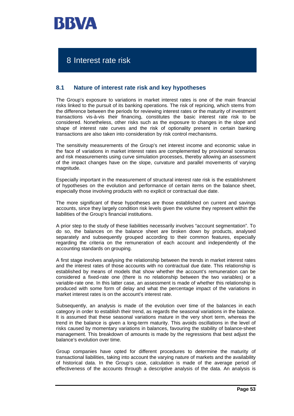

## 8 Interest rate risk

### **8.1 Nature of interest rate risk and key hypotheses**

The Group's exposure to variations in market interest rates is one of the main financial risks linked to the pursuit of its banking operations. The risk of repricing, which stems from the difference between the periods for reviewing interest rates or the maturity of investment transactions vis-à-vis their financing, constitutes the basic interest rate risk to be considered. Nonetheless, other risks such as the exposure to changes in the slope and shape of interest rate curves and the risk of optionality present in certain banking transactions are also taken into consideration by risk control mechanisms.

The sensitivity measurements of the Group's net interest income and economic value in the face of variations in market interest rates are complemented by provisional scenarios and risk measurements using curve simulation processes, thereby allowing an assessment of the impact changes have on the slope, curvature and parallel movements of varying magnitude.

Especially important in the measurement of structural interest rate risk is the establishment of hypotheses on the evolution and performance of certain items on the balance sheet, especially those involving products with no explicit or contractual due date.

The more significant of these hypotheses are those established on current and savings accounts, since they largely condition risk levels given the volume they represent within the liabilities of the Group's financial institutions.

A prior step to the study of these liabilities necessarily involves "account segmentation". To do so, the balances on the balance sheet are broken down by products, analysed separately and subsequently grouped according to their common features, especially regarding the criteria on the remuneration of each account and independently of the accounting standards on grouping.

A first stage involves analysing the relationship between the trends in market interest rates and the interest rates of those accounts with no contractual due date. This relationship is established by means of models that show whether the account's remuneration can be considered a fixed-rate one (there is no relationship between the two variables) or a variable-rate one. In this latter case, an assessment is made of whether this relationship is produced with some form of delay and what the percentage impact of the variations in market interest rates is on the account's interest rate.

Subsequently, an analysis is made of the evolution over time of the balances in each category in order to establish their trend, as regards the seasonal variations in the balance. It is assumed that these seasonal variations mature in the very short term, whereas the trend in the balance is given a long-term maturity. This avoids oscillations in the level of risks caused by momentary variations in balances, favouring the stability of balance-sheet management. This breakdown of amounts is made by the regressions that best adjust the balance's evolution over time.

Group companies have opted for different procedures to determine the maturity of transactional liabilities, taking into account the varying nature of markets and the availability of historical data. In the Group's case, calculation is made of the average period of effectiveness of the accounts through a descriptive analysis of the data. An analysis is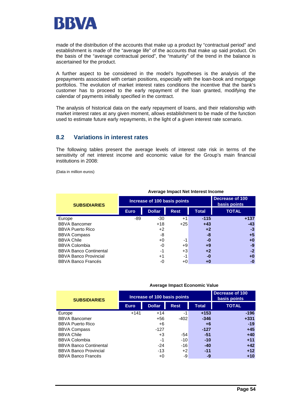

made of the distribution of the accounts that make up a product by "contractual period" and establishment is made of the "average life" of the accounts that make up said product. On the basis of the "average contractual period", the "maturity" of the trend in the balance is ascertained for the product.

A further aspect to be considered in the model's hypotheses is the analysis of the prepayments associated with certain positions, especially with the loan-book and mortgage portfolios. The evolution of market interest rates conditions the incentive that the bank's customer has to proceed to the early repayment of the loan granted, modifying the calendar of payments initially specified in the contract.

The analysis of historical data on the early repayment of loans, and their relationship with market interest rates at any given moment, allows establishment to be made of the function used to estimate future early repayments, in the light of a given interest rate scenario.

### **8.2 Variations in interest rates**

The following tables present the average levels of interest rate risk in terms of the sensitivity of net interest income and economic value for the Group's main financial institutions in 2008:

(Data in million euros)

|                               |             |                              | Average impact net interest income |        |              |
|-------------------------------|-------------|------------------------------|------------------------------------|--------|--------------|
| <b>SUBSIDIARIES</b>           |             | Increase of 100 basis points | Decrease of 100<br>basis points    |        |              |
|                               | <b>Euro</b> | <b>Dollar</b>                | <b>Rest</b>                        | Total  | <b>TOTAL</b> |
| Europe                        | -89         | -30                          | $+1$                               | $-115$ | $+137$       |
| <b>BBVA Bancomer</b>          |             | $+18$                        | $+25$                              | $+43$  | $-43$        |
| <b>BBVA Puerto Rico</b>       |             | $+2$                         |                                    | $+2$   | -3           |
| <b>BBVA Compass</b>           |             | -8                           |                                    | -8     | +5           |
| <b>BBVA Chile</b>             |             | $+0$                         | -1                                 | -0     | +0           |
| <b>BBVA Colombia</b>          |             | -0                           | +9                                 | $+9$   | -9           |
| <b>BBVA Banco Continental</b> |             | $-1$                         | +3                                 | $+2$   | $-2$         |
| <b>BBVA Banco Provincial</b>  |             | $+1$                         | $-1$                               | -0     | +0           |
| <b>BBVA Banco Francés</b>     |             | -0                           | +0                                 | +0     | -0           |

#### **Average Impact Net Interest Income**

#### **Average Impact Economic Value**

| <b>SUBSIDIARIES</b>           |        | Increase of 100 basis points | Decrease of 100<br>basis points |        |              |
|-------------------------------|--------|------------------------------|---------------------------------|--------|--------------|
|                               | Euro,  | <b>Dollar</b>                | <b>Rest</b>                     | Total  | <b>TOTAL</b> |
| Europe                        | $+141$ | $+14$                        | -1                              | $+153$ | $-196$       |
| <b>BBVA Bancomer</b>          |        | $+56$                        | $-402$                          | $-346$ | $+331$       |
| <b>BBVA Puerto Rico</b>       |        | +6                           |                                 | +6     | $-19$        |
| <b>BBVA Compass</b>           |        | $-127$                       |                                 | $-127$ | $+45$        |
| <b>BBVA Chile</b>             |        | $+3$                         | -54                             | $-51$  | $+40$        |
| <b>BBVA Colombia</b>          |        | -1                           | $-10$                           | $-10$  | $+11$        |
| <b>BBVA Banco Continental</b> |        | $-24$                        | $-16$                           | $-40$  | $+42$        |
| <b>BBVA Banco Provincial</b>  |        | $-13$                        | $+2$                            | $-11$  | $+12$        |
| <b>BBVA Banco Francés</b>     |        | $+0$                         | -9                              | -9     | $+10$        |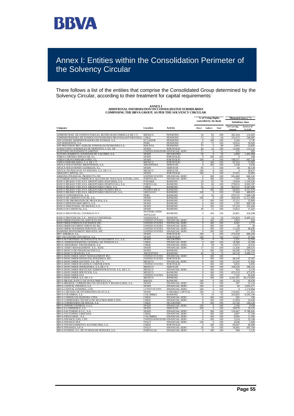

# Annex I: Entities within the Consolidation Perimeter of the Solvency Circular

There follows a list of the entities that comprise the Consolidated Group determined by the Solvency Circular, according to their treatment for capital requirements:

| <b>COMPOSING THE BBVA GROUP, AS PER THE SOLVENCY CIRCULAR</b>                                   |                                |                                                |                                              | % of Voting Rights         |            | Thous and euros ( * )<br>Subsidiary data |                          |  |
|-------------------------------------------------------------------------------------------------|--------------------------------|------------------------------------------------|----------------------------------------------|----------------------------|------------|------------------------------------------|--------------------------|--|
|                                                                                                 |                                |                                                |                                              | controlled by the Bank     |            |                                          |                          |  |
| Company                                                                                         | Location                       | Activity                                       | <b>Direct</b>                                | Indirect                   | Total      | <b>Net Carrying</b><br>Amount            | Assets as of<br>31.12.08 |  |
| ADMINISTRAD. DE FONDOS PARA EL RETIRO-BANCOMER,S.A DE C.V.                                      | MEXICO                         | <b>PENSIONS</b>                                | 18                                           | 83                         | 100        | 302,164                                  | 151,825                  |  |
| ADMINISTRADORA DE FONDOS DE PENSIONES PROVIDA(AFP PROVIDA) CHILE                                |                                | <b>PENSIONS</b>                                | 13                                           | 52                         | -64        | 191,473                                  | 340,987                  |  |
| AFP GENESIS ADMINISTRADORA DE FONDOS, S.A.                                                      | <b>ECUADOR</b>                 | <b>PENSIONS</b>                                | $\mathbf{0}$                                 | 100                        | 100        | 3,249                                    | 5,747                    |  |
| AFP HORIZONTE, S.A.<br>AFP PREVISION BBV-ADM.DE FONDOS DE PENSIONES S.A.                        | PERU                           | <b>PENSIONS</b>                                | 25<br>75                                     | <u>75</u>                  | 100        | 33,616                                   | 56,826                   |  |
| ALMACENES GENERALES DE DEPOSITO, S.A.E. DE                                                      | <b>BOLIVIA</b><br><b>SPAIN</b> | <b>PENSIONS</b><br><b>PORTFOLIO</b>            | 84                                           | 5<br>16                    | 80<br>100  | 2,063<br>12.649                          | 12,687<br>113.131        |  |
| ALTITUDE INVESTMENTS LIMITED                                                                    | UNITED KINGDOM FINANCIAL SERV. |                                                | 51                                           | $\bf{0}$                   | 51         | 225                                      | 992                      |  |
| ALTURA MARKETS, SOCIEDAD DE VALORES, S.A.                                                       | <b>SPAIN</b>                   | <b>SECURITIES</b>                              | 50                                           | $\overline{0}$             | 50         | 5,000                                    | 1,491,084                |  |
| ANIDA CARTERA SINGULAR. S.L                                                                     | <b>SPAIN</b>                   | <b>PORTFOLIO</b>                               | $\overline{0}$                               | 100                        | 100        | $\overline{0}$                           | 260                      |  |
| ANIDA GRUPO INMOBILIARIO, S.I<br>ANIDA INMOBILIARIA, S.A. DE C.V                                | <b>SPAIN</b><br>MEXICO         | <b>PORTFOLIO</b><br><b>PORTFOLIO</b>           | 100<br>$\bf{0}$                              | $\Omega$<br>100            | 100<br>100 | 198.357<br>91,316                        | 667,126<br>72,965        |  |
| APLICA SOLUCIONES ARGENTINAS, S.A.                                                              | <b>ARGENTINA</b>               | <b>SERVICES</b>                                | $\overline{0}$                               | 100                        | 100        | 1,538                                    | 3,639                    |  |
| APLICA SOLUCIONES GLOBALES, S.L.                                                                | <b>SPAIN</b>                   | <b>SERVICES</b>                                | 95                                           | 5                          | 100        | 60                                       | 66,128                   |  |
| APLICA TECNOLOGIA AVANZADA, S.A. DE C.V.                                                        | MEXICO                         | <b>SERVICES</b>                                | 100                                          | $\mathbf{0}$               | 100        | $\overline{4}$                           | 38,817                   |  |
| ARAGON CAPITAL, S.L.                                                                            | SPAIN<br><b>UNITED STATES</b>  | <b>PORTFOLIO</b>                               | 100                                          | $\overline{0}$<br>100      | 100<br>100 | 37,925<br>661.400                        | 32,901<br>666,141        |  |
| ARIZONA FINANCIAL PRODUCTS, INC<br>AUTOMERCANTIL-COMERCIO E ALUGER DE VEICULOS AUTOM., LDA.     | PORTUGAL                       | <b>FINANCIAL SERV</b><br>FINANCIAL SERV.       | $\mathbf{0}$                                 | 100                        | 100        | 7,209                                    | 60,301                   |  |
| BANCO BILBAO VIZCAYA ARGENTARIA (PANAMA), S.A                                                   | <b>PANAMA</b>                  | <b>BANKING</b>                                 | 54                                           | 45                         | 99         | 19,464                                   | 1,193,426                |  |
| BANCO BILBAO VIZCAYA ARGENTARIA (PORTUGAL), S.A                                                 | <b>PORTUGAL</b>                | <b>BANKING</b>                                 | 10                                           | 90                         | 100        | 278.916                                  | 6.903.307                |  |
| BANCO BILBAO VIZCAYA ARGENTARIA CHILE, S.A                                                      | <b>CHILE</b>                   | <b>BANKING</b>                                 | 56                                           | 12                         | 68         | 303.531                                  | 8,587,405                |  |
| BANCO BILBAO VIZCAYA ARGENTARIA PUERTO RICO<br>BANCO BILBAO VIZCAYA ARGENTARIA URUGUAY, S.A     | PUERTO RICO<br><b>URUGUAY</b>  | <b>BANKING</b><br><b>BANKING</b>               | $\bf{0}$<br>100                              | 100<br>$\overline{0}$      | 100<br>100 | 99,693<br>17,049                         | 4,317,976<br>489,055     |  |
| BANCO CONTINENTAL, S.A.                                                                         | PERU                           | <b>BANKING</b>                                 | $\bf{0}$                                     | 92                         | 92         | 470,732                                  | 7.698.528                |  |
| BANCO DE CREDITO LOCAL, S.A                                                                     | <b>SPAIN</b>                   | <b>BANKING</b>                                 | 100                                          | $\mathbf{0}$               | 100        | 509,594                                  | 11.311.890               |  |
| BANCO DE PROMOCIÓN DE NEGOCIOS, S.A                                                             | SPAIN                          | <b>BANKING</b>                                 | $\bf{0}$                                     | 100                        | 100        | 15,151                                   | 33,869                   |  |
| BANCO DEPOSITARIO BBVA, S.A                                                                     | <b>SPAIN</b>                   | <b>BANKING</b>                                 | $\bf{0}$                                     | 100                        | 100        | 1.595                                    | 898.558                  |  |
| BANCO INDUSTRIAL DE BILBAO, S.A.<br>BANCO OCCIDENTAL, S.A                                       | <b>SPAIN</b><br><b>SPAIN</b>   | <b>BANKING</b><br><b>BANKING</b>               | $\mathbf{0}$<br>49                           | 100<br>51                  | 100<br>100 | 97.220<br>15,812                         | 291,669<br>17,423        |  |
|                                                                                                 | <b>NETHERLANDS</b>             |                                                |                                              |                            |            |                                          |                          |  |
| BANCO PROVINCIAL OVERSEAS N.V.<br>BANCO PROVINCIAL S.A. - BANCO UNIVERSAL                       | <b>ANTILLES</b><br>VENEZUELA   | <b>BANKING</b><br><b>BANKING</b>               | $\boldsymbol{0}$<br>$\overline{\mathcal{L}}$ | 100<br>54                  | 100<br>56  | 26,801<br>153,859                        | 426,998<br>9,495,115     |  |
| BANCOMER FINANCIAL SERVICES ING                                                                 | UNITED STATES                  | <b>FINANCIAL SERV</b>                          | $\boldsymbol{0}$                             | 100                        | 100        | 1.90 <sup>3</sup>                        | 663                      |  |
| BANCOMER FOREIGN EXCHANGE INC                                                                   | UNITED STATES                  | <b>FINANCIAL SERV</b>                          | $\overline{0}$                               | 100                        | 100        | 4,201                                    | 5,772                    |  |
| BANCOMER PAYMENT SERVICES INC                                                                   | <b>UNITED STATES</b>           | <b>FINANCIAL SERV</b>                          | $\Omega$                                     | 100                        | 100        | 38                                       | 28                       |  |
| BANCOMER TRANSFER SERVICES, INC                                                                 | UNITED STATES                  | FINANCIAL SERV.                                | $\bf{0}$                                     | 100                        | 100        | 17,228                                   | 68,836                   |  |
| BANKERS INVESTMENT SERVICES, INC<br><b>BBV AMERICA, S.L</b>                                     | <b>UNITED STATES</b><br>SPAIN  | FINANCIAL SERV.<br><b>PORTFOLIO</b>            | $\overline{0}$<br>100                        | 100<br>$\overline{0}$      | 100<br>100 | 637<br>479,328                           | $-679$<br>889,260        |  |
| BBV SECURITIES HOLDINGS, S.A.                                                                   | <b>SPAIN</b>                   | <b>PORTFOLIO</b>                               | 100                                          | $\overline{0}$             | 100        | 13,327                                   | 47.941                   |  |
| BBVA & PARTNERS ALTERNATIVE INVESTMENT A.V., S.A.<br>BBVA ADMINISTRADORA GENERAL DE FONDOS S.A. | SPAIN                          | SECURITIES                                     | 70                                           | $\overline{0}$             | 70         | 1,331                                    | 12,592                   |  |
|                                                                                                 | <b>CHILE</b>                   | FINANCIAL SERV.                                | $\theta$                                     | 100                        | 100        | 18,388                                   | 19,309                   |  |
| BBVA ASESORIAS FINANCIERAS, S.A<br>BBVA ASSET MANAGEMENT, S.A., SGIIC                           | <b>CHILE</b><br><b>SPAIN</b>   | <b>FINANCIAL SERV</b><br><b>FINANCIAL SERV</b> | $\mathbf{0}$<br>17                           | 00<br>83                   | 99<br>100  | 13.973<br>11.436                         | 14,531<br>209.515        |  |
| BBVA BANCO DE FINANCIACION S.A.                                                                 | SPAIN                          | <b>BANKING</b>                                 | $\overline{0}$                               | 100                        | 100        | 64,200                                   | 5,765,224                |  |
| <b>BBVA BANCO FRANCES, S.A</b>                                                                  | <b>ARGENTINA</b>               | <b>BANKING</b>                                 | 46                                           | 30                         | 76         | 40.139                                   | 4.486.157                |  |
| BBVA BANCOMER ASSET MANAGEMENT INC                                                              | <b>UNITED STATES</b>           | FINANCIAL SERV.                                | $\bf{0}$                                     | 100                        | 100        |                                          |                          |  |
| BBVA BANCOMER FINANCIAL HOLDINGS, INC.                                                          | <b>UNITED STATES</b>           | PORTFOLIO                                      | $\bf{0}$                                     | 100                        | 100        | 40,350                                   | 37,567                   |  |
| BBVA BANCOMER GESTION, S.A. DE C.V<br>BBVA BANCOMER HOLDINGS CORPORATION                        | MEXICO<br>UNITED STATES        | <b>FINANCIAL SERV</b><br><b>PORTFOLIO</b>      | $\bf{0}$<br>$\bf{0}$                         | 100<br>100                 | 100<br>100 | 22,245<br>9,835                          | 37,892<br>9,835          |  |
| BBVA BANCOMER OPERADORA, S.A. DE C.V                                                            | MEXICO                         | <b>SERVICES</b>                                | $\overline{0}$                               | 100                        | 100        | 108,236                                  | 280,141                  |  |
| BBVA BANCOMER SERVICIOS ADMINISTRATIVOS, S.A. DE C.V.                                           | MEXICO                         | FINANCIAL SERV.                                | $\bf{0}$                                     | 100                        | 100        | 954                                      | 6,155                    |  |
| BBVA BANCOMER SERVICIOS, S.A                                                                    | MEXICO                         | <b>BANKING</b>                                 | $\mathbf{0}$                                 | 100                        | 100        | 453,310                                  | 475.676                  |  |
| BB VA BANCOMER USA<br>BBVA BANCOMER, S.A. DE C.V.                                               | UNITED STATES<br>MEXICO        | <b>BANKING</b><br><b>BANKING</b>               | $\overline{0}$<br>$\mathbf{0}$               | 100<br>100                 | 100<br>100 | 7.103<br>4.181.301                       | 93,620<br>59,174,003     |  |
| BBVA BRASIL BANCO DE INVESTIMENTO, S.A                                                          | <b>BRAZIL</b>                  | <b>BANKING</b>                                 | 100                                          | $\Omega$                   | 100        | 16.166                                   | 30.830                   |  |
| BBVA BROKER, CORREDURIA DE SEGUROS Y REASEGUROS, S.A                                            | <b>SPAIN</b>                   | FINANCIAL SERV                                 | 100                                          | $\bf{0}$                   | 100        | 297                                      | 23,116                   |  |
| BB VA CAPITAL FINANCE, S.A.                                                                     | <b>SPAIN</b>                   | <b>FINANCIAL SERV</b>                          | 100                                          | 0                          | 100        | 60                                       | 3,001,677                |  |
| <u>BBVA CAPITAL FUNDING, LTD</u>                                                                | CAYMAN ISLANDS                 | <b>FINANCIAL SERV</b>                          | 100                                          | $\overline{0}$             | 100<br>100 | $\mathbf{0}$                             | 1.174,864                |  |
| BBVA CARTERA DE INVERSIONES SICAV, S.A<br>BBVA COLOMBIA, S.A                                    | <b>SPAIN</b><br>COLOMBIA       | <b>VARIABLE CAPITAL</b><br><b>BANKING</b>      | 100<br>76                                    | $\bf{0}$<br>19             | 95         | 118,445<br>263,965                       | 111,651<br>6,505,196     |  |
| BB VA COMERCIALIZADORA LTDA.                                                                    | <b>CHILE</b>                   | FINANCIAL SERV.                                | $\overline{0}$                               | 100                        | 100        | $-282$                                   | 195                      |  |
| BBVA CORREDORA TECNICA DE SEGUROS BHIF LTDA                                                     | <b>CHILE</b>                   | FINANCIAL SERV                                 | $\overline{0}$                               | 100                        | 100        | 21,994                                   | 23,626                   |  |
| BBVA CORREDORES DE BOLSA, S.A                                                                   | CHILE                          | <b>SECURITIES</b>                              | $\Omega$                                     | 100                        | 100        | 22,740                                   | 160,243                  |  |
| BBVA DINERO EXPRESS, S.A.U<br>BBVA E-COMMERCE, S.A                                              | SPAIN<br><b>SPAIN</b>          | FINANCIAL SERV.<br><b>SERVICES</b>             | 100<br>100                                   | $\Omega$<br>$\overline{0}$ | 100<br>100 | 2,186<br>30.879                          | 9,658<br>35.235          |  |
| BBVA FACTORING E.F.C., S.A                                                                      | <b>SPAIN</b>                   | <b>FINANCIAL SERV</b>                          | $\Omega$                                     | 100                        | 100        | 126,447                                  | 6,786,041                |  |
| BB VA FACTORING LIMITADA                                                                        | <b>CHILE</b>                   | FINANCIAL SERV.                                | $\Omega$                                     | 100                        | 100        | 2,807                                    | 17,326                   |  |
| BBVA FIDUCIARIA , S.A                                                                           | COLOMBIA                       | FINANCIAL SERV.                                | $\overline{0}$                               | 100                        | 100        | 9,956                                    | 11,305                   |  |
| BB VA FINANCE (UK), LTD.                                                                        | UNITED KINGDOM FINANCIAL SERV. |                                                | $\Omega$                                     | 100                        | 100        | 3,324                                    | 23,168                   |  |
| BBVA FINANCE SPA<br>BBVA FINANCIAMIENTO AUTOMOTRIZ, S.A.                                        | <b>ITALY</b><br>CHILE          | FINANCIAL SERV<br><b>PORTFOLIO</b>             | 100                                          | $\bf{0}$<br>100            | 100<br>100 | 4,648<br>85,607                          | 5,460<br>85,696          |  |
|                                                                                                 |                                |                                                |                                              |                            |            |                                          |                          |  |

BBVA FINANZIA, S.P.A ITALY FINANCIAL SERV. 50 50 100 36,465 447,794 BBVA FUNDOS, S.G. DE FUNDOS DE PENSOES, S.A. PORTUGAL FINANCIAL SERV. 0 100 100 998 5,525

**ANNEX I ADDITIONAL INFORMATION ON CONSOLIDATED SUBSIDIARIES**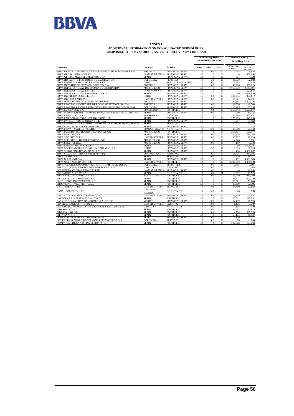

### **ANNEX I ADDITIONAL INFORMATION ON CONSOLIDATED SUBSIDIARIES COMPOSING THE BBVA GROUP, AS PER THE SOLVENCY CIRCULAR**

|                                                                                      |                            |                                    |                            | % of Voting Rights   |                 | Thousand euros (*)            |                     |  |
|--------------------------------------------------------------------------------------|----------------------------|------------------------------------|----------------------------|----------------------|-----------------|-------------------------------|---------------------|--|
|                                                                                      |                            |                                    | controlled by the Bank     |                      | Subsidiary data |                               |                     |  |
| Company                                                                              | Location                   | Acti vit v                         | <b>Direct</b>              | Indirect             | Total           | <b>Net Carrying</b><br>Amount | 31.12.08            |  |
| BBVA GEST, S.G. DE FUNDOS DE INVESTIMENTO MOBILIARIO, S.A.                           | <b>PORTUGAL</b>            | FINANCIAL SERV.                    | $\Omega$                   | 100                  | 100             | 998                           | 6.842               |  |
| <b>BBVA GLOBAL FINANCE LTD</b>                                                       | <b>CAYMAN ISLANDS</b>      | FINANCIAL SERV.                    | 100                        | $\mathbf{0}$         | 100             | $\Omega$                      | 586,894             |  |
| BBVA GLOBAL MARKETS RESEARCH, S.A.                                                   | <b>SPAIN</b>               | FINANCIAL SERV.                    | 100                        | $\overline{0}$       | 100             | 501                           | 4,728               |  |
| BBVA HORIZONTE PENSIONES Y CESANTIAS, S.A.                                           | COLOMBIA                   | <b>PENSIONS</b>                    | 79                         | 21                   | 100             | 36,879                        | 72,698              |  |
| BBVA INMOBILIARIA E INVERSIONES S.A.                                                 | <b>CHILE</b>               | REAL ESTATE INSTR.                 | $\Omega$                   | 68                   | 68              | 3.893                         | 21.428              |  |
| BBVA INSTITUICAO FINANCELCREDITO, S.A.                                               | PORTUGAL                   | FINANCIAL SERV.                    | $\overline{0}$             | 100                  | 100             | 43,626                        | 396.129             |  |
| BBVA INTERNATIONAL INVESTMENT CORPORATION                                            | PUERTO RICO                | FINANCIAL SERV.                    | 100                        | $\mathbf{0}$         | 100             | 2.769.952                     | 2.143.991           |  |
| <b>BBVA INTERNATIONAL LIMITED</b>                                                    | <b>CAYMAN ISLANDS</b>      | <b>FINANCIAL SERV</b>              | 100                        | $\overline{0}$       | 100             |                               | 509,587             |  |
| BBVA INTERNATIONAL PREFERRED, S.A.U.                                                 | <b>SPAIN</b>               | FINANCIAL SERV.                    | 100                        | $\Omega$             | 100             | 60                            | 1,929,850           |  |
| BBVA INVERSIONES CHILE, S.A.                                                         | <b>CHILE</b>               | FINANCIAL SERV.                    | 37                         | 63                   | 100             | 306,854                       | 374,617             |  |
| <b>BBVA INVESTMENTS, INC.</b>                                                        | <b>UNITED STATES</b>       | <b>FINANCIAL SERV</b>              | $\Omega$                   | 100                  | 100             | 10.921                        | 12.191              |  |
| BBVA IRELAND PUBLIC LIMITED COMPANY                                                  | <b>IRELAND</b>             | <b>FINANCIAL SERV.</b>             | 100                        | $\overline{0}$       | 100             | 180.381                       | 2,302,336           |  |
| BBVA LEASIMO - SOCIED ADE DE LOCAÇÃO FINANCEIRA, S.A.                                | <b>PORTUGAL</b>            | FINANCIAL SERV.                    | $\overline{0}$             | 100                  | 100             | 11,576                        | 42,560              |  |
| BBVA LEASING S.A. COMPAÑÍA DE FINANCIAMIENTO COMERCIAL                               | COLOMBIA                   | <b>FINANCIAL SERV.</b>             | $\Omega$                   | 100                  | 100             | 16.295                        | 52.254              |  |
| BBVA LUXINVEST, S.A.                                                                 | LUXEMBOURG                 | <b>PORTFOLIO</b>                   | 36                         | 64                   | 100             | 255,843                       | 1,529,677           |  |
| BBVA MEDIACION OPERADOR DE BANCA-SEGUROS VINCULADO, S.A.                             | <b>SPAIN</b>               | FINANCIAL SERV.                    | $\overline{0}$             | 100                  | 100             | 60                            | 89,356              |  |
| <b>BBVA PARAGUAY, S.A</b>                                                            | PARAGUAY                   | <b>BANKING</b>                     | 100                        | $\Omega$             | 100             | 22.598                        | 625,831             |  |
| BBVA PARTICIPACIONES INTERNACIONAL, S.L                                              | <b>SPAIN</b>               | <b>PORTFOLIO</b>                   | 93                         | 7                    | 100             | 273,365                       | 345,195             |  |
| BBVA PATRIMONIOS GESTORA SGIIC, S.A.                                                 | <b>SPAIN</b>               | FINANCIAL SERV.                    | 100                        | $\overline{0}$       | 100             | 3.907                         | 51,584              |  |
| BBVA PENSIONES, SA, ENTIDAD GESTORA DE FONDOS DE PENSIONES                           | <b>SPAIN</b>               | <b>PENSIONS</b>                    | 100                        | $\overline{0}$       | 100             | 12,922                        | 74,573              |  |
| BBVA PLANIFICACION PATRIMONIAL, S.L.                                                 | <b>SPAIN</b>               | <b>FINANCIAL SERV.</b>             | 80                         | 20                   | 100             |                               | 514                 |  |
| BBVA PRIVANZA (JERSEY), LTD.                                                         | CHANNEL ISLANDS            | NO ACTIVITY                        | $\mathbf{0}$               | 100                  | 100             | 20.610                        | 21,759              |  |
| BBVA PUERTO RICO HOLDING CORPORATION                                                 | PUERTO RICO                | <b>PORTFOLIO</b>                   | 100                        | $\overline{0}$       | 100             | 255,804                       | 100.177             |  |
| <b>BBVA RENTING, S.A.</b>                                                            | <b>SPAIN</b>               | FINANCIAL SERV.                    | $\overline{0}$             | 100                  | 100             | 20.976                        | 789,704             |  |
| BBVA SECURITIES INC.                                                                 | <b>UNITED STATES</b>       | FINANCIAL SERV.                    | $\overline{0}$             | 100                  | 100             | 30.267                        | 26,039              |  |
| BBVA SECURITIES OF PUERTO RICO, INC                                                  | PUERTO RICO                | FINANCIAL SERV.                    | 100                        | $\overline{0}$       | 100             | 4.726                         | 5.831               |  |
| <b>BBVA SEGUROS INC</b>                                                              | <b>PUERTO RICO</b>         | <b>FINANCIAL SERV</b>              | $\Omega$                   | 100                  | 100             | 180                           | 3.384               |  |
| BBVA SENIOR FINANCE, S.A.U                                                           | <b>SPAIN</b>               | FINANCIAL SERV.                    | 100                        | $\mathbf{0}$         | 100             | 60                            | 11,704,747          |  |
| BBVA SOCIEDAD DE LEASING INMOBILIARIO, S.A.                                          | <b>CHILE</b>               | FINANCIAL SERV.                    | $\overline{0}$             | 97                   | 97              | 9.063                         | 36,224              |  |
| BBVA SUBORDINATED CAPITAL S.A.U                                                      | <b>SPAIN</b>               | <b>FINANCIAL SERV.</b>             | 100                        | $\overline{0}$<br>60 | 100             | 130                           | 3.930.607           |  |
| BBVA SUIZA, S.A. (BBVA SWITZERLAND)                                                  | <b>SWITZERLAND</b>         | <b>BANKING</b>                     | 40                         |                      | 100             | 55,795                        | 951,366             |  |
| BBVA TRADE, S.A.<br>BBVA U.S.SENIOR S.A.U                                            | <b>SPAIN</b>               | <b>SERVICES</b><br>FINANCIAL SERV. | $\overline{0}$<br>100      | 100<br>$\mathbf{0}$  | 100<br>100      | 6,379<br>132                  | 19.177<br>5,061,163 |  |
|                                                                                      | <b>SPAIN</b>               |                                    | 100                        | $\overline{0}$       |                 | 9.417.869                     | 9,076,103           |  |
| <b>BBVA USA BANCSHARES, INC</b><br>BBVA VALORES COLOMBIA, S.A. COMISIONISTA DE BOLSA | <b>UNITED STATES</b>       | <b>PORTFOLIO</b>                   |                            | 100                  | 100<br>100      | 3.405                         | 3.991               |  |
| BBVA(SUIZA) S.A. OFICINA DE REPRESENTACION                                           | COLOMBIA<br><b>URUGUAY</b> | <b>SECURITIES</b><br>BANKING       | $\bf{0}$<br>$\overline{0}$ | 100                  | 100             | $\overline{11}$               | 2,264               |  |
| BCL INTERNATIONAL FINANCE, LTD.                                                      | <b>CAYMAN ISLANDS</b>      | FINANCIAL SERV.                    | $\overline{0}$             | 100                  | 100             | $\Omega$                      | 112,943             |  |
|                                                                                      | <b>SPAIN</b>               | NO ACTIVITY                        | $\overline{0}$             | 81                   | 81              | 9.352                         |                     |  |
| BEXCARTERA, SICAV S.A<br>BILBAO VIZCAY A AMERICA B.V.                                | NETHERLANDS                | <b>PORTFOLIO</b>                   | $\overline{0}$             | 100                  | 100             | 756,000                       | 13,526<br>483.360   |  |
| BILBAO VIZCAY A HOLDING, S.A.                                                        | <b>SPAIN</b>               | <b>PORTFOLIO</b>                   | 89                         | 11                   | 100             | 34,771                        | 201.339             |  |
| BLUE INDICO INVESTMENTS, S.L.                                                        | <b>SPAIN</b>               | <b>PORTFOLIO</b>                   | 100                        | $\mathbf{0}$         | 100             | 18.221                        | 51.060              |  |
| BROOKLINE INVESTMENTS, S.L.                                                          | <b>SPAIN</b>               | <b>PORTFOLIO</b>                   | 100                        | $\overline{0}$       | 100             | 33,969                        | 32,395              |  |
| <b>CBTRANSPORT JNC</b>                                                               | <b>UNITED STATES</b>       | <b>SERVICES</b>                    | $\Omega$                   | 100                  | 100             | 14.450                        | 17,862              |  |
|                                                                                      | <b>CHANNEL</b>             |                                    |                            |                      |                 |                               |                     |  |
| CANAL COMPANY, LTD.                                                                  | <b>ISLANDS</b>             | NO ACTIVITY                        | $\mathbf{0}$               | 100                  | 100             | 26                            | 793                 |  |
| CAPITAL INVESTMENT COUNSEL, INC                                                      | <b>UNITED STATES</b>       | <b>FINANCIAL SERV.</b>             | $\Omega$                   | 100                  | 100             | 19.439                        | 20.937              |  |
| CARTERA E INVERSIONES S.A., CIA DE                                                   | <b>SPAIN</b>               | <b>PORTFOLIO</b>                   | 100                        | $\mathbf{0}$         | 100             | 60.541                        | 217.651             |  |
| CASA DE BOLSA BBVA BANCOMER, S.A. DE C.V.                                            | <b>MEXICO</b>              | FINANCIAL SERV.                    | $\mathbf{0}$               | 100                  | 100             | 54.497                        | 67,976              |  |
| CENTRAL BANK OF THE SOUTH                                                            | <b>UNITED STATES</b>       | <b>BANKING</b>                     | $\overline{0}$             | 100                  | 100             | 1.176                         | 3.709               |  |
| CIA. GLOBAL DE MANDATOS Y REPRESENTACIONES. S.A.                                     | <b>URUGUAY</b>             | NO ACTIVITY                        | $\bf{0}$                   | 100                  | 100             | 108                           | 180                 |  |
| CIDESSA DOS, S.L.                                                                    | <b>SPAIN</b>               | <b>PORTFOLIO</b>                   | $\overline{0}$             | 100                  | 100             | 11,602                        | 11,925              |  |
| CIDESSA UNO. S.L                                                                     | <b>SPAIN</b>               | <b>PORTFOLIO</b>                   | $\Omega$                   | 100                  | 100             | 4.754                         | 690.939             |  |
| CIERVANA, S.L                                                                        | <b>SPAIN</b>               | <b>PORTFOLIO</b>                   | 100                        | $\Omega$             | 100             | 53,164                        | 68,947              |  |
| COMERCIALIZADORA CORPORATIVA SAC                                                     | PERU                       | FINANCIAL SERV.                    | $\Omega$                   | 100                  | 100             | 120                           | 272                 |  |
| COMERCIALIZADORA DE SERVICIOS FINANCIEROS, S.A.                                      | COLOMBIA                   | <b>SERVICES</b>                    | $\overline{0}$             | 100                  | 100             | 96                            | 206                 |  |
| COMPAÑIA CHILENA DE INVERSIONES, S.L                                                 | <b>SPAIN</b>               | <b>PORTFOLIO</b>                   | 100                        | $\Omega$             | 100             | 232.976                       | 173.294             |  |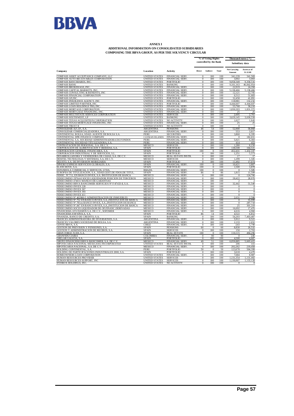

#### **ANNEX I ADDITIONAL INFORMATION ON CONSOLIDATED SUBSIDIARIES COMPOSING THE BBVA GROUP, AS PER THE SOLVENCY CIRCULAR**

|                                                                                                                               |                                              |                                           | % of Voting Rights<br>controlled by the Bank |                            | Thousand euros (*)<br>Subsidiary data |                            |                          |
|-------------------------------------------------------------------------------------------------------------------------------|----------------------------------------------|-------------------------------------------|----------------------------------------------|----------------------------|---------------------------------------|----------------------------|--------------------------|
| Company                                                                                                                       | Location                                     | Activity                                  | Direct                                       | Indirect                   | Total                                 | Net Carrying<br>Amount     | Assets as of<br>31.12.08 |
| COMPASS ASSET ACCEPTANCE COMPANY, LLC                                                                                         | <b>UNITED STATES</b>                         | FINANCIAL SERV.                           | $\mathbf{0}$                                 | 100                        | 100                                   | 341,239                    | 341,569                  |
| COMPASS AUTO RECEIVABLES CORPORATION                                                                                          | UNITED STATES                                | FINANCIAL SERV.                           | $\bf{0}$                                     | 100                        | 100                                   | 3,002                      | 3,003                    |
| COMPASS BANCSHARES, INC<br><b>COMPASS BANK</b>                                                                                | <b>UNITED STATES</b><br><b>UNITED STATES</b> | <b>PORTFOLIO</b><br><b>BANKING</b>        | $\mathbf{0}$<br>$\bf{0}$                     | 100<br>100                 | 100<br>100                            | 9.058.349<br>9,101,163     | 9,358,516<br>46,842,954  |
| COMPASS BROKERAGE, INC                                                                                                        | <b>UNITED STATES</b>                         | FINANCIAL SERV.                           | $\overline{0}$                               | 100                        | 100                                   | 22,919                     | 24,358                   |
| COMPASS CAPITAL MARKETS, INC                                                                                                  | <b>UNITED STATES</b>                         | <b>FINANCIAL SERV</b>                     | $\overline{0}$                               | 100                        | 100                                   | 5,138,466                  | 5,138,466                |
| COMPASS CONSULTING & BENEFITS, INC.                                                                                           | <b>UNITED STATES</b>                         | <b>FINANCIAL SERV</b>                     | $\Omega$                                     | 100                        | 100                                   | 12.121                     | 12,705                   |
| COMPASS FINANCIAL CORPORATION<br><b>COMPASS GP.INC</b>                                                                        | <b>UNITED STATES</b><br><b>UNITED STATES</b> | <b>FINANCIAL SERV</b><br><b>PORTFOLIO</b> | $\overline{0}$<br>$\overline{0}$             | 100<br>100                 | 100<br>100                            | 6,512<br>32.458            | 51,683<br>41,091         |
| COMPASS INSURANCE AGENCY, INC.                                                                                                | <b>UNITED STATES</b>                         | <b>FINANCIAL SERV</b>                     | $\overline{0}$                               | 100                        | 100                                   | 118.981                    | 132.232                  |
| COMPASS LIMITED PARTNER, INC.                                                                                                 | <b>UNITED STATES</b>                         | <b>PORTFOLIO</b>                          | $\mathbf{0}$                                 | 100                        | 100                                   | 4,444,607                  | 4,444,607                |
| COMPASS LOAN HOLDINGS TRS, INC                                                                                                | <b>UNITED STATES</b>                         | <b>FINANCIAL SERV</b>                     | $\overline{0}$                               | 100                        | 100                                   | 55,768                     | 58,210                   |
| <b>COMPASS MORTAGE CORPORATION</b>                                                                                            | <b>UNITED STATES</b>                         | <b>FINANCIAL SERV</b>                     | $\mathbf{0}$                                 | 100                        | 100                                   | 1.830,203                  | 1.831.372                |
| COMPASS MORTGAGE FINANCING, INC.<br>COMPASS MULTISTATE SERVICES CORPORATION                                                   | <b>UNITED STATES</b><br><b>UNITED STATES</b> | FINANCIAL SERV.<br><b>SERVICES</b>        | $\overline{0}$<br>$\overline{0}$             | 100<br>100                 | 100<br>100                            | 25<br>2.695                | 25<br>2,761              |
| COMPASS SOUTHWEST, LP                                                                                                         | <b>UNITED STATES</b>                         | <b>BANKING</b>                            | $\mathbf{0}$                                 | 100                        | 100                                   | 3,629,145                  | 3,630,558                |
| COMPASS TEXAS ACQUISITION CORPORATION                                                                                         | <b>UNITED STATES</b>                         | NO ACTIVITY                               | $\mathbf{0}$                                 | 100                        | 100                                   | 1.627                      | 1,643                    |
| COMPASS TEXAS MORTGAGE FINANCING, INC                                                                                         | <b>UNITED STATES</b>                         | FINANCIAL SERV.                           | $\Omega$                                     | 100                        | 100                                   | 25                         | 25                       |
| COMPASS TRUST II                                                                                                              | <b>UNITED STATES</b>                         | NO ACTIVITY                               | $\mathbf{0}$                                 | 100                        | 100                                   | $\mathbf{0}$               |                          |
| CONSOLIDAR A.F.J.P., S.A.                                                                                                     | <b>ARGENTINA</b>                             | <b>PENSIONS</b>                           | 46                                           | 54                         | 100                                   | 52,900                     | 58,868                   |
| CONSOLIDAR COMERCIALIZADORA, S.A.<br>CONTINENTAL BOLSA, SDAD, AGENTE DE BOLSA S.A.                                            | <b>ARGENTINA</b><br><b>PERU</b>              | FINANCIAL SERV.<br><b>SECURITIES</b>      | $\overline{0}$<br>$\mathbf{0}$               | 100<br>100                 | 100<br>100                            | 553<br>3.860               | 3,817<br>6.395           |
| CONTINENTAL DPR FINANCE COMPANY                                                                                               | <b>CAYMAN ISLANDS</b>                        | <b>FINANCIAL SERV</b>                     | $\mathbf{0}$                                 | 100                        | 100                                   | $\mathbf{0}$               | 182.651                  |
| CONTINENTAL S.A. SOCIEDAD ADMINISTRADORA DE FONDOS                                                                            | PERU                                         | <b>FINANCIAL SERV</b>                     | $\overline{0}$                               | 100                        | 100                                   | 5.021                      | 6,303                    |
| CONTINENTAL SOCIEDAD TITULIZADORA, S.A                                                                                        | PERU                                         | FINANCIAL SERV.                           | $\Omega$                                     | 100                        | 100                                   | 414                        | 453                      |
| CONTRATACION DE PERSONAL, S.A. DE C.V.                                                                                        | MEXICO                                       | <b>SERVICES</b>                           | $\mathbf{0}$                                 | 100                        | 100                                   | 1.280                      | 8,150                    |
| CORPORACION DE ALIMENTACION Y BEBIDAS, S.A.                                                                                   | <b>SPAIN</b>                                 | <b>PORTFOLIO</b>                          | $\overline{0}$                               | 100                        | 100                                   | 138,508                    | 164,531<br>1.432.107     |
| CORPORACION GENERAL FINANCIERA, S.A<br>CORPORACION INDUSTRIAL Y DE SERVICIOS, S.L                                             | <b>SPAIN</b><br><b>SPAIN</b>                 | <b>PORTFOLIO</b><br><b>PORTFOLIO</b>      | 100<br>$\mathbf{0}$                          | $\overline{0}$<br>100      | 100<br>100                            | 452.431<br>1,251           | 5,573                    |
| DESARROLLADORA Y VENDEDORA DE CASAS, S.A. DE C.V.                                                                             | MEXICO                                       | REAL ESTATE INSTR.                        | $\mathbf{0}$                                 | 100                        | 100                                   | 17                         | 17                       |
| DESITEL TECNOLOGIA Y SISTEMAS, S.A. DEC.V.                                                                                    | MEXICO                                       | <b>SERVICES</b>                           | $\overline{0}$                               | 100                        | 100                                   | 1,299                      | 1,345                    |
| DEUSTO, S.A. DE INVERSION MOBILIARIA                                                                                          | SPAIN                                        | <b>PORTFOLIO</b>                          | $\overline{0}$                               | 100                        | 100                                   | 11,492                     | 17,074                   |
| DINERO EXPRESS SERVICIOS GLOBALES, S.A.<br>ELANCHOVE, S.A.                                                                    | <b>SPAIN</b><br><b>SPAIN</b>                 | FINANCIAL SERV.<br>PORTFOLIO              | 100<br>100                                   | $\bf{0}$<br>$\overline{0}$ | 100<br>100                            | 10,421<br>1,500            | 3,807<br>3,878           |
| ESPANHOLA COMERCIAL E SERVICOS, LTDA                                                                                          | <b>BRAZII</b>                                | <b>FINANCIAL SERV</b>                     | 100                                          | $\overline{0}$             | 100                                   | $\overline{0}$             | 1.585                    |
| EUROPEA DE TITULIZACION, S.A., SDAD.GEST.DE FDOS.DE TITUL                                                                     | <b>SPAIN</b>                                 | <b>FINANCIAL SERV</b>                     | 86                                           | $\overline{0}$             | 86                                    | 1,815                      | 11,599                   |
| FIDEIC. Nº.711, EN BANCO INVEX, S.A. INSTITUCION DE BANCA                                                                     | MEXICO                                       | FINANCIAL SERV                            | $\bf{0}$                                     | 100                        | 100                                   | $\Omega$                   | 124,766                  |
| FIDEICOMISO 29764-8 SOCIO LIQUIDADOR POSICION DE TERCEROS                                                                     | MEXICO                                       | FINANCIAL SERV.                           | $\mathbf{0}$                                 | 100                        | 100                                   | 28,422                     | 28,970                   |
| FIDEICOMISO 474031 MANEJO DE GARANTIAS                                                                                        | MEXICO                                       | FINANCIAL SERV                            | $\mathbf{0}$                                 | 100                        | 100                                   |                            |                          |
| FIDEICOMISO BBVA BANCOMER SERVICIOS Nº F/47433-8, S.A.<br><b>FIDEICOMISO INVEX 228</b>                                        | MEXICO<br>MEXICO                             | FINANCIAL SERV.<br><b>FINANCIAL SERV</b>  | $\overline{0}$<br>$\mathbf{0}$               | 100<br>100                 | 100<br>100                            | 32,442<br>$\Omega$         | 51,540<br>$\mathbf{0}$   |
| FIDEICOMISO INVEX 367                                                                                                         | MEXICO                                       | FINANCIAL SERV                            | $\bf{0}$                                     | 100                        | 100                                   | $\mathbf{0}$               | $\overline{0}$           |
| FIDEICOMISO INVEX 393                                                                                                         | MEXICO                                       | FINANCIAL SERV                            | $\mathbf{0}$                                 | 100                        | 100                                   | $\mathbf{0}$               | $\bf{0}$                 |
| <b>FIDEICOMISO INVEX 411</b>                                                                                                  | <b>MEXICO</b>                                | <b>FINANCIAL SERV</b>                     | $\mathbf{0}$                                 | 100                        | 100                                   | $\mathbf{0}$               | $\overline{0}$           |
| FIDEICOMISO Nº.402900-5 ADMINISTRACION DE INMUEBLES                                                                           | <b>MEXICO</b>                                | <b>FINANCIAL SERV</b>                     | $\Omega$                                     | 100                        | 100                                   | 2.631                      | 2.580                    |
| FIDEICOMISO Nº.752 EN BANCO INVEX, S.A., INSTITUCION DE BANCA<br>FIDEICOMISO Nº.781en BANCO INVEX, S.A., INSTITUCION DE BANCA | MEXICO<br>MEXICO                             | FINANCIAL SERV.<br><b>FINANCIAL SERV</b>  | $\overline{0}$<br>$\overline{0}$             | 100<br>100                 | 100<br>100                            | $\bf{0}$<br>$\overline{0}$ | 55,999<br>287,718        |
| FIDEICOMISO Nº.847 EN BANCO INVEX, S.A., INSTITUCION DE BANCA                                                                 | MEXICO                                       | <b>FINANCIAL SERV</b>                     | $\overline{0}$                               | 100                        | 100                                   | 25                         | 301,319                  |
| FIDEICOMISO SOCIO LIQUIDADOR DE OP.FINANC.DERIVADAS                                                                           | MEXICO                                       | <b>FINANCIAL SERV</b>                     | $\overline{0}$                               | 100                        | 100                                   | 16.692                     | 17,476                   |
| FINANCIERA AYUDAMOS S.A. DE C.V., SOFOMER                                                                                     | MEXICO                                       | <b>FINANCIAL SERV</b>                     | $\overline{0}$                               | 100                        | 100                                   | 4.616                      | 4,960                    |
| FINANCIERA ESPAÑOLA, S.A                                                                                                      | <b>SPAIN</b>                                 | <b>PORTFOLIO</b>                          | 86                                           | 14                         | 100                                   | 4.522                      | 6,812                    |
| FINANZIA, BANCO DE CREDITO, S.A.<br>FRANCES ADMINISTRADORA DE INVERSIONES, S.A.                                               | <b>SPAIN</b><br><b>ARGENTINA</b>             | <b>BANKING</b><br><b>FINANCIAL SERV</b>   | $\overline{0}$<br>$\overline{0}$             | 100<br>100                 | 100<br>100                            | 56,203<br>5.912            | 7,403,407<br>9.52        |
| FRANCES VALORES SOCIEDAD DE BOLSA, S.A.                                                                                       | <b>ARGENTINA</b>                             | <b>FINANCIAL SERV</b>                     | $\overline{0}$                               | 100                        | 100                                   | 2.133                      | 2.652                    |
| <b>GENTE BBVA, S.A.</b>                                                                                                       | <b>CHILE</b>                                 | FINANCIAL SERV.                           | $\bf{0}$                                     | 100                        | 100                                   | $-243$                     | 5,790                    |
| GESTION DE PREVISION Y PENSIONES, S.A.                                                                                        | <b>SPAIN</b>                                 | <b>PENSIONS</b>                           | 60                                           | $\Omega$                   | 60                                    | 8,830                      | 26,532                   |
| <b>GESTION Y ADMINISTRACION DE RECIBOS, S.A.</b>                                                                              | <b>SPAIN</b>                                 | <b>SERVICES</b>                           | $\mathbf{0}$                                 | 100                        | 100                                   | 150                        | 2.763                    |
| <b>GRAN JORGE JUAN, S.A</b><br><b>GRANFIDUCIARIA</b>                                                                          | <b>SPAIN</b><br>COLOMBIA                     | <b>REAL ESTATE</b><br>FINANCIAL SERV.     | 100<br>$\bf{0}$                              | $\overline{0}$<br>90       | 100<br>90                             | 110.115<br>$\Omega$        | 494.296<br>245           |
| GRELAR GALICIA, S.A.                                                                                                          | <b>SPAIN</b>                                 | PORTFOLIO                                 | $\overline{0}$                               | 100                        | 100                                   | 4,500                      | 4,687                    |
| GRUPO FINANCIERO BBVA BANCOMER, S.A. DE C.V                                                                                   | MEXICO                                       | FINANCIAL SERV.                           | 49                                           | 51                         | 100                                   | 6,050,885                  | 5,603,415                |
| HIPOTECARIA NACIONAL MEXICANA INCORPORATED                                                                                    | <b>UNITED STATES</b>                         | REAL ESTATE INSTR.                        | $\boldsymbol{0}$                             | 100                        | 100                                   | 206                        | 315                      |
| HIPOTECARIA NACIONAL, S.A. DE C.V.                                                                                            | MEXICO                                       | FINANCIAL SERV.                           | $\overline{0}$                               | 100                        | 100                                   | 202,262                    | 219,458                  |
| HOLDING CONTINENTAL, S.A.<br>HOLDING DE PARTICIPACIONES INDUSTRIALES 2000, S.A.                                               | PERU<br><b>SPAIN</b>                         | <b>PORTFOLIO</b><br><b>PORTFOLIO</b>      | 50<br>$\overline{0}$                         | $\overline{0}$<br>100      | 50<br>100                             | 123,678<br>3,618           | 504,399<br>4,470         |
| HOMEOWNERS LOAN CORPORATION                                                                                                   | <b>UNITED STATES</b>                         | FINANCIAL SERV.                           | $\overline{0}$                               | 100                        | 100                                   | 7,684                      | 8.987                    |
| HUMAN RESOURCES PROVIDER                                                                                                      | <b>UNITED STATES</b>                         | <b>SERVICES</b>                           | $\overline{0}$                               | 100                        | 100                                   | 1.131.354                  | 1,131,402                |
| HUMAN RESOURCES SUPPORT, INC                                                                                                  | <b>UNITED STATES</b>                         | <b>SERVICES</b>                           | $\boldsymbol{0}$                             | 100                        | 100                                   | 1,130,007                  | 1,133,128                |
| HYDROX HOLDINGS, INC                                                                                                          | <b>UNITED STATES</b>                         | NO ACTIVITY                               | $\overline{0}$                               | 100                        | 100                                   |                            |                          |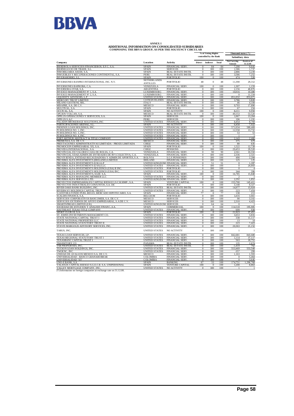

#### **ADDITIONAL INFORMATION ON CONSOLIDATED SUBSIDIARIES COMPOSING THE BBVA GROUP, AS PER THE SOLVENCY CIRCULAR ANNEX I**

| % of Voting Rights<br>Thousand euros $(*)$<br>controlled by the Bank<br>Subsidiary data<br><b>Net Carrying</b><br>Assets as of<br>Direct Indirect<br>Total<br>Location<br>Activity<br>Company<br>31.12.08<br>Amount<br>FINANCIAL SERV.<br><b>SPAIN</b><br>7.290<br>$\Omega$<br>84<br>84<br>9.641<br>1,737<br><b>IBERNEGOCIO DE TRADE, S.L.</b><br><b>SPAIN</b><br><b>SERVICES</b><br>$\Omega$<br>100<br>100<br>1,586<br>3,239<br>REAL ESTATE INSTR.<br>2,886<br>INMOBILIARIA ASUDI, S.A.<br><b>SPAIN</b><br>$\bf{0}$<br>100<br>100<br>7.252<br>INMUEBLES Y RECUPERACIONES CONTINENTAL, S.A.<br><b>REAL ESTATE INSTR.</b><br>3.586<br>PERU<br>$\overline{0}$<br>100<br>100<br>520<br><b>INVERAHORRO, S.L</b><br><b>SPAIN</b><br><b>PORTFOLIO</b><br>100<br>$\Omega$<br>100<br>474<br><b>NETHERLANDS</b><br>INVERSIONES BANPRO INTERNATIONAL INC. N.V.<br><b>PORTFOLIO</b><br>48<br>$\mathbf{0}$<br>48<br>11,390<br>29,312<br><b>ANTILLES</b><br>1.307<br>1.159<br><b>INVERSIONES BAPROBA, C.A.</b><br>VENEZUELA<br><b>FINANCIAL SERV</b><br>100<br>$\mathbf{0}$<br>100<br><b>INVERSORA OTAR, S.A</b><br>ARGENTINA<br><b>PORTFOLIO</b><br>100<br>100<br>2,156<br>40,876<br>$\Omega$<br>10,016<br>10,480<br>INVESCO MANAGEMENT Nº 1, S.A.<br><b>LUXEMBOURG</b><br>FINANCIAL SERV.<br>$\mathbf{0}$<br>100<br>100<br>11,334<br>INVESCO MANAGEMENT Nº 2, S.A.<br><b>LUXEMBOURG</b><br><b>FINANCIAL SERV</b><br>$\overline{0}$<br>100<br>100<br>$\Omega$<br>LIQUIDITY ADVISORS, L.P<br><b>UNITED STATES</b><br><b>FINANCIAL SERV</b><br>853,671<br>$\Omega$<br>100<br>100<br>851,032<br>MERCURY TRUST LIMITED<br><b>CAYMAN ISLANDS</b><br><b>FINANCIAL SERV</b><br>$\bf{0}$<br>100<br>100<br>3,786<br>3,820<br>4.184<br>$\Omega$<br>100<br>100<br>46<br>MILANO GESTIONI, SRL<br><b>ITALY</b><br><b>REAL ESTATE INSTR</b><br>17,890<br>MISAPRE, S.A. DE C.V.<br>MEXICO<br>FINANCIAL SERV.<br>$\overline{0}$<br>100<br>100<br>9,793<br>MULTIVAL, S.A.<br>SPAIN<br>PORTFOLIO<br>$\bf{0}$<br>100<br>100<br>67<br>234<br>9,950<br>100<br>100<br>OCCIVAL, S.A.<br><b>SPAIN</b><br>NO ACTIVITY<br>$\overline{0}$<br>8,211<br>REAL ESTATE INSTR.<br>100<br>49,153<br>53,520<br>OPCION VOLCAN, S.A.<br>MEXICO<br>100<br>$\mathbf{0}$<br>OPPLUS OPERACIONES Y SERVICIOS, S.A.<br>100<br>13,264<br><b>SPAIN</b><br><b>SERVICES</b><br>100<br>$\overline{0}$<br>1.067<br>1.191<br><b>OPPLUS S.A.C</b><br>PERU<br><b>SERVICES</b><br>$\mathbf{0}$<br>100<br>100<br>196<br>PALADIN BROKERAGE SOLUTIONS, INC<br>8,769<br><b>UNITED STATES</b><br>FINANCIAL SERV.<br>$\Omega$<br>100<br>100<br>8,454<br>PARTICIPACIONES ARENAL, S.L.<br>NO ACTIVITY<br>$\overline{0}$<br>100<br>6,458<br>7.922<br><b>SPAIN</b><br>100<br><b>UNITED STATES</b><br><b>FINANCIAL SERV</b><br>$\overline{0}$<br>100<br>100<br>571.034<br>589,469<br>13,732<br><b>UNITED STATES</b><br><b>FINANCIAL SERV</b><br>100<br>100<br>12,558<br>$\Omega$<br>53<br>PI HOLDINGS NO. 3. INC.<br><b>UNITED STATES</b><br><b>FINANCIAL SERV.</b><br>$\overline{0}$<br>100<br>100<br>53<br>PI HOLDINGS NO. 4, INC<br><b>UNITED STATES</b><br><b>FINANCIAL SERV</b><br>$\mathbf{0}$<br>100<br>100<br>2,466<br>2,143<br>PORT ARTHUR ABSTRACT & TITLE COMPANY<br>$\overline{0}$<br><b>UNITED STATES</b><br><b>FINANCIAL SERV</b><br>100<br>100<br>PREMEXSA, S.A. DE C.V.<br>MEXICO<br><b>FINANCIAL SERV</b><br>$\overline{0}$<br>100<br>100<br>375<br>679<br>PRESTACIONES ADMINISTRATIVAS LIMITADA - PROEX LIMITADA<br><b>FINANCIAL SERV</b><br>$\overline{0}$<br>100<br>100<br>80<br>635<br><b>CHILE</b><br>PROMOCION EMPRESARIAL XX, S.A.<br><b>SPAIN</b><br><b>PORTFOLIO</b><br>100<br>100<br>1.522<br>12.728<br>$\Omega$<br>29,520<br>PROVIDA INTERNACIONAL, S.A<br>100<br>100<br>29,453<br><b>CHILE</b><br><b>PENSIONS</b><br>$\Omega$<br>PROVINCIAL DE VALORES CASA DE BOLSA, C.A.<br>VENEZUELA<br><b>FINANCIAL SERV</b><br>90<br>90<br>10,550<br>$\overline{0}$<br>2,561<br>2,321<br>PROVINCIAL SDAD.ADMIN.DE ENTIDADES DE INV.COLECTIVA, C.A<br>VENEZUELA<br><b>FINANCIAL SERV</b><br>$\mathbf{0}$<br>100<br>100<br>2.336<br>2,284<br>$\overline{0}$<br>490<br>PROVIVIENDA, ENTIDAD RECAUDADORA Y ADMIN.DE APORTES, S.A.<br><b>BOLIVIA</b><br>S.G.F.PENSIONES<br>100<br>100<br>125<br>PROXIMA ALFA INVESTMENTS (IRELAND) LIMITED<br><b>FINANCIAL SERV</b><br>$\overline{0}$<br>100<br>100<br>125<br><b>IRELAND</b><br>PROXIMA ALFA INVESTMENTS (UK) LLP<br>UNITED KINGDOM FINANCIAL SERV<br>51<br>51<br>1,397<br>$\Omega$<br>$\Omega$<br>24,803<br>PROXIMA ALFA INVESTMENTS (USA) LLC<br><b>UNITED STATES</b><br>FINANCIAL SERV.<br>$\bf{0}$<br>100<br>100<br>$\bf{0}$<br>PROXIMA ALFA INVESTMENTS HOLDINGS (USA) II INC<br><b>UNITED STATES</b><br>PORTFOLIO<br>$\overline{0}$<br>100<br>100<br>$\overline{0}$<br>$\overline{4}$<br>390<br>PROXIMA ALFA INVESTMENTS HOLDINGS (USA) INC.<br><b>UNITED STATES</b><br><b>PORTFOLIO</b><br>$\mathbf{0}$<br>100<br>100<br>344<br>PROXIMA ALFA INVESTMENTS, SGIIC S.A<br>SPAIN<br><b>FINANCIAL SERV</b><br>100<br>$\bf{0}$<br>100<br>16,785<br>15,848<br>PROXIMA ALFA MANAGING MEMBER LLC<br>100<br><b>UNITED STATES</b><br>FINANCIAL SERV.<br>100<br>$\Omega$<br>-1<br>2.292<br>1,852<br>PROXIMA ALFA SERVICES LTD.<br>UNITED KINGDOM FINANCIAL SERV<br>$\overline{0}$<br>100<br>100<br><b>VENTURE CAPITAL</b><br>155,700<br>145,411<br><b>SPAIN</b><br>100<br>$\Omega$<br>100<br>100<br>SPAIN<br>PORTFOLIO<br>$\mathbf{0}$<br>100<br>3,148<br>8,327<br>RIVER OAKS BANK BUILDING, INC.<br>100<br>15,924<br><b>UNITED STATES</b><br>REAL ESTATE INSTR.<br>$\bf{0}$<br>100<br>14,977<br>7,454<br>RIVERWAY HOLDINGS CAPITAL TRUST I<br><b>UNITED STATES</b><br><b>FINANCIAL SERV</b><br>$\bf{0}$<br>100<br>100<br>223<br>S.GESTORA FONDO PUBL.REGUL.MERCADO HIPOTECARIO, S.A<br>FINANCIAL SERV<br>77<br>$\bf{0}$<br>77<br>138<br>213<br><b>SPAIN</b><br>3,661<br><b>BELGIUM</b><br>$\overline{0}$<br>100<br>100<br>3,416<br>SCALDIS FINANCE, S.A.<br><b>PORTFOLIO</b><br>SERVICIOS CORPORATIVOS BANCOMER, S.A. DE C.V<br>MEXICO<br><b>SERVICES</b><br>100<br>100<br>90<br>3.161<br>$\Omega$<br>SERVICIOS EXTERNOS DE APOYO EMPRESARIAL, S.A DE C.V.<br><b>MEXICO</b><br><b>SERVICES</b><br>$\overline{0}$<br>100<br>100<br>2.310<br>4,423<br>UNITED KINGDOM SERVICES<br>SMARTS PREAD LIMITED (UK)<br>$\Omega$<br>64<br>64<br>$\Omega$<br>$\overline{1}$<br>SOCIEDAD DE ESTUDIOS Y ANALISIS FINANC., S.A.<br>100<br>100<br>195,905<br>COMMERCIAL<br>$\overline{0}$<br>114518<br>SPAIN<br>SOUTHEAST TEXAS TITLE COMPANY<br><b>UNITED STATES</b><br><b>FINANCIAL SERV</b><br>938<br>$\Omega$<br>100<br>100<br>699<br>37,451<br>21.923<br>SPORT CLUB 18, S.A.<br><b>SPAIN</b><br><b>PORTFOLIO</b><br>100<br>$\overline{0}$<br>100<br>UNITED STATES<br><b>FINANCIAL SERV</b><br>100<br>100<br>3.653<br>3.816<br>$\overline{0}$<br>STATE NATIONAL CAPITAL TRUST I<br>UNITED STATES<br><b>FINANCIAL SERV</b><br>$\overline{0}$<br>100<br>100<br>338<br>11.117<br>STATE NATIONAL PROPERTIES LLC<br><b>UNITED STATES</b><br>FINANCIAL SERV.<br>$\bf{0}$<br>100<br>100<br>13<br>14<br>7,423<br>STATE NATIONAL STATUTORY TRUST II<br>100<br>100<br>223<br><b>UNITED STATES</b><br>FINANCIAL SERV<br>$\overline{0}$<br>20.363<br>21,152<br>STAVIS MARGOLIS ADVISORY SERVICES, INC.<br><b>UNITED STATES</b><br><b>FINANCIAL SERV</b><br>$\overline{0}$<br>100<br>100<br><b>UNITED STATES</b><br>NO ACTIVITY<br>$\mathbf{0}$<br>100<br>100<br>$\mathbf{1}$<br>$\overline{1}$<br>100<br>843.680<br>TEXAS LOAN SERVICES, LP.<br><b>UNITED STATES</b><br>FINANCIAL SERV.<br>$\overline{0}$<br>100<br>842.681<br>TEXAS REGIONAL STATUTORY TRUST I<br>UNITED STATES<br>37,117<br><b>FINANCIAL SERV</b><br>$\overline{0}$<br>100<br>100<br>1,114<br>TEXASBANC CAPITAL TRUST I<br>18,751<br><b>UNITED STATES</b><br><b>FINANCIAL SERV</b><br>100<br>$\mathbf{0}$<br>100<br>563<br>$\overline{0}$<br>100<br>2,674<br><b>TRANSITORY CO</b><br>PANAMA<br><b>REAL ESTATE INSTR</b><br>100<br>135<br><b>TSB PROPERTIES, INC</b><br><b>UNITED STATES</b><br>REAL ESTATE INSTR.<br>0<br>762<br>100<br>100<br>$-1,419$<br>TUCSON LOAN HOLDINGS, INC<br><b>UNITED STATES</b><br>FINANCIAL SERV.<br>$\overline{0}$<br>100<br>100<br>553,469<br>553,549<br>299<br><b>UNITED STATES</b><br>100<br>100<br>TWOENC, INC.<br><b>FINANCIAL SERV</b><br>$\mathbf{0}$<br>$-357$<br>UNIDAD DE AVALUOS MEXICO S.A. DE C.V<br>$\mathbf{0}$<br>100<br>100<br>1,593<br>MEXICO<br>FINANCIAL SERV<br>1,163<br>UNIVERSALIDAD - BANCO GRANAHORRAR<br>COLOMBIA<br><b>FINANCIAL SERV</b><br>$\overline{0}$<br>100<br>100<br>5,464<br>$\theta$<br>3.645<br>UNIVERSALIDAD "E5"<br><b>COLOMBIA</b><br><b>FINANCIAL SERV</b><br>$\bf{0}$<br>100<br>100<br>$\bf{0}$<br>174,751<br>1,296,768<br>67<br>33<br>100<br>UNO-E BANK, S.A.<br><b>SPAIN</b><br><b>BANKING</b><br>VALANZA CAPITAL RIESGO S.G.E.C.R. S.A. UNIPERSONAL<br>SPAIN<br><b>VENTURE CAPITAL</b><br>100<br>$\overline{0}$<br>100<br>1,200<br>8,863<br>VALLEY MORTGAGE COMPANY, INC.<br><b>UNITED STATES</b><br>NO ACTIVITY<br>100<br>100<br>$\Omega$<br>(*) Information on foreign companies at exchange rate on $31.12.08$ | COMI OSIAG THE BB VA GROUI, AS I ER THE SOLVEAUT UIRCULAR |  |  |  |  |  |  |
|----------------------------------------------------------------------------------------------------------------------------------------------------------------------------------------------------------------------------------------------------------------------------------------------------------------------------------------------------------------------------------------------------------------------------------------------------------------------------------------------------------------------------------------------------------------------------------------------------------------------------------------------------------------------------------------------------------------------------------------------------------------------------------------------------------------------------------------------------------------------------------------------------------------------------------------------------------------------------------------------------------------------------------------------------------------------------------------------------------------------------------------------------------------------------------------------------------------------------------------------------------------------------------------------------------------------------------------------------------------------------------------------------------------------------------------------------------------------------------------------------------------------------------------------------------------------------------------------------------------------------------------------------------------------------------------------------------------------------------------------------------------------------------------------------------------------------------------------------------------------------------------------------------------------------------------------------------------------------------------------------------------------------------------------------------------------------------------------------------------------------------------------------------------------------------------------------------------------------------------------------------------------------------------------------------------------------------------------------------------------------------------------------------------------------------------------------------------------------------------------------------------------------------------------------------------------------------------------------------------------------------------------------------------------------------------------------------------------------------------------------------------------------------------------------------------------------------------------------------------------------------------------------------------------------------------------------------------------------------------------------------------------------------------------------------------------------------------------------------------------------------------------------------------------------------------------------------------------------------------------------------------------------------------------------------------------------------------------------------------------------------------------------------------------------------------------------------------------------------------------------------------------------------------------------------------------------------------------------------------------------------------------------------------------------------------------------------------------------------------------------------------------------------------------------------------------------------------------------------------------------------------------------------------------------------------------------------------------------------------------------------------------------------------------------------------------------------------------------------------------------------------------------------------------------------------------------------------------------------------------------------------------------------------------------------------------------------------------------------------------------------------------------------------------------------------------------------------------------------------------------------------------------------------------------------------------------------------------------------------------------------------------------------------------------------------------------------------------------------------------------------------------------------------------------------------------------------------------------------------------------------------------------------------------------------------------------------------------------------------------------------------------------------------------------------------------------------------------------------------------------------------------------------------------------------------------------------------------------------------------------------------------------------------------------------------------------------------------------------------------------------------------------------------------------------------------------------------------------------------------------------------------------------------------------------------------------------------------------------------------------------------------------------------------------------------------------------------------------------------------------------------------------------------------------------------------------------------------------------------------------------------------------------------------------------------------------------------------------------------------------------------------------------------------------------------------------------------------------------------------------------------------------------------------------------------------------------------------------------------------------------------------------------------------------------------------------------------------------------------------------------------------------------------------------------------------------------------------------------------------------------------------------------------------------------------------------------------------------------------------------------------------------------------------------------------------------------------------------------------------------------------------------------------------------------------------------------------------------------------------------------------------------------------------------------------------------------------------------------------------------------------------------------------------------------------------------------------------------------------------------------------------------------------------------------------------------------------------------------------------------------------------------------------------------------------------------------------------------------------------------------------------------------------------------------------------------------------------------------------------------------------------------------------------------------------------------------------------------------------------------------------------------------------------------------------------------------------------------------------------------------------------------------------------------------------------------------------------------------------------------------------------------------------------------------------------------------------------------------------------------------------------------------------------------------------------------------------------------------------------------------------------------------------------------------------------------------------------------------------------------------------------------------------------------------------------------------------------------------------------------------------------------------------------------------------------------------------------------------------------------------------------------------------------------------------------------------------------------------------------------------------------------------------------------------------------------------------------------------------------------------------------------------------------------------------------------------------------------------------------------------------------------------------------------------------------------------------------------------------------------------------------------------------------------------------------------------------------------------------------|-----------------------------------------------------------|--|--|--|--|--|--|
|                                                                                                                                                                                                                                                                                                                                                                                                                                                                                                                                                                                                                                                                                                                                                                                                                                                                                                                                                                                                                                                                                                                                                                                                                                                                                                                                                                                                                                                                                                                                                                                                                                                                                                                                                                                                                                                                                                                                                                                                                                                                                                                                                                                                                                                                                                                                                                                                                                                                                                                                                                                                                                                                                                                                                                                                                                                                                                                                                                                                                                                                                                                                                                                                                                                                                                                                                                                                                                                                                                                                                                                                                                                                                                                                                                                                                                                                                                                                                                                                                                                                                                                                                                                                                                                                                                                                                                                                                                                                                                                                                                                                                                                                                                                                                                                                                                                                                                                                                                                                                                                                                                                                                                                                                                                                                                                                                                                                                                                                                                                                                                                                                                                                                                                                                                                                                                                                                                                                                                                                                                                                                                                                                                                                                                                                                                                                                                                                                                                                                                                                                                                                                                                                                                                                                                                                                                                                                                                                                                                                                                                                                                                                                                                                                                                                                                                                                                                                                                                                                                                                                                                                                                                                                                                                                                                                                                                                                                                                                                                                                                                                                                                                                                                                                                                                                                                                                                                                                                                                                                                                                                                                                                                                                                                                                                                                                                                                                                                                                                                                                                                                                                                      |                                                           |  |  |  |  |  |  |
|                                                                                                                                                                                                                                                                                                                                                                                                                                                                                                                                                                                                                                                                                                                                                                                                                                                                                                                                                                                                                                                                                                                                                                                                                                                                                                                                                                                                                                                                                                                                                                                                                                                                                                                                                                                                                                                                                                                                                                                                                                                                                                                                                                                                                                                                                                                                                                                                                                                                                                                                                                                                                                                                                                                                                                                                                                                                                                                                                                                                                                                                                                                                                                                                                                                                                                                                                                                                                                                                                                                                                                                                                                                                                                                                                                                                                                                                                                                                                                                                                                                                                                                                                                                                                                                                                                                                                                                                                                                                                                                                                                                                                                                                                                                                                                                                                                                                                                                                                                                                                                                                                                                                                                                                                                                                                                                                                                                                                                                                                                                                                                                                                                                                                                                                                                                                                                                                                                                                                                                                                                                                                                                                                                                                                                                                                                                                                                                                                                                                                                                                                                                                                                                                                                                                                                                                                                                                                                                                                                                                                                                                                                                                                                                                                                                                                                                                                                                                                                                                                                                                                                                                                                                                                                                                                                                                                                                                                                                                                                                                                                                                                                                                                                                                                                                                                                                                                                                                                                                                                                                                                                                                                                                                                                                                                                                                                                                                                                                                                                                                                                                                                                                      |                                                           |  |  |  |  |  |  |
|                                                                                                                                                                                                                                                                                                                                                                                                                                                                                                                                                                                                                                                                                                                                                                                                                                                                                                                                                                                                                                                                                                                                                                                                                                                                                                                                                                                                                                                                                                                                                                                                                                                                                                                                                                                                                                                                                                                                                                                                                                                                                                                                                                                                                                                                                                                                                                                                                                                                                                                                                                                                                                                                                                                                                                                                                                                                                                                                                                                                                                                                                                                                                                                                                                                                                                                                                                                                                                                                                                                                                                                                                                                                                                                                                                                                                                                                                                                                                                                                                                                                                                                                                                                                                                                                                                                                                                                                                                                                                                                                                                                                                                                                                                                                                                                                                                                                                                                                                                                                                                                                                                                                                                                                                                                                                                                                                                                                                                                                                                                                                                                                                                                                                                                                                                                                                                                                                                                                                                                                                                                                                                                                                                                                                                                                                                                                                                                                                                                                                                                                                                                                                                                                                                                                                                                                                                                                                                                                                                                                                                                                                                                                                                                                                                                                                                                                                                                                                                                                                                                                                                                                                                                                                                                                                                                                                                                                                                                                                                                                                                                                                                                                                                                                                                                                                                                                                                                                                                                                                                                                                                                                                                                                                                                                                                                                                                                                                                                                                                                                                                                                                                                      | <b>IBERDROLA SERVICIOS FINANCIEROS, E.F.C. S.A.</b>       |  |  |  |  |  |  |
|                                                                                                                                                                                                                                                                                                                                                                                                                                                                                                                                                                                                                                                                                                                                                                                                                                                                                                                                                                                                                                                                                                                                                                                                                                                                                                                                                                                                                                                                                                                                                                                                                                                                                                                                                                                                                                                                                                                                                                                                                                                                                                                                                                                                                                                                                                                                                                                                                                                                                                                                                                                                                                                                                                                                                                                                                                                                                                                                                                                                                                                                                                                                                                                                                                                                                                                                                                                                                                                                                                                                                                                                                                                                                                                                                                                                                                                                                                                                                                                                                                                                                                                                                                                                                                                                                                                                                                                                                                                                                                                                                                                                                                                                                                                                                                                                                                                                                                                                                                                                                                                                                                                                                                                                                                                                                                                                                                                                                                                                                                                                                                                                                                                                                                                                                                                                                                                                                                                                                                                                                                                                                                                                                                                                                                                                                                                                                                                                                                                                                                                                                                                                                                                                                                                                                                                                                                                                                                                                                                                                                                                                                                                                                                                                                                                                                                                                                                                                                                                                                                                                                                                                                                                                                                                                                                                                                                                                                                                                                                                                                                                                                                                                                                                                                                                                                                                                                                                                                                                                                                                                                                                                                                                                                                                                                                                                                                                                                                                                                                                                                                                                                                                      |                                                           |  |  |  |  |  |  |
|                                                                                                                                                                                                                                                                                                                                                                                                                                                                                                                                                                                                                                                                                                                                                                                                                                                                                                                                                                                                                                                                                                                                                                                                                                                                                                                                                                                                                                                                                                                                                                                                                                                                                                                                                                                                                                                                                                                                                                                                                                                                                                                                                                                                                                                                                                                                                                                                                                                                                                                                                                                                                                                                                                                                                                                                                                                                                                                                                                                                                                                                                                                                                                                                                                                                                                                                                                                                                                                                                                                                                                                                                                                                                                                                                                                                                                                                                                                                                                                                                                                                                                                                                                                                                                                                                                                                                                                                                                                                                                                                                                                                                                                                                                                                                                                                                                                                                                                                                                                                                                                                                                                                                                                                                                                                                                                                                                                                                                                                                                                                                                                                                                                                                                                                                                                                                                                                                                                                                                                                                                                                                                                                                                                                                                                                                                                                                                                                                                                                                                                                                                                                                                                                                                                                                                                                                                                                                                                                                                                                                                                                                                                                                                                                                                                                                                                                                                                                                                                                                                                                                                                                                                                                                                                                                                                                                                                                                                                                                                                                                                                                                                                                                                                                                                                                                                                                                                                                                                                                                                                                                                                                                                                                                                                                                                                                                                                                                                                                                                                                                                                                                                                      |                                                           |  |  |  |  |  |  |
|                                                                                                                                                                                                                                                                                                                                                                                                                                                                                                                                                                                                                                                                                                                                                                                                                                                                                                                                                                                                                                                                                                                                                                                                                                                                                                                                                                                                                                                                                                                                                                                                                                                                                                                                                                                                                                                                                                                                                                                                                                                                                                                                                                                                                                                                                                                                                                                                                                                                                                                                                                                                                                                                                                                                                                                                                                                                                                                                                                                                                                                                                                                                                                                                                                                                                                                                                                                                                                                                                                                                                                                                                                                                                                                                                                                                                                                                                                                                                                                                                                                                                                                                                                                                                                                                                                                                                                                                                                                                                                                                                                                                                                                                                                                                                                                                                                                                                                                                                                                                                                                                                                                                                                                                                                                                                                                                                                                                                                                                                                                                                                                                                                                                                                                                                                                                                                                                                                                                                                                                                                                                                                                                                                                                                                                                                                                                                                                                                                                                                                                                                                                                                                                                                                                                                                                                                                                                                                                                                                                                                                                                                                                                                                                                                                                                                                                                                                                                                                                                                                                                                                                                                                                                                                                                                                                                                                                                                                                                                                                                                                                                                                                                                                                                                                                                                                                                                                                                                                                                                                                                                                                                                                                                                                                                                                                                                                                                                                                                                                                                                                                                                                                      |                                                           |  |  |  |  |  |  |
|                                                                                                                                                                                                                                                                                                                                                                                                                                                                                                                                                                                                                                                                                                                                                                                                                                                                                                                                                                                                                                                                                                                                                                                                                                                                                                                                                                                                                                                                                                                                                                                                                                                                                                                                                                                                                                                                                                                                                                                                                                                                                                                                                                                                                                                                                                                                                                                                                                                                                                                                                                                                                                                                                                                                                                                                                                                                                                                                                                                                                                                                                                                                                                                                                                                                                                                                                                                                                                                                                                                                                                                                                                                                                                                                                                                                                                                                                                                                                                                                                                                                                                                                                                                                                                                                                                                                                                                                                                                                                                                                                                                                                                                                                                                                                                                                                                                                                                                                                                                                                                                                                                                                                                                                                                                                                                                                                                                                                                                                                                                                                                                                                                                                                                                                                                                                                                                                                                                                                                                                                                                                                                                                                                                                                                                                                                                                                                                                                                                                                                                                                                                                                                                                                                                                                                                                                                                                                                                                                                                                                                                                                                                                                                                                                                                                                                                                                                                                                                                                                                                                                                                                                                                                                                                                                                                                                                                                                                                                                                                                                                                                                                                                                                                                                                                                                                                                                                                                                                                                                                                                                                                                                                                                                                                                                                                                                                                                                                                                                                                                                                                                                                                      |                                                           |  |  |  |  |  |  |
|                                                                                                                                                                                                                                                                                                                                                                                                                                                                                                                                                                                                                                                                                                                                                                                                                                                                                                                                                                                                                                                                                                                                                                                                                                                                                                                                                                                                                                                                                                                                                                                                                                                                                                                                                                                                                                                                                                                                                                                                                                                                                                                                                                                                                                                                                                                                                                                                                                                                                                                                                                                                                                                                                                                                                                                                                                                                                                                                                                                                                                                                                                                                                                                                                                                                                                                                                                                                                                                                                                                                                                                                                                                                                                                                                                                                                                                                                                                                                                                                                                                                                                                                                                                                                                                                                                                                                                                                                                                                                                                                                                                                                                                                                                                                                                                                                                                                                                                                                                                                                                                                                                                                                                                                                                                                                                                                                                                                                                                                                                                                                                                                                                                                                                                                                                                                                                                                                                                                                                                                                                                                                                                                                                                                                                                                                                                                                                                                                                                                                                                                                                                                                                                                                                                                                                                                                                                                                                                                                                                                                                                                                                                                                                                                                                                                                                                                                                                                                                                                                                                                                                                                                                                                                                                                                                                                                                                                                                                                                                                                                                                                                                                                                                                                                                                                                                                                                                                                                                                                                                                                                                                                                                                                                                                                                                                                                                                                                                                                                                                                                                                                                                                      |                                                           |  |  |  |  |  |  |
|                                                                                                                                                                                                                                                                                                                                                                                                                                                                                                                                                                                                                                                                                                                                                                                                                                                                                                                                                                                                                                                                                                                                                                                                                                                                                                                                                                                                                                                                                                                                                                                                                                                                                                                                                                                                                                                                                                                                                                                                                                                                                                                                                                                                                                                                                                                                                                                                                                                                                                                                                                                                                                                                                                                                                                                                                                                                                                                                                                                                                                                                                                                                                                                                                                                                                                                                                                                                                                                                                                                                                                                                                                                                                                                                                                                                                                                                                                                                                                                                                                                                                                                                                                                                                                                                                                                                                                                                                                                                                                                                                                                                                                                                                                                                                                                                                                                                                                                                                                                                                                                                                                                                                                                                                                                                                                                                                                                                                                                                                                                                                                                                                                                                                                                                                                                                                                                                                                                                                                                                                                                                                                                                                                                                                                                                                                                                                                                                                                                                                                                                                                                                                                                                                                                                                                                                                                                                                                                                                                                                                                                                                                                                                                                                                                                                                                                                                                                                                                                                                                                                                                                                                                                                                                                                                                                                                                                                                                                                                                                                                                                                                                                                                                                                                                                                                                                                                                                                                                                                                                                                                                                                                                                                                                                                                                                                                                                                                                                                                                                                                                                                                                                      |                                                           |  |  |  |  |  |  |
|                                                                                                                                                                                                                                                                                                                                                                                                                                                                                                                                                                                                                                                                                                                                                                                                                                                                                                                                                                                                                                                                                                                                                                                                                                                                                                                                                                                                                                                                                                                                                                                                                                                                                                                                                                                                                                                                                                                                                                                                                                                                                                                                                                                                                                                                                                                                                                                                                                                                                                                                                                                                                                                                                                                                                                                                                                                                                                                                                                                                                                                                                                                                                                                                                                                                                                                                                                                                                                                                                                                                                                                                                                                                                                                                                                                                                                                                                                                                                                                                                                                                                                                                                                                                                                                                                                                                                                                                                                                                                                                                                                                                                                                                                                                                                                                                                                                                                                                                                                                                                                                                                                                                                                                                                                                                                                                                                                                                                                                                                                                                                                                                                                                                                                                                                                                                                                                                                                                                                                                                                                                                                                                                                                                                                                                                                                                                                                                                                                                                                                                                                                                                                                                                                                                                                                                                                                                                                                                                                                                                                                                                                                                                                                                                                                                                                                                                                                                                                                                                                                                                                                                                                                                                                                                                                                                                                                                                                                                                                                                                                                                                                                                                                                                                                                                                                                                                                                                                                                                                                                                                                                                                                                                                                                                                                                                                                                                                                                                                                                                                                                                                                                                      |                                                           |  |  |  |  |  |  |
|                                                                                                                                                                                                                                                                                                                                                                                                                                                                                                                                                                                                                                                                                                                                                                                                                                                                                                                                                                                                                                                                                                                                                                                                                                                                                                                                                                                                                                                                                                                                                                                                                                                                                                                                                                                                                                                                                                                                                                                                                                                                                                                                                                                                                                                                                                                                                                                                                                                                                                                                                                                                                                                                                                                                                                                                                                                                                                                                                                                                                                                                                                                                                                                                                                                                                                                                                                                                                                                                                                                                                                                                                                                                                                                                                                                                                                                                                                                                                                                                                                                                                                                                                                                                                                                                                                                                                                                                                                                                                                                                                                                                                                                                                                                                                                                                                                                                                                                                                                                                                                                                                                                                                                                                                                                                                                                                                                                                                                                                                                                                                                                                                                                                                                                                                                                                                                                                                                                                                                                                                                                                                                                                                                                                                                                                                                                                                                                                                                                                                                                                                                                                                                                                                                                                                                                                                                                                                                                                                                                                                                                                                                                                                                                                                                                                                                                                                                                                                                                                                                                                                                                                                                                                                                                                                                                                                                                                                                                                                                                                                                                                                                                                                                                                                                                                                                                                                                                                                                                                                                                                                                                                                                                                                                                                                                                                                                                                                                                                                                                                                                                                                                                      |                                                           |  |  |  |  |  |  |
|                                                                                                                                                                                                                                                                                                                                                                                                                                                                                                                                                                                                                                                                                                                                                                                                                                                                                                                                                                                                                                                                                                                                                                                                                                                                                                                                                                                                                                                                                                                                                                                                                                                                                                                                                                                                                                                                                                                                                                                                                                                                                                                                                                                                                                                                                                                                                                                                                                                                                                                                                                                                                                                                                                                                                                                                                                                                                                                                                                                                                                                                                                                                                                                                                                                                                                                                                                                                                                                                                                                                                                                                                                                                                                                                                                                                                                                                                                                                                                                                                                                                                                                                                                                                                                                                                                                                                                                                                                                                                                                                                                                                                                                                                                                                                                                                                                                                                                                                                                                                                                                                                                                                                                                                                                                                                                                                                                                                                                                                                                                                                                                                                                                                                                                                                                                                                                                                                                                                                                                                                                                                                                                                                                                                                                                                                                                                                                                                                                                                                                                                                                                                                                                                                                                                                                                                                                                                                                                                                                                                                                                                                                                                                                                                                                                                                                                                                                                                                                                                                                                                                                                                                                                                                                                                                                                                                                                                                                                                                                                                                                                                                                                                                                                                                                                                                                                                                                                                                                                                                                                                                                                                                                                                                                                                                                                                                                                                                                                                                                                                                                                                                                                      |                                                           |  |  |  |  |  |  |
|                                                                                                                                                                                                                                                                                                                                                                                                                                                                                                                                                                                                                                                                                                                                                                                                                                                                                                                                                                                                                                                                                                                                                                                                                                                                                                                                                                                                                                                                                                                                                                                                                                                                                                                                                                                                                                                                                                                                                                                                                                                                                                                                                                                                                                                                                                                                                                                                                                                                                                                                                                                                                                                                                                                                                                                                                                                                                                                                                                                                                                                                                                                                                                                                                                                                                                                                                                                                                                                                                                                                                                                                                                                                                                                                                                                                                                                                                                                                                                                                                                                                                                                                                                                                                                                                                                                                                                                                                                                                                                                                                                                                                                                                                                                                                                                                                                                                                                                                                                                                                                                                                                                                                                                                                                                                                                                                                                                                                                                                                                                                                                                                                                                                                                                                                                                                                                                                                                                                                                                                                                                                                                                                                                                                                                                                                                                                                                                                                                                                                                                                                                                                                                                                                                                                                                                                                                                                                                                                                                                                                                                                                                                                                                                                                                                                                                                                                                                                                                                                                                                                                                                                                                                                                                                                                                                                                                                                                                                                                                                                                                                                                                                                                                                                                                                                                                                                                                                                                                                                                                                                                                                                                                                                                                                                                                                                                                                                                                                                                                                                                                                                                                                      |                                                           |  |  |  |  |  |  |
|                                                                                                                                                                                                                                                                                                                                                                                                                                                                                                                                                                                                                                                                                                                                                                                                                                                                                                                                                                                                                                                                                                                                                                                                                                                                                                                                                                                                                                                                                                                                                                                                                                                                                                                                                                                                                                                                                                                                                                                                                                                                                                                                                                                                                                                                                                                                                                                                                                                                                                                                                                                                                                                                                                                                                                                                                                                                                                                                                                                                                                                                                                                                                                                                                                                                                                                                                                                                                                                                                                                                                                                                                                                                                                                                                                                                                                                                                                                                                                                                                                                                                                                                                                                                                                                                                                                                                                                                                                                                                                                                                                                                                                                                                                                                                                                                                                                                                                                                                                                                                                                                                                                                                                                                                                                                                                                                                                                                                                                                                                                                                                                                                                                                                                                                                                                                                                                                                                                                                                                                                                                                                                                                                                                                                                                                                                                                                                                                                                                                                                                                                                                                                                                                                                                                                                                                                                                                                                                                                                                                                                                                                                                                                                                                                                                                                                                                                                                                                                                                                                                                                                                                                                                                                                                                                                                                                                                                                                                                                                                                                                                                                                                                                                                                                                                                                                                                                                                                                                                                                                                                                                                                                                                                                                                                                                                                                                                                                                                                                                                                                                                                                                                      |                                                           |  |  |  |  |  |  |
|                                                                                                                                                                                                                                                                                                                                                                                                                                                                                                                                                                                                                                                                                                                                                                                                                                                                                                                                                                                                                                                                                                                                                                                                                                                                                                                                                                                                                                                                                                                                                                                                                                                                                                                                                                                                                                                                                                                                                                                                                                                                                                                                                                                                                                                                                                                                                                                                                                                                                                                                                                                                                                                                                                                                                                                                                                                                                                                                                                                                                                                                                                                                                                                                                                                                                                                                                                                                                                                                                                                                                                                                                                                                                                                                                                                                                                                                                                                                                                                                                                                                                                                                                                                                                                                                                                                                                                                                                                                                                                                                                                                                                                                                                                                                                                                                                                                                                                                                                                                                                                                                                                                                                                                                                                                                                                                                                                                                                                                                                                                                                                                                                                                                                                                                                                                                                                                                                                                                                                                                                                                                                                                                                                                                                                                                                                                                                                                                                                                                                                                                                                                                                                                                                                                                                                                                                                                                                                                                                                                                                                                                                                                                                                                                                                                                                                                                                                                                                                                                                                                                                                                                                                                                                                                                                                                                                                                                                                                                                                                                                                                                                                                                                                                                                                                                                                                                                                                                                                                                                                                                                                                                                                                                                                                                                                                                                                                                                                                                                                                                                                                                                                                      |                                                           |  |  |  |  |  |  |
|                                                                                                                                                                                                                                                                                                                                                                                                                                                                                                                                                                                                                                                                                                                                                                                                                                                                                                                                                                                                                                                                                                                                                                                                                                                                                                                                                                                                                                                                                                                                                                                                                                                                                                                                                                                                                                                                                                                                                                                                                                                                                                                                                                                                                                                                                                                                                                                                                                                                                                                                                                                                                                                                                                                                                                                                                                                                                                                                                                                                                                                                                                                                                                                                                                                                                                                                                                                                                                                                                                                                                                                                                                                                                                                                                                                                                                                                                                                                                                                                                                                                                                                                                                                                                                                                                                                                                                                                                                                                                                                                                                                                                                                                                                                                                                                                                                                                                                                                                                                                                                                                                                                                                                                                                                                                                                                                                                                                                                                                                                                                                                                                                                                                                                                                                                                                                                                                                                                                                                                                                                                                                                                                                                                                                                                                                                                                                                                                                                                                                                                                                                                                                                                                                                                                                                                                                                                                                                                                                                                                                                                                                                                                                                                                                                                                                                                                                                                                                                                                                                                                                                                                                                                                                                                                                                                                                                                                                                                                                                                                                                                                                                                                                                                                                                                                                                                                                                                                                                                                                                                                                                                                                                                                                                                                                                                                                                                                                                                                                                                                                                                                                                                      |                                                           |  |  |  |  |  |  |
|                                                                                                                                                                                                                                                                                                                                                                                                                                                                                                                                                                                                                                                                                                                                                                                                                                                                                                                                                                                                                                                                                                                                                                                                                                                                                                                                                                                                                                                                                                                                                                                                                                                                                                                                                                                                                                                                                                                                                                                                                                                                                                                                                                                                                                                                                                                                                                                                                                                                                                                                                                                                                                                                                                                                                                                                                                                                                                                                                                                                                                                                                                                                                                                                                                                                                                                                                                                                                                                                                                                                                                                                                                                                                                                                                                                                                                                                                                                                                                                                                                                                                                                                                                                                                                                                                                                                                                                                                                                                                                                                                                                                                                                                                                                                                                                                                                                                                                                                                                                                                                                                                                                                                                                                                                                                                                                                                                                                                                                                                                                                                                                                                                                                                                                                                                                                                                                                                                                                                                                                                                                                                                                                                                                                                                                                                                                                                                                                                                                                                                                                                                                                                                                                                                                                                                                                                                                                                                                                                                                                                                                                                                                                                                                                                                                                                                                                                                                                                                                                                                                                                                                                                                                                                                                                                                                                                                                                                                                                                                                                                                                                                                                                                                                                                                                                                                                                                                                                                                                                                                                                                                                                                                                                                                                                                                                                                                                                                                                                                                                                                                                                                                                      |                                                           |  |  |  |  |  |  |
|                                                                                                                                                                                                                                                                                                                                                                                                                                                                                                                                                                                                                                                                                                                                                                                                                                                                                                                                                                                                                                                                                                                                                                                                                                                                                                                                                                                                                                                                                                                                                                                                                                                                                                                                                                                                                                                                                                                                                                                                                                                                                                                                                                                                                                                                                                                                                                                                                                                                                                                                                                                                                                                                                                                                                                                                                                                                                                                                                                                                                                                                                                                                                                                                                                                                                                                                                                                                                                                                                                                                                                                                                                                                                                                                                                                                                                                                                                                                                                                                                                                                                                                                                                                                                                                                                                                                                                                                                                                                                                                                                                                                                                                                                                                                                                                                                                                                                                                                                                                                                                                                                                                                                                                                                                                                                                                                                                                                                                                                                                                                                                                                                                                                                                                                                                                                                                                                                                                                                                                                                                                                                                                                                                                                                                                                                                                                                                                                                                                                                                                                                                                                                                                                                                                                                                                                                                                                                                                                                                                                                                                                                                                                                                                                                                                                                                                                                                                                                                                                                                                                                                                                                                                                                                                                                                                                                                                                                                                                                                                                                                                                                                                                                                                                                                                                                                                                                                                                                                                                                                                                                                                                                                                                                                                                                                                                                                                                                                                                                                                                                                                                                                                      |                                                           |  |  |  |  |  |  |
|                                                                                                                                                                                                                                                                                                                                                                                                                                                                                                                                                                                                                                                                                                                                                                                                                                                                                                                                                                                                                                                                                                                                                                                                                                                                                                                                                                                                                                                                                                                                                                                                                                                                                                                                                                                                                                                                                                                                                                                                                                                                                                                                                                                                                                                                                                                                                                                                                                                                                                                                                                                                                                                                                                                                                                                                                                                                                                                                                                                                                                                                                                                                                                                                                                                                                                                                                                                                                                                                                                                                                                                                                                                                                                                                                                                                                                                                                                                                                                                                                                                                                                                                                                                                                                                                                                                                                                                                                                                                                                                                                                                                                                                                                                                                                                                                                                                                                                                                                                                                                                                                                                                                                                                                                                                                                                                                                                                                                                                                                                                                                                                                                                                                                                                                                                                                                                                                                                                                                                                                                                                                                                                                                                                                                                                                                                                                                                                                                                                                                                                                                                                                                                                                                                                                                                                                                                                                                                                                                                                                                                                                                                                                                                                                                                                                                                                                                                                                                                                                                                                                                                                                                                                                                                                                                                                                                                                                                                                                                                                                                                                                                                                                                                                                                                                                                                                                                                                                                                                                                                                                                                                                                                                                                                                                                                                                                                                                                                                                                                                                                                                                                                                      |                                                           |  |  |  |  |  |  |
|                                                                                                                                                                                                                                                                                                                                                                                                                                                                                                                                                                                                                                                                                                                                                                                                                                                                                                                                                                                                                                                                                                                                                                                                                                                                                                                                                                                                                                                                                                                                                                                                                                                                                                                                                                                                                                                                                                                                                                                                                                                                                                                                                                                                                                                                                                                                                                                                                                                                                                                                                                                                                                                                                                                                                                                                                                                                                                                                                                                                                                                                                                                                                                                                                                                                                                                                                                                                                                                                                                                                                                                                                                                                                                                                                                                                                                                                                                                                                                                                                                                                                                                                                                                                                                                                                                                                                                                                                                                                                                                                                                                                                                                                                                                                                                                                                                                                                                                                                                                                                                                                                                                                                                                                                                                                                                                                                                                                                                                                                                                                                                                                                                                                                                                                                                                                                                                                                                                                                                                                                                                                                                                                                                                                                                                                                                                                                                                                                                                                                                                                                                                                                                                                                                                                                                                                                                                                                                                                                                                                                                                                                                                                                                                                                                                                                                                                                                                                                                                                                                                                                                                                                                                                                                                                                                                                                                                                                                                                                                                                                                                                                                                                                                                                                                                                                                                                                                                                                                                                                                                                                                                                                                                                                                                                                                                                                                                                                                                                                                                                                                                                                                                      |                                                           |  |  |  |  |  |  |
|                                                                                                                                                                                                                                                                                                                                                                                                                                                                                                                                                                                                                                                                                                                                                                                                                                                                                                                                                                                                                                                                                                                                                                                                                                                                                                                                                                                                                                                                                                                                                                                                                                                                                                                                                                                                                                                                                                                                                                                                                                                                                                                                                                                                                                                                                                                                                                                                                                                                                                                                                                                                                                                                                                                                                                                                                                                                                                                                                                                                                                                                                                                                                                                                                                                                                                                                                                                                                                                                                                                                                                                                                                                                                                                                                                                                                                                                                                                                                                                                                                                                                                                                                                                                                                                                                                                                                                                                                                                                                                                                                                                                                                                                                                                                                                                                                                                                                                                                                                                                                                                                                                                                                                                                                                                                                                                                                                                                                                                                                                                                                                                                                                                                                                                                                                                                                                                                                                                                                                                                                                                                                                                                                                                                                                                                                                                                                                                                                                                                                                                                                                                                                                                                                                                                                                                                                                                                                                                                                                                                                                                                                                                                                                                                                                                                                                                                                                                                                                                                                                                                                                                                                                                                                                                                                                                                                                                                                                                                                                                                                                                                                                                                                                                                                                                                                                                                                                                                                                                                                                                                                                                                                                                                                                                                                                                                                                                                                                                                                                                                                                                                                                                      | PHOENIX LOAN HOLDINGS, INC.                               |  |  |  |  |  |  |
|                                                                                                                                                                                                                                                                                                                                                                                                                                                                                                                                                                                                                                                                                                                                                                                                                                                                                                                                                                                                                                                                                                                                                                                                                                                                                                                                                                                                                                                                                                                                                                                                                                                                                                                                                                                                                                                                                                                                                                                                                                                                                                                                                                                                                                                                                                                                                                                                                                                                                                                                                                                                                                                                                                                                                                                                                                                                                                                                                                                                                                                                                                                                                                                                                                                                                                                                                                                                                                                                                                                                                                                                                                                                                                                                                                                                                                                                                                                                                                                                                                                                                                                                                                                                                                                                                                                                                                                                                                                                                                                                                                                                                                                                                                                                                                                                                                                                                                                                                                                                                                                                                                                                                                                                                                                                                                                                                                                                                                                                                                                                                                                                                                                                                                                                                                                                                                                                                                                                                                                                                                                                                                                                                                                                                                                                                                                                                                                                                                                                                                                                                                                                                                                                                                                                                                                                                                                                                                                                                                                                                                                                                                                                                                                                                                                                                                                                                                                                                                                                                                                                                                                                                                                                                                                                                                                                                                                                                                                                                                                                                                                                                                                                                                                                                                                                                                                                                                                                                                                                                                                                                                                                                                                                                                                                                                                                                                                                                                                                                                                                                                                                                                                      | PI HOLDINGS NO. 1, INC.                                   |  |  |  |  |  |  |
|                                                                                                                                                                                                                                                                                                                                                                                                                                                                                                                                                                                                                                                                                                                                                                                                                                                                                                                                                                                                                                                                                                                                                                                                                                                                                                                                                                                                                                                                                                                                                                                                                                                                                                                                                                                                                                                                                                                                                                                                                                                                                                                                                                                                                                                                                                                                                                                                                                                                                                                                                                                                                                                                                                                                                                                                                                                                                                                                                                                                                                                                                                                                                                                                                                                                                                                                                                                                                                                                                                                                                                                                                                                                                                                                                                                                                                                                                                                                                                                                                                                                                                                                                                                                                                                                                                                                                                                                                                                                                                                                                                                                                                                                                                                                                                                                                                                                                                                                                                                                                                                                                                                                                                                                                                                                                                                                                                                                                                                                                                                                                                                                                                                                                                                                                                                                                                                                                                                                                                                                                                                                                                                                                                                                                                                                                                                                                                                                                                                                                                                                                                                                                                                                                                                                                                                                                                                                                                                                                                                                                                                                                                                                                                                                                                                                                                                                                                                                                                                                                                                                                                                                                                                                                                                                                                                                                                                                                                                                                                                                                                                                                                                                                                                                                                                                                                                                                                                                                                                                                                                                                                                                                                                                                                                                                                                                                                                                                                                                                                                                                                                                                                                      |                                                           |  |  |  |  |  |  |
|                                                                                                                                                                                                                                                                                                                                                                                                                                                                                                                                                                                                                                                                                                                                                                                                                                                                                                                                                                                                                                                                                                                                                                                                                                                                                                                                                                                                                                                                                                                                                                                                                                                                                                                                                                                                                                                                                                                                                                                                                                                                                                                                                                                                                                                                                                                                                                                                                                                                                                                                                                                                                                                                                                                                                                                                                                                                                                                                                                                                                                                                                                                                                                                                                                                                                                                                                                                                                                                                                                                                                                                                                                                                                                                                                                                                                                                                                                                                                                                                                                                                                                                                                                                                                                                                                                                                                                                                                                                                                                                                                                                                                                                                                                                                                                                                                                                                                                                                                                                                                                                                                                                                                                                                                                                                                                                                                                                                                                                                                                                                                                                                                                                                                                                                                                                                                                                                                                                                                                                                                                                                                                                                                                                                                                                                                                                                                                                                                                                                                                                                                                                                                                                                                                                                                                                                                                                                                                                                                                                                                                                                                                                                                                                                                                                                                                                                                                                                                                                                                                                                                                                                                                                                                                                                                                                                                                                                                                                                                                                                                                                                                                                                                                                                                                                                                                                                                                                                                                                                                                                                                                                                                                                                                                                                                                                                                                                                                                                                                                                                                                                                                                                      |                                                           |  |  |  |  |  |  |
|                                                                                                                                                                                                                                                                                                                                                                                                                                                                                                                                                                                                                                                                                                                                                                                                                                                                                                                                                                                                                                                                                                                                                                                                                                                                                                                                                                                                                                                                                                                                                                                                                                                                                                                                                                                                                                                                                                                                                                                                                                                                                                                                                                                                                                                                                                                                                                                                                                                                                                                                                                                                                                                                                                                                                                                                                                                                                                                                                                                                                                                                                                                                                                                                                                                                                                                                                                                                                                                                                                                                                                                                                                                                                                                                                                                                                                                                                                                                                                                                                                                                                                                                                                                                                                                                                                                                                                                                                                                                                                                                                                                                                                                                                                                                                                                                                                                                                                                                                                                                                                                                                                                                                                                                                                                                                                                                                                                                                                                                                                                                                                                                                                                                                                                                                                                                                                                                                                                                                                                                                                                                                                                                                                                                                                                                                                                                                                                                                                                                                                                                                                                                                                                                                                                                                                                                                                                                                                                                                                                                                                                                                                                                                                                                                                                                                                                                                                                                                                                                                                                                                                                                                                                                                                                                                                                                                                                                                                                                                                                                                                                                                                                                                                                                                                                                                                                                                                                                                                                                                                                                                                                                                                                                                                                                                                                                                                                                                                                                                                                                                                                                                                                      |                                                           |  |  |  |  |  |  |
|                                                                                                                                                                                                                                                                                                                                                                                                                                                                                                                                                                                                                                                                                                                                                                                                                                                                                                                                                                                                                                                                                                                                                                                                                                                                                                                                                                                                                                                                                                                                                                                                                                                                                                                                                                                                                                                                                                                                                                                                                                                                                                                                                                                                                                                                                                                                                                                                                                                                                                                                                                                                                                                                                                                                                                                                                                                                                                                                                                                                                                                                                                                                                                                                                                                                                                                                                                                                                                                                                                                                                                                                                                                                                                                                                                                                                                                                                                                                                                                                                                                                                                                                                                                                                                                                                                                                                                                                                                                                                                                                                                                                                                                                                                                                                                                                                                                                                                                                                                                                                                                                                                                                                                                                                                                                                                                                                                                                                                                                                                                                                                                                                                                                                                                                                                                                                                                                                                                                                                                                                                                                                                                                                                                                                                                                                                                                                                                                                                                                                                                                                                                                                                                                                                                                                                                                                                                                                                                                                                                                                                                                                                                                                                                                                                                                                                                                                                                                                                                                                                                                                                                                                                                                                                                                                                                                                                                                                                                                                                                                                                                                                                                                                                                                                                                                                                                                                                                                                                                                                                                                                                                                                                                                                                                                                                                                                                                                                                                                                                                                                                                                                                                      |                                                           |  |  |  |  |  |  |
|                                                                                                                                                                                                                                                                                                                                                                                                                                                                                                                                                                                                                                                                                                                                                                                                                                                                                                                                                                                                                                                                                                                                                                                                                                                                                                                                                                                                                                                                                                                                                                                                                                                                                                                                                                                                                                                                                                                                                                                                                                                                                                                                                                                                                                                                                                                                                                                                                                                                                                                                                                                                                                                                                                                                                                                                                                                                                                                                                                                                                                                                                                                                                                                                                                                                                                                                                                                                                                                                                                                                                                                                                                                                                                                                                                                                                                                                                                                                                                                                                                                                                                                                                                                                                                                                                                                                                                                                                                                                                                                                                                                                                                                                                                                                                                                                                                                                                                                                                                                                                                                                                                                                                                                                                                                                                                                                                                                                                                                                                                                                                                                                                                                                                                                                                                                                                                                                                                                                                                                                                                                                                                                                                                                                                                                                                                                                                                                                                                                                                                                                                                                                                                                                                                                                                                                                                                                                                                                                                                                                                                                                                                                                                                                                                                                                                                                                                                                                                                                                                                                                                                                                                                                                                                                                                                                                                                                                                                                                                                                                                                                                                                                                                                                                                                                                                                                                                                                                                                                                                                                                                                                                                                                                                                                                                                                                                                                                                                                                                                                                                                                                                                                      |                                                           |  |  |  |  |  |  |
|                                                                                                                                                                                                                                                                                                                                                                                                                                                                                                                                                                                                                                                                                                                                                                                                                                                                                                                                                                                                                                                                                                                                                                                                                                                                                                                                                                                                                                                                                                                                                                                                                                                                                                                                                                                                                                                                                                                                                                                                                                                                                                                                                                                                                                                                                                                                                                                                                                                                                                                                                                                                                                                                                                                                                                                                                                                                                                                                                                                                                                                                                                                                                                                                                                                                                                                                                                                                                                                                                                                                                                                                                                                                                                                                                                                                                                                                                                                                                                                                                                                                                                                                                                                                                                                                                                                                                                                                                                                                                                                                                                                                                                                                                                                                                                                                                                                                                                                                                                                                                                                                                                                                                                                                                                                                                                                                                                                                                                                                                                                                                                                                                                                                                                                                                                                                                                                                                                                                                                                                                                                                                                                                                                                                                                                                                                                                                                                                                                                                                                                                                                                                                                                                                                                                                                                                                                                                                                                                                                                                                                                                                                                                                                                                                                                                                                                                                                                                                                                                                                                                                                                                                                                                                                                                                                                                                                                                                                                                                                                                                                                                                                                                                                                                                                                                                                                                                                                                                                                                                                                                                                                                                                                                                                                                                                                                                                                                                                                                                                                                                                                                                                                      |                                                           |  |  |  |  |  |  |
|                                                                                                                                                                                                                                                                                                                                                                                                                                                                                                                                                                                                                                                                                                                                                                                                                                                                                                                                                                                                                                                                                                                                                                                                                                                                                                                                                                                                                                                                                                                                                                                                                                                                                                                                                                                                                                                                                                                                                                                                                                                                                                                                                                                                                                                                                                                                                                                                                                                                                                                                                                                                                                                                                                                                                                                                                                                                                                                                                                                                                                                                                                                                                                                                                                                                                                                                                                                                                                                                                                                                                                                                                                                                                                                                                                                                                                                                                                                                                                                                                                                                                                                                                                                                                                                                                                                                                                                                                                                                                                                                                                                                                                                                                                                                                                                                                                                                                                                                                                                                                                                                                                                                                                                                                                                                                                                                                                                                                                                                                                                                                                                                                                                                                                                                                                                                                                                                                                                                                                                                                                                                                                                                                                                                                                                                                                                                                                                                                                                                                                                                                                                                                                                                                                                                                                                                                                                                                                                                                                                                                                                                                                                                                                                                                                                                                                                                                                                                                                                                                                                                                                                                                                                                                                                                                                                                                                                                                                                                                                                                                                                                                                                                                                                                                                                                                                                                                                                                                                                                                                                                                                                                                                                                                                                                                                                                                                                                                                                                                                                                                                                                                                                      |                                                           |  |  |  |  |  |  |
|                                                                                                                                                                                                                                                                                                                                                                                                                                                                                                                                                                                                                                                                                                                                                                                                                                                                                                                                                                                                                                                                                                                                                                                                                                                                                                                                                                                                                                                                                                                                                                                                                                                                                                                                                                                                                                                                                                                                                                                                                                                                                                                                                                                                                                                                                                                                                                                                                                                                                                                                                                                                                                                                                                                                                                                                                                                                                                                                                                                                                                                                                                                                                                                                                                                                                                                                                                                                                                                                                                                                                                                                                                                                                                                                                                                                                                                                                                                                                                                                                                                                                                                                                                                                                                                                                                                                                                                                                                                                                                                                                                                                                                                                                                                                                                                                                                                                                                                                                                                                                                                                                                                                                                                                                                                                                                                                                                                                                                                                                                                                                                                                                                                                                                                                                                                                                                                                                                                                                                                                                                                                                                                                                                                                                                                                                                                                                                                                                                                                                                                                                                                                                                                                                                                                                                                                                                                                                                                                                                                                                                                                                                                                                                                                                                                                                                                                                                                                                                                                                                                                                                                                                                                                                                                                                                                                                                                                                                                                                                                                                                                                                                                                                                                                                                                                                                                                                                                                                                                                                                                                                                                                                                                                                                                                                                                                                                                                                                                                                                                                                                                                                                                      |                                                           |  |  |  |  |  |  |
|                                                                                                                                                                                                                                                                                                                                                                                                                                                                                                                                                                                                                                                                                                                                                                                                                                                                                                                                                                                                                                                                                                                                                                                                                                                                                                                                                                                                                                                                                                                                                                                                                                                                                                                                                                                                                                                                                                                                                                                                                                                                                                                                                                                                                                                                                                                                                                                                                                                                                                                                                                                                                                                                                                                                                                                                                                                                                                                                                                                                                                                                                                                                                                                                                                                                                                                                                                                                                                                                                                                                                                                                                                                                                                                                                                                                                                                                                                                                                                                                                                                                                                                                                                                                                                                                                                                                                                                                                                                                                                                                                                                                                                                                                                                                                                                                                                                                                                                                                                                                                                                                                                                                                                                                                                                                                                                                                                                                                                                                                                                                                                                                                                                                                                                                                                                                                                                                                                                                                                                                                                                                                                                                                                                                                                                                                                                                                                                                                                                                                                                                                                                                                                                                                                                                                                                                                                                                                                                                                                                                                                                                                                                                                                                                                                                                                                                                                                                                                                                                                                                                                                                                                                                                                                                                                                                                                                                                                                                                                                                                                                                                                                                                                                                                                                                                                                                                                                                                                                                                                                                                                                                                                                                                                                                                                                                                                                                                                                                                                                                                                                                                                                                      |                                                           |  |  |  |  |  |  |
|                                                                                                                                                                                                                                                                                                                                                                                                                                                                                                                                                                                                                                                                                                                                                                                                                                                                                                                                                                                                                                                                                                                                                                                                                                                                                                                                                                                                                                                                                                                                                                                                                                                                                                                                                                                                                                                                                                                                                                                                                                                                                                                                                                                                                                                                                                                                                                                                                                                                                                                                                                                                                                                                                                                                                                                                                                                                                                                                                                                                                                                                                                                                                                                                                                                                                                                                                                                                                                                                                                                                                                                                                                                                                                                                                                                                                                                                                                                                                                                                                                                                                                                                                                                                                                                                                                                                                                                                                                                                                                                                                                                                                                                                                                                                                                                                                                                                                                                                                                                                                                                                                                                                                                                                                                                                                                                                                                                                                                                                                                                                                                                                                                                                                                                                                                                                                                                                                                                                                                                                                                                                                                                                                                                                                                                                                                                                                                                                                                                                                                                                                                                                                                                                                                                                                                                                                                                                                                                                                                                                                                                                                                                                                                                                                                                                                                                                                                                                                                                                                                                                                                                                                                                                                                                                                                                                                                                                                                                                                                                                                                                                                                                                                                                                                                                                                                                                                                                                                                                                                                                                                                                                                                                                                                                                                                                                                                                                                                                                                                                                                                                                                                                      |                                                           |  |  |  |  |  |  |
|                                                                                                                                                                                                                                                                                                                                                                                                                                                                                                                                                                                                                                                                                                                                                                                                                                                                                                                                                                                                                                                                                                                                                                                                                                                                                                                                                                                                                                                                                                                                                                                                                                                                                                                                                                                                                                                                                                                                                                                                                                                                                                                                                                                                                                                                                                                                                                                                                                                                                                                                                                                                                                                                                                                                                                                                                                                                                                                                                                                                                                                                                                                                                                                                                                                                                                                                                                                                                                                                                                                                                                                                                                                                                                                                                                                                                                                                                                                                                                                                                                                                                                                                                                                                                                                                                                                                                                                                                                                                                                                                                                                                                                                                                                                                                                                                                                                                                                                                                                                                                                                                                                                                                                                                                                                                                                                                                                                                                                                                                                                                                                                                                                                                                                                                                                                                                                                                                                                                                                                                                                                                                                                                                                                                                                                                                                                                                                                                                                                                                                                                                                                                                                                                                                                                                                                                                                                                                                                                                                                                                                                                                                                                                                                                                                                                                                                                                                                                                                                                                                                                                                                                                                                                                                                                                                                                                                                                                                                                                                                                                                                                                                                                                                                                                                                                                                                                                                                                                                                                                                                                                                                                                                                                                                                                                                                                                                                                                                                                                                                                                                                                                                                      |                                                           |  |  |  |  |  |  |
|                                                                                                                                                                                                                                                                                                                                                                                                                                                                                                                                                                                                                                                                                                                                                                                                                                                                                                                                                                                                                                                                                                                                                                                                                                                                                                                                                                                                                                                                                                                                                                                                                                                                                                                                                                                                                                                                                                                                                                                                                                                                                                                                                                                                                                                                                                                                                                                                                                                                                                                                                                                                                                                                                                                                                                                                                                                                                                                                                                                                                                                                                                                                                                                                                                                                                                                                                                                                                                                                                                                                                                                                                                                                                                                                                                                                                                                                                                                                                                                                                                                                                                                                                                                                                                                                                                                                                                                                                                                                                                                                                                                                                                                                                                                                                                                                                                                                                                                                                                                                                                                                                                                                                                                                                                                                                                                                                                                                                                                                                                                                                                                                                                                                                                                                                                                                                                                                                                                                                                                                                                                                                                                                                                                                                                                                                                                                                                                                                                                                                                                                                                                                                                                                                                                                                                                                                                                                                                                                                                                                                                                                                                                                                                                                                                                                                                                                                                                                                                                                                                                                                                                                                                                                                                                                                                                                                                                                                                                                                                                                                                                                                                                                                                                                                                                                                                                                                                                                                                                                                                                                                                                                                                                                                                                                                                                                                                                                                                                                                                                                                                                                                                                      |                                                           |  |  |  |  |  |  |
|                                                                                                                                                                                                                                                                                                                                                                                                                                                                                                                                                                                                                                                                                                                                                                                                                                                                                                                                                                                                                                                                                                                                                                                                                                                                                                                                                                                                                                                                                                                                                                                                                                                                                                                                                                                                                                                                                                                                                                                                                                                                                                                                                                                                                                                                                                                                                                                                                                                                                                                                                                                                                                                                                                                                                                                                                                                                                                                                                                                                                                                                                                                                                                                                                                                                                                                                                                                                                                                                                                                                                                                                                                                                                                                                                                                                                                                                                                                                                                                                                                                                                                                                                                                                                                                                                                                                                                                                                                                                                                                                                                                                                                                                                                                                                                                                                                                                                                                                                                                                                                                                                                                                                                                                                                                                                                                                                                                                                                                                                                                                                                                                                                                                                                                                                                                                                                                                                                                                                                                                                                                                                                                                                                                                                                                                                                                                                                                                                                                                                                                                                                                                                                                                                                                                                                                                                                                                                                                                                                                                                                                                                                                                                                                                                                                                                                                                                                                                                                                                                                                                                                                                                                                                                                                                                                                                                                                                                                                                                                                                                                                                                                                                                                                                                                                                                                                                                                                                                                                                                                                                                                                                                                                                                                                                                                                                                                                                                                                                                                                                                                                                                                                      |                                                           |  |  |  |  |  |  |
|                                                                                                                                                                                                                                                                                                                                                                                                                                                                                                                                                                                                                                                                                                                                                                                                                                                                                                                                                                                                                                                                                                                                                                                                                                                                                                                                                                                                                                                                                                                                                                                                                                                                                                                                                                                                                                                                                                                                                                                                                                                                                                                                                                                                                                                                                                                                                                                                                                                                                                                                                                                                                                                                                                                                                                                                                                                                                                                                                                                                                                                                                                                                                                                                                                                                                                                                                                                                                                                                                                                                                                                                                                                                                                                                                                                                                                                                                                                                                                                                                                                                                                                                                                                                                                                                                                                                                                                                                                                                                                                                                                                                                                                                                                                                                                                                                                                                                                                                                                                                                                                                                                                                                                                                                                                                                                                                                                                                                                                                                                                                                                                                                                                                                                                                                                                                                                                                                                                                                                                                                                                                                                                                                                                                                                                                                                                                                                                                                                                                                                                                                                                                                                                                                                                                                                                                                                                                                                                                                                                                                                                                                                                                                                                                                                                                                                                                                                                                                                                                                                                                                                                                                                                                                                                                                                                                                                                                                                                                                                                                                                                                                                                                                                                                                                                                                                                                                                                                                                                                                                                                                                                                                                                                                                                                                                                                                                                                                                                                                                                                                                                                                                                      |                                                           |  |  |  |  |  |  |
|                                                                                                                                                                                                                                                                                                                                                                                                                                                                                                                                                                                                                                                                                                                                                                                                                                                                                                                                                                                                                                                                                                                                                                                                                                                                                                                                                                                                                                                                                                                                                                                                                                                                                                                                                                                                                                                                                                                                                                                                                                                                                                                                                                                                                                                                                                                                                                                                                                                                                                                                                                                                                                                                                                                                                                                                                                                                                                                                                                                                                                                                                                                                                                                                                                                                                                                                                                                                                                                                                                                                                                                                                                                                                                                                                                                                                                                                                                                                                                                                                                                                                                                                                                                                                                                                                                                                                                                                                                                                                                                                                                                                                                                                                                                                                                                                                                                                                                                                                                                                                                                                                                                                                                                                                                                                                                                                                                                                                                                                                                                                                                                                                                                                                                                                                                                                                                                                                                                                                                                                                                                                                                                                                                                                                                                                                                                                                                                                                                                                                                                                                                                                                                                                                                                                                                                                                                                                                                                                                                                                                                                                                                                                                                                                                                                                                                                                                                                                                                                                                                                                                                                                                                                                                                                                                                                                                                                                                                                                                                                                                                                                                                                                                                                                                                                                                                                                                                                                                                                                                                                                                                                                                                                                                                                                                                                                                                                                                                                                                                                                                                                                                                                      |                                                           |  |  |  |  |  |  |
|                                                                                                                                                                                                                                                                                                                                                                                                                                                                                                                                                                                                                                                                                                                                                                                                                                                                                                                                                                                                                                                                                                                                                                                                                                                                                                                                                                                                                                                                                                                                                                                                                                                                                                                                                                                                                                                                                                                                                                                                                                                                                                                                                                                                                                                                                                                                                                                                                                                                                                                                                                                                                                                                                                                                                                                                                                                                                                                                                                                                                                                                                                                                                                                                                                                                                                                                                                                                                                                                                                                                                                                                                                                                                                                                                                                                                                                                                                                                                                                                                                                                                                                                                                                                                                                                                                                                                                                                                                                                                                                                                                                                                                                                                                                                                                                                                                                                                                                                                                                                                                                                                                                                                                                                                                                                                                                                                                                                                                                                                                                                                                                                                                                                                                                                                                                                                                                                                                                                                                                                                                                                                                                                                                                                                                                                                                                                                                                                                                                                                                                                                                                                                                                                                                                                                                                                                                                                                                                                                                                                                                                                                                                                                                                                                                                                                                                                                                                                                                                                                                                                                                                                                                                                                                                                                                                                                                                                                                                                                                                                                                                                                                                                                                                                                                                                                                                                                                                                                                                                                                                                                                                                                                                                                                                                                                                                                                                                                                                                                                                                                                                                                                                      | PROYECTOS EMPRESARIALES CAPITAL RIESGO I.S.C.R.SIMP., S.A |  |  |  |  |  |  |
|                                                                                                                                                                                                                                                                                                                                                                                                                                                                                                                                                                                                                                                                                                                                                                                                                                                                                                                                                                                                                                                                                                                                                                                                                                                                                                                                                                                                                                                                                                                                                                                                                                                                                                                                                                                                                                                                                                                                                                                                                                                                                                                                                                                                                                                                                                                                                                                                                                                                                                                                                                                                                                                                                                                                                                                                                                                                                                                                                                                                                                                                                                                                                                                                                                                                                                                                                                                                                                                                                                                                                                                                                                                                                                                                                                                                                                                                                                                                                                                                                                                                                                                                                                                                                                                                                                                                                                                                                                                                                                                                                                                                                                                                                                                                                                                                                                                                                                                                                                                                                                                                                                                                                                                                                                                                                                                                                                                                                                                                                                                                                                                                                                                                                                                                                                                                                                                                                                                                                                                                                                                                                                                                                                                                                                                                                                                                                                                                                                                                                                                                                                                                                                                                                                                                                                                                                                                                                                                                                                                                                                                                                                                                                                                                                                                                                                                                                                                                                                                                                                                                                                                                                                                                                                                                                                                                                                                                                                                                                                                                                                                                                                                                                                                                                                                                                                                                                                                                                                                                                                                                                                                                                                                                                                                                                                                                                                                                                                                                                                                                                                                                                                                      | PROYECTOS INDUSTRIALES CONJUNTOS, S.A. DE                 |  |  |  |  |  |  |
|                                                                                                                                                                                                                                                                                                                                                                                                                                                                                                                                                                                                                                                                                                                                                                                                                                                                                                                                                                                                                                                                                                                                                                                                                                                                                                                                                                                                                                                                                                                                                                                                                                                                                                                                                                                                                                                                                                                                                                                                                                                                                                                                                                                                                                                                                                                                                                                                                                                                                                                                                                                                                                                                                                                                                                                                                                                                                                                                                                                                                                                                                                                                                                                                                                                                                                                                                                                                                                                                                                                                                                                                                                                                                                                                                                                                                                                                                                                                                                                                                                                                                                                                                                                                                                                                                                                                                                                                                                                                                                                                                                                                                                                                                                                                                                                                                                                                                                                                                                                                                                                                                                                                                                                                                                                                                                                                                                                                                                                                                                                                                                                                                                                                                                                                                                                                                                                                                                                                                                                                                                                                                                                                                                                                                                                                                                                                                                                                                                                                                                                                                                                                                                                                                                                                                                                                                                                                                                                                                                                                                                                                                                                                                                                                                                                                                                                                                                                                                                                                                                                                                                                                                                                                                                                                                                                                                                                                                                                                                                                                                                                                                                                                                                                                                                                                                                                                                                                                                                                                                                                                                                                                                                                                                                                                                                                                                                                                                                                                                                                                                                                                                                                      |                                                           |  |  |  |  |  |  |
|                                                                                                                                                                                                                                                                                                                                                                                                                                                                                                                                                                                                                                                                                                                                                                                                                                                                                                                                                                                                                                                                                                                                                                                                                                                                                                                                                                                                                                                                                                                                                                                                                                                                                                                                                                                                                                                                                                                                                                                                                                                                                                                                                                                                                                                                                                                                                                                                                                                                                                                                                                                                                                                                                                                                                                                                                                                                                                                                                                                                                                                                                                                                                                                                                                                                                                                                                                                                                                                                                                                                                                                                                                                                                                                                                                                                                                                                                                                                                                                                                                                                                                                                                                                                                                                                                                                                                                                                                                                                                                                                                                                                                                                                                                                                                                                                                                                                                                                                                                                                                                                                                                                                                                                                                                                                                                                                                                                                                                                                                                                                                                                                                                                                                                                                                                                                                                                                                                                                                                                                                                                                                                                                                                                                                                                                                                                                                                                                                                                                                                                                                                                                                                                                                                                                                                                                                                                                                                                                                                                                                                                                                                                                                                                                                                                                                                                                                                                                                                                                                                                                                                                                                                                                                                                                                                                                                                                                                                                                                                                                                                                                                                                                                                                                                                                                                                                                                                                                                                                                                                                                                                                                                                                                                                                                                                                                                                                                                                                                                                                                                                                                                                                      |                                                           |  |  |  |  |  |  |
|                                                                                                                                                                                                                                                                                                                                                                                                                                                                                                                                                                                                                                                                                                                                                                                                                                                                                                                                                                                                                                                                                                                                                                                                                                                                                                                                                                                                                                                                                                                                                                                                                                                                                                                                                                                                                                                                                                                                                                                                                                                                                                                                                                                                                                                                                                                                                                                                                                                                                                                                                                                                                                                                                                                                                                                                                                                                                                                                                                                                                                                                                                                                                                                                                                                                                                                                                                                                                                                                                                                                                                                                                                                                                                                                                                                                                                                                                                                                                                                                                                                                                                                                                                                                                                                                                                                                                                                                                                                                                                                                                                                                                                                                                                                                                                                                                                                                                                                                                                                                                                                                                                                                                                                                                                                                                                                                                                                                                                                                                                                                                                                                                                                                                                                                                                                                                                                                                                                                                                                                                                                                                                                                                                                                                                                                                                                                                                                                                                                                                                                                                                                                                                                                                                                                                                                                                                                                                                                                                                                                                                                                                                                                                                                                                                                                                                                                                                                                                                                                                                                                                                                                                                                                                                                                                                                                                                                                                                                                                                                                                                                                                                                                                                                                                                                                                                                                                                                                                                                                                                                                                                                                                                                                                                                                                                                                                                                                                                                                                                                                                                                                                                                      |                                                           |  |  |  |  |  |  |
|                                                                                                                                                                                                                                                                                                                                                                                                                                                                                                                                                                                                                                                                                                                                                                                                                                                                                                                                                                                                                                                                                                                                                                                                                                                                                                                                                                                                                                                                                                                                                                                                                                                                                                                                                                                                                                                                                                                                                                                                                                                                                                                                                                                                                                                                                                                                                                                                                                                                                                                                                                                                                                                                                                                                                                                                                                                                                                                                                                                                                                                                                                                                                                                                                                                                                                                                                                                                                                                                                                                                                                                                                                                                                                                                                                                                                                                                                                                                                                                                                                                                                                                                                                                                                                                                                                                                                                                                                                                                                                                                                                                                                                                                                                                                                                                                                                                                                                                                                                                                                                                                                                                                                                                                                                                                                                                                                                                                                                                                                                                                                                                                                                                                                                                                                                                                                                                                                                                                                                                                                                                                                                                                                                                                                                                                                                                                                                                                                                                                                                                                                                                                                                                                                                                                                                                                                                                                                                                                                                                                                                                                                                                                                                                                                                                                                                                                                                                                                                                                                                                                                                                                                                                                                                                                                                                                                                                                                                                                                                                                                                                                                                                                                                                                                                                                                                                                                                                                                                                                                                                                                                                                                                                                                                                                                                                                                                                                                                                                                                                                                                                                                                                      |                                                           |  |  |  |  |  |  |
|                                                                                                                                                                                                                                                                                                                                                                                                                                                                                                                                                                                                                                                                                                                                                                                                                                                                                                                                                                                                                                                                                                                                                                                                                                                                                                                                                                                                                                                                                                                                                                                                                                                                                                                                                                                                                                                                                                                                                                                                                                                                                                                                                                                                                                                                                                                                                                                                                                                                                                                                                                                                                                                                                                                                                                                                                                                                                                                                                                                                                                                                                                                                                                                                                                                                                                                                                                                                                                                                                                                                                                                                                                                                                                                                                                                                                                                                                                                                                                                                                                                                                                                                                                                                                                                                                                                                                                                                                                                                                                                                                                                                                                                                                                                                                                                                                                                                                                                                                                                                                                                                                                                                                                                                                                                                                                                                                                                                                                                                                                                                                                                                                                                                                                                                                                                                                                                                                                                                                                                                                                                                                                                                                                                                                                                                                                                                                                                                                                                                                                                                                                                                                                                                                                                                                                                                                                                                                                                                                                                                                                                                                                                                                                                                                                                                                                                                                                                                                                                                                                                                                                                                                                                                                                                                                                                                                                                                                                                                                                                                                                                                                                                                                                                                                                                                                                                                                                                                                                                                                                                                                                                                                                                                                                                                                                                                                                                                                                                                                                                                                                                                                                                      |                                                           |  |  |  |  |  |  |
|                                                                                                                                                                                                                                                                                                                                                                                                                                                                                                                                                                                                                                                                                                                                                                                                                                                                                                                                                                                                                                                                                                                                                                                                                                                                                                                                                                                                                                                                                                                                                                                                                                                                                                                                                                                                                                                                                                                                                                                                                                                                                                                                                                                                                                                                                                                                                                                                                                                                                                                                                                                                                                                                                                                                                                                                                                                                                                                                                                                                                                                                                                                                                                                                                                                                                                                                                                                                                                                                                                                                                                                                                                                                                                                                                                                                                                                                                                                                                                                                                                                                                                                                                                                                                                                                                                                                                                                                                                                                                                                                                                                                                                                                                                                                                                                                                                                                                                                                                                                                                                                                                                                                                                                                                                                                                                                                                                                                                                                                                                                                                                                                                                                                                                                                                                                                                                                                                                                                                                                                                                                                                                                                                                                                                                                                                                                                                                                                                                                                                                                                                                                                                                                                                                                                                                                                                                                                                                                                                                                                                                                                                                                                                                                                                                                                                                                                                                                                                                                                                                                                                                                                                                                                                                                                                                                                                                                                                                                                                                                                                                                                                                                                                                                                                                                                                                                                                                                                                                                                                                                                                                                                                                                                                                                                                                                                                                                                                                                                                                                                                                                                                                                      |                                                           |  |  |  |  |  |  |
|                                                                                                                                                                                                                                                                                                                                                                                                                                                                                                                                                                                                                                                                                                                                                                                                                                                                                                                                                                                                                                                                                                                                                                                                                                                                                                                                                                                                                                                                                                                                                                                                                                                                                                                                                                                                                                                                                                                                                                                                                                                                                                                                                                                                                                                                                                                                                                                                                                                                                                                                                                                                                                                                                                                                                                                                                                                                                                                                                                                                                                                                                                                                                                                                                                                                                                                                                                                                                                                                                                                                                                                                                                                                                                                                                                                                                                                                                                                                                                                                                                                                                                                                                                                                                                                                                                                                                                                                                                                                                                                                                                                                                                                                                                                                                                                                                                                                                                                                                                                                                                                                                                                                                                                                                                                                                                                                                                                                                                                                                                                                                                                                                                                                                                                                                                                                                                                                                                                                                                                                                                                                                                                                                                                                                                                                                                                                                                                                                                                                                                                                                                                                                                                                                                                                                                                                                                                                                                                                                                                                                                                                                                                                                                                                                                                                                                                                                                                                                                                                                                                                                                                                                                                                                                                                                                                                                                                                                                                                                                                                                                                                                                                                                                                                                                                                                                                                                                                                                                                                                                                                                                                                                                                                                                                                                                                                                                                                                                                                                                                                                                                                                                                      |                                                           |  |  |  |  |  |  |
|                                                                                                                                                                                                                                                                                                                                                                                                                                                                                                                                                                                                                                                                                                                                                                                                                                                                                                                                                                                                                                                                                                                                                                                                                                                                                                                                                                                                                                                                                                                                                                                                                                                                                                                                                                                                                                                                                                                                                                                                                                                                                                                                                                                                                                                                                                                                                                                                                                                                                                                                                                                                                                                                                                                                                                                                                                                                                                                                                                                                                                                                                                                                                                                                                                                                                                                                                                                                                                                                                                                                                                                                                                                                                                                                                                                                                                                                                                                                                                                                                                                                                                                                                                                                                                                                                                                                                                                                                                                                                                                                                                                                                                                                                                                                                                                                                                                                                                                                                                                                                                                                                                                                                                                                                                                                                                                                                                                                                                                                                                                                                                                                                                                                                                                                                                                                                                                                                                                                                                                                                                                                                                                                                                                                                                                                                                                                                                                                                                                                                                                                                                                                                                                                                                                                                                                                                                                                                                                                                                                                                                                                                                                                                                                                                                                                                                                                                                                                                                                                                                                                                                                                                                                                                                                                                                                                                                                                                                                                                                                                                                                                                                                                                                                                                                                                                                                                                                                                                                                                                                                                                                                                                                                                                                                                                                                                                                                                                                                                                                                                                                                                                                                      |                                                           |  |  |  |  |  |  |
|                                                                                                                                                                                                                                                                                                                                                                                                                                                                                                                                                                                                                                                                                                                                                                                                                                                                                                                                                                                                                                                                                                                                                                                                                                                                                                                                                                                                                                                                                                                                                                                                                                                                                                                                                                                                                                                                                                                                                                                                                                                                                                                                                                                                                                                                                                                                                                                                                                                                                                                                                                                                                                                                                                                                                                                                                                                                                                                                                                                                                                                                                                                                                                                                                                                                                                                                                                                                                                                                                                                                                                                                                                                                                                                                                                                                                                                                                                                                                                                                                                                                                                                                                                                                                                                                                                                                                                                                                                                                                                                                                                                                                                                                                                                                                                                                                                                                                                                                                                                                                                                                                                                                                                                                                                                                                                                                                                                                                                                                                                                                                                                                                                                                                                                                                                                                                                                                                                                                                                                                                                                                                                                                                                                                                                                                                                                                                                                                                                                                                                                                                                                                                                                                                                                                                                                                                                                                                                                                                                                                                                                                                                                                                                                                                                                                                                                                                                                                                                                                                                                                                                                                                                                                                                                                                                                                                                                                                                                                                                                                                                                                                                                                                                                                                                                                                                                                                                                                                                                                                                                                                                                                                                                                                                                                                                                                                                                                                                                                                                                                                                                                                                                      | ST. JOHNS INVESTMENTS MANAGMENT CO.                       |  |  |  |  |  |  |
|                                                                                                                                                                                                                                                                                                                                                                                                                                                                                                                                                                                                                                                                                                                                                                                                                                                                                                                                                                                                                                                                                                                                                                                                                                                                                                                                                                                                                                                                                                                                                                                                                                                                                                                                                                                                                                                                                                                                                                                                                                                                                                                                                                                                                                                                                                                                                                                                                                                                                                                                                                                                                                                                                                                                                                                                                                                                                                                                                                                                                                                                                                                                                                                                                                                                                                                                                                                                                                                                                                                                                                                                                                                                                                                                                                                                                                                                                                                                                                                                                                                                                                                                                                                                                                                                                                                                                                                                                                                                                                                                                                                                                                                                                                                                                                                                                                                                                                                                                                                                                                                                                                                                                                                                                                                                                                                                                                                                                                                                                                                                                                                                                                                                                                                                                                                                                                                                                                                                                                                                                                                                                                                                                                                                                                                                                                                                                                                                                                                                                                                                                                                                                                                                                                                                                                                                                                                                                                                                                                                                                                                                                                                                                                                                                                                                                                                                                                                                                                                                                                                                                                                                                                                                                                                                                                                                                                                                                                                                                                                                                                                                                                                                                                                                                                                                                                                                                                                                                                                                                                                                                                                                                                                                                                                                                                                                                                                                                                                                                                                                                                                                                                                      |                                                           |  |  |  |  |  |  |
|                                                                                                                                                                                                                                                                                                                                                                                                                                                                                                                                                                                                                                                                                                                                                                                                                                                                                                                                                                                                                                                                                                                                                                                                                                                                                                                                                                                                                                                                                                                                                                                                                                                                                                                                                                                                                                                                                                                                                                                                                                                                                                                                                                                                                                                                                                                                                                                                                                                                                                                                                                                                                                                                                                                                                                                                                                                                                                                                                                                                                                                                                                                                                                                                                                                                                                                                                                                                                                                                                                                                                                                                                                                                                                                                                                                                                                                                                                                                                                                                                                                                                                                                                                                                                                                                                                                                                                                                                                                                                                                                                                                                                                                                                                                                                                                                                                                                                                                                                                                                                                                                                                                                                                                                                                                                                                                                                                                                                                                                                                                                                                                                                                                                                                                                                                                                                                                                                                                                                                                                                                                                                                                                                                                                                                                                                                                                                                                                                                                                                                                                                                                                                                                                                                                                                                                                                                                                                                                                                                                                                                                                                                                                                                                                                                                                                                                                                                                                                                                                                                                                                                                                                                                                                                                                                                                                                                                                                                                                                                                                                                                                                                                                                                                                                                                                                                                                                                                                                                                                                                                                                                                                                                                                                                                                                                                                                                                                                                                                                                                                                                                                                                                      |                                                           |  |  |  |  |  |  |
|                                                                                                                                                                                                                                                                                                                                                                                                                                                                                                                                                                                                                                                                                                                                                                                                                                                                                                                                                                                                                                                                                                                                                                                                                                                                                                                                                                                                                                                                                                                                                                                                                                                                                                                                                                                                                                                                                                                                                                                                                                                                                                                                                                                                                                                                                                                                                                                                                                                                                                                                                                                                                                                                                                                                                                                                                                                                                                                                                                                                                                                                                                                                                                                                                                                                                                                                                                                                                                                                                                                                                                                                                                                                                                                                                                                                                                                                                                                                                                                                                                                                                                                                                                                                                                                                                                                                                                                                                                                                                                                                                                                                                                                                                                                                                                                                                                                                                                                                                                                                                                                                                                                                                                                                                                                                                                                                                                                                                                                                                                                                                                                                                                                                                                                                                                                                                                                                                                                                                                                                                                                                                                                                                                                                                                                                                                                                                                                                                                                                                                                                                                                                                                                                                                                                                                                                                                                                                                                                                                                                                                                                                                                                                                                                                                                                                                                                                                                                                                                                                                                                                                                                                                                                                                                                                                                                                                                                                                                                                                                                                                                                                                                                                                                                                                                                                                                                                                                                                                                                                                                                                                                                                                                                                                                                                                                                                                                                                                                                                                                                                                                                                                                      |                                                           |  |  |  |  |  |  |
|                                                                                                                                                                                                                                                                                                                                                                                                                                                                                                                                                                                                                                                                                                                                                                                                                                                                                                                                                                                                                                                                                                                                                                                                                                                                                                                                                                                                                                                                                                                                                                                                                                                                                                                                                                                                                                                                                                                                                                                                                                                                                                                                                                                                                                                                                                                                                                                                                                                                                                                                                                                                                                                                                                                                                                                                                                                                                                                                                                                                                                                                                                                                                                                                                                                                                                                                                                                                                                                                                                                                                                                                                                                                                                                                                                                                                                                                                                                                                                                                                                                                                                                                                                                                                                                                                                                                                                                                                                                                                                                                                                                                                                                                                                                                                                                                                                                                                                                                                                                                                                                                                                                                                                                                                                                                                                                                                                                                                                                                                                                                                                                                                                                                                                                                                                                                                                                                                                                                                                                                                                                                                                                                                                                                                                                                                                                                                                                                                                                                                                                                                                                                                                                                                                                                                                                                                                                                                                                                                                                                                                                                                                                                                                                                                                                                                                                                                                                                                                                                                                                                                                                                                                                                                                                                                                                                                                                                                                                                                                                                                                                                                                                                                                                                                                                                                                                                                                                                                                                                                                                                                                                                                                                                                                                                                                                                                                                                                                                                                                                                                                                                                                                      |                                                           |  |  |  |  |  |  |
|                                                                                                                                                                                                                                                                                                                                                                                                                                                                                                                                                                                                                                                                                                                                                                                                                                                                                                                                                                                                                                                                                                                                                                                                                                                                                                                                                                                                                                                                                                                                                                                                                                                                                                                                                                                                                                                                                                                                                                                                                                                                                                                                                                                                                                                                                                                                                                                                                                                                                                                                                                                                                                                                                                                                                                                                                                                                                                                                                                                                                                                                                                                                                                                                                                                                                                                                                                                                                                                                                                                                                                                                                                                                                                                                                                                                                                                                                                                                                                                                                                                                                                                                                                                                                                                                                                                                                                                                                                                                                                                                                                                                                                                                                                                                                                                                                                                                                                                                                                                                                                                                                                                                                                                                                                                                                                                                                                                                                                                                                                                                                                                                                                                                                                                                                                                                                                                                                                                                                                                                                                                                                                                                                                                                                                                                                                                                                                                                                                                                                                                                                                                                                                                                                                                                                                                                                                                                                                                                                                                                                                                                                                                                                                                                                                                                                                                                                                                                                                                                                                                                                                                                                                                                                                                                                                                                                                                                                                                                                                                                                                                                                                                                                                                                                                                                                                                                                                                                                                                                                                                                                                                                                                                                                                                                                                                                                                                                                                                                                                                                                                                                                                                      | TARUS, INC.                                               |  |  |  |  |  |  |
|                                                                                                                                                                                                                                                                                                                                                                                                                                                                                                                                                                                                                                                                                                                                                                                                                                                                                                                                                                                                                                                                                                                                                                                                                                                                                                                                                                                                                                                                                                                                                                                                                                                                                                                                                                                                                                                                                                                                                                                                                                                                                                                                                                                                                                                                                                                                                                                                                                                                                                                                                                                                                                                                                                                                                                                                                                                                                                                                                                                                                                                                                                                                                                                                                                                                                                                                                                                                                                                                                                                                                                                                                                                                                                                                                                                                                                                                                                                                                                                                                                                                                                                                                                                                                                                                                                                                                                                                                                                                                                                                                                                                                                                                                                                                                                                                                                                                                                                                                                                                                                                                                                                                                                                                                                                                                                                                                                                                                                                                                                                                                                                                                                                                                                                                                                                                                                                                                                                                                                                                                                                                                                                                                                                                                                                                                                                                                                                                                                                                                                                                                                                                                                                                                                                                                                                                                                                                                                                                                                                                                                                                                                                                                                                                                                                                                                                                                                                                                                                                                                                                                                                                                                                                                                                                                                                                                                                                                                                                                                                                                                                                                                                                                                                                                                                                                                                                                                                                                                                                                                                                                                                                                                                                                                                                                                                                                                                                                                                                                                                                                                                                                                                      |                                                           |  |  |  |  |  |  |
|                                                                                                                                                                                                                                                                                                                                                                                                                                                                                                                                                                                                                                                                                                                                                                                                                                                                                                                                                                                                                                                                                                                                                                                                                                                                                                                                                                                                                                                                                                                                                                                                                                                                                                                                                                                                                                                                                                                                                                                                                                                                                                                                                                                                                                                                                                                                                                                                                                                                                                                                                                                                                                                                                                                                                                                                                                                                                                                                                                                                                                                                                                                                                                                                                                                                                                                                                                                                                                                                                                                                                                                                                                                                                                                                                                                                                                                                                                                                                                                                                                                                                                                                                                                                                                                                                                                                                                                                                                                                                                                                                                                                                                                                                                                                                                                                                                                                                                                                                                                                                                                                                                                                                                                                                                                                                                                                                                                                                                                                                                                                                                                                                                                                                                                                                                                                                                                                                                                                                                                                                                                                                                                                                                                                                                                                                                                                                                                                                                                                                                                                                                                                                                                                                                                                                                                                                                                                                                                                                                                                                                                                                                                                                                                                                                                                                                                                                                                                                                                                                                                                                                                                                                                                                                                                                                                                                                                                                                                                                                                                                                                                                                                                                                                                                                                                                                                                                                                                                                                                                                                                                                                                                                                                                                                                                                                                                                                                                                                                                                                                                                                                                                                      |                                                           |  |  |  |  |  |  |
|                                                                                                                                                                                                                                                                                                                                                                                                                                                                                                                                                                                                                                                                                                                                                                                                                                                                                                                                                                                                                                                                                                                                                                                                                                                                                                                                                                                                                                                                                                                                                                                                                                                                                                                                                                                                                                                                                                                                                                                                                                                                                                                                                                                                                                                                                                                                                                                                                                                                                                                                                                                                                                                                                                                                                                                                                                                                                                                                                                                                                                                                                                                                                                                                                                                                                                                                                                                                                                                                                                                                                                                                                                                                                                                                                                                                                                                                                                                                                                                                                                                                                                                                                                                                                                                                                                                                                                                                                                                                                                                                                                                                                                                                                                                                                                                                                                                                                                                                                                                                                                                                                                                                                                                                                                                                                                                                                                                                                                                                                                                                                                                                                                                                                                                                                                                                                                                                                                                                                                                                                                                                                                                                                                                                                                                                                                                                                                                                                                                                                                                                                                                                                                                                                                                                                                                                                                                                                                                                                                                                                                                                                                                                                                                                                                                                                                                                                                                                                                                                                                                                                                                                                                                                                                                                                                                                                                                                                                                                                                                                                                                                                                                                                                                                                                                                                                                                                                                                                                                                                                                                                                                                                                                                                                                                                                                                                                                                                                                                                                                                                                                                                                                      |                                                           |  |  |  |  |  |  |
|                                                                                                                                                                                                                                                                                                                                                                                                                                                                                                                                                                                                                                                                                                                                                                                                                                                                                                                                                                                                                                                                                                                                                                                                                                                                                                                                                                                                                                                                                                                                                                                                                                                                                                                                                                                                                                                                                                                                                                                                                                                                                                                                                                                                                                                                                                                                                                                                                                                                                                                                                                                                                                                                                                                                                                                                                                                                                                                                                                                                                                                                                                                                                                                                                                                                                                                                                                                                                                                                                                                                                                                                                                                                                                                                                                                                                                                                                                                                                                                                                                                                                                                                                                                                                                                                                                                                                                                                                                                                                                                                                                                                                                                                                                                                                                                                                                                                                                                                                                                                                                                                                                                                                                                                                                                                                                                                                                                                                                                                                                                                                                                                                                                                                                                                                                                                                                                                                                                                                                                                                                                                                                                                                                                                                                                                                                                                                                                                                                                                                                                                                                                                                                                                                                                                                                                                                                                                                                                                                                                                                                                                                                                                                                                                                                                                                                                                                                                                                                                                                                                                                                                                                                                                                                                                                                                                                                                                                                                                                                                                                                                                                                                                                                                                                                                                                                                                                                                                                                                                                                                                                                                                                                                                                                                                                                                                                                                                                                                                                                                                                                                                                                                      |                                                           |  |  |  |  |  |  |
|                                                                                                                                                                                                                                                                                                                                                                                                                                                                                                                                                                                                                                                                                                                                                                                                                                                                                                                                                                                                                                                                                                                                                                                                                                                                                                                                                                                                                                                                                                                                                                                                                                                                                                                                                                                                                                                                                                                                                                                                                                                                                                                                                                                                                                                                                                                                                                                                                                                                                                                                                                                                                                                                                                                                                                                                                                                                                                                                                                                                                                                                                                                                                                                                                                                                                                                                                                                                                                                                                                                                                                                                                                                                                                                                                                                                                                                                                                                                                                                                                                                                                                                                                                                                                                                                                                                                                                                                                                                                                                                                                                                                                                                                                                                                                                                                                                                                                                                                                                                                                                                                                                                                                                                                                                                                                                                                                                                                                                                                                                                                                                                                                                                                                                                                                                                                                                                                                                                                                                                                                                                                                                                                                                                                                                                                                                                                                                                                                                                                                                                                                                                                                                                                                                                                                                                                                                                                                                                                                                                                                                                                                                                                                                                                                                                                                                                                                                                                                                                                                                                                                                                                                                                                                                                                                                                                                                                                                                                                                                                                                                                                                                                                                                                                                                                                                                                                                                                                                                                                                                                                                                                                                                                                                                                                                                                                                                                                                                                                                                                                                                                                                                                      |                                                           |  |  |  |  |  |  |
|                                                                                                                                                                                                                                                                                                                                                                                                                                                                                                                                                                                                                                                                                                                                                                                                                                                                                                                                                                                                                                                                                                                                                                                                                                                                                                                                                                                                                                                                                                                                                                                                                                                                                                                                                                                                                                                                                                                                                                                                                                                                                                                                                                                                                                                                                                                                                                                                                                                                                                                                                                                                                                                                                                                                                                                                                                                                                                                                                                                                                                                                                                                                                                                                                                                                                                                                                                                                                                                                                                                                                                                                                                                                                                                                                                                                                                                                                                                                                                                                                                                                                                                                                                                                                                                                                                                                                                                                                                                                                                                                                                                                                                                                                                                                                                                                                                                                                                                                                                                                                                                                                                                                                                                                                                                                                                                                                                                                                                                                                                                                                                                                                                                                                                                                                                                                                                                                                                                                                                                                                                                                                                                                                                                                                                                                                                                                                                                                                                                                                                                                                                                                                                                                                                                                                                                                                                                                                                                                                                                                                                                                                                                                                                                                                                                                                                                                                                                                                                                                                                                                                                                                                                                                                                                                                                                                                                                                                                                                                                                                                                                                                                                                                                                                                                                                                                                                                                                                                                                                                                                                                                                                                                                                                                                                                                                                                                                                                                                                                                                                                                                                                                                      |                                                           |  |  |  |  |  |  |
|                                                                                                                                                                                                                                                                                                                                                                                                                                                                                                                                                                                                                                                                                                                                                                                                                                                                                                                                                                                                                                                                                                                                                                                                                                                                                                                                                                                                                                                                                                                                                                                                                                                                                                                                                                                                                                                                                                                                                                                                                                                                                                                                                                                                                                                                                                                                                                                                                                                                                                                                                                                                                                                                                                                                                                                                                                                                                                                                                                                                                                                                                                                                                                                                                                                                                                                                                                                                                                                                                                                                                                                                                                                                                                                                                                                                                                                                                                                                                                                                                                                                                                                                                                                                                                                                                                                                                                                                                                                                                                                                                                                                                                                                                                                                                                                                                                                                                                                                                                                                                                                                                                                                                                                                                                                                                                                                                                                                                                                                                                                                                                                                                                                                                                                                                                                                                                                                                                                                                                                                                                                                                                                                                                                                                                                                                                                                                                                                                                                                                                                                                                                                                                                                                                                                                                                                                                                                                                                                                                                                                                                                                                                                                                                                                                                                                                                                                                                                                                                                                                                                                                                                                                                                                                                                                                                                                                                                                                                                                                                                                                                                                                                                                                                                                                                                                                                                                                                                                                                                                                                                                                                                                                                                                                                                                                                                                                                                                                                                                                                                                                                                                                                      |                                                           |  |  |  |  |  |  |
|                                                                                                                                                                                                                                                                                                                                                                                                                                                                                                                                                                                                                                                                                                                                                                                                                                                                                                                                                                                                                                                                                                                                                                                                                                                                                                                                                                                                                                                                                                                                                                                                                                                                                                                                                                                                                                                                                                                                                                                                                                                                                                                                                                                                                                                                                                                                                                                                                                                                                                                                                                                                                                                                                                                                                                                                                                                                                                                                                                                                                                                                                                                                                                                                                                                                                                                                                                                                                                                                                                                                                                                                                                                                                                                                                                                                                                                                                                                                                                                                                                                                                                                                                                                                                                                                                                                                                                                                                                                                                                                                                                                                                                                                                                                                                                                                                                                                                                                                                                                                                                                                                                                                                                                                                                                                                                                                                                                                                                                                                                                                                                                                                                                                                                                                                                                                                                                                                                                                                                                                                                                                                                                                                                                                                                                                                                                                                                                                                                                                                                                                                                                                                                                                                                                                                                                                                                                                                                                                                                                                                                                                                                                                                                                                                                                                                                                                                                                                                                                                                                                                                                                                                                                                                                                                                                                                                                                                                                                                                                                                                                                                                                                                                                                                                                                                                                                                                                                                                                                                                                                                                                                                                                                                                                                                                                                                                                                                                                                                                                                                                                                                                                                      |                                                           |  |  |  |  |  |  |
|                                                                                                                                                                                                                                                                                                                                                                                                                                                                                                                                                                                                                                                                                                                                                                                                                                                                                                                                                                                                                                                                                                                                                                                                                                                                                                                                                                                                                                                                                                                                                                                                                                                                                                                                                                                                                                                                                                                                                                                                                                                                                                                                                                                                                                                                                                                                                                                                                                                                                                                                                                                                                                                                                                                                                                                                                                                                                                                                                                                                                                                                                                                                                                                                                                                                                                                                                                                                                                                                                                                                                                                                                                                                                                                                                                                                                                                                                                                                                                                                                                                                                                                                                                                                                                                                                                                                                                                                                                                                                                                                                                                                                                                                                                                                                                                                                                                                                                                                                                                                                                                                                                                                                                                                                                                                                                                                                                                                                                                                                                                                                                                                                                                                                                                                                                                                                                                                                                                                                                                                                                                                                                                                                                                                                                                                                                                                                                                                                                                                                                                                                                                                                                                                                                                                                                                                                                                                                                                                                                                                                                                                                                                                                                                                                                                                                                                                                                                                                                                                                                                                                                                                                                                                                                                                                                                                                                                                                                                                                                                                                                                                                                                                                                                                                                                                                                                                                                                                                                                                                                                                                                                                                                                                                                                                                                                                                                                                                                                                                                                                                                                                                                                      |                                                           |  |  |  |  |  |  |
|                                                                                                                                                                                                                                                                                                                                                                                                                                                                                                                                                                                                                                                                                                                                                                                                                                                                                                                                                                                                                                                                                                                                                                                                                                                                                                                                                                                                                                                                                                                                                                                                                                                                                                                                                                                                                                                                                                                                                                                                                                                                                                                                                                                                                                                                                                                                                                                                                                                                                                                                                                                                                                                                                                                                                                                                                                                                                                                                                                                                                                                                                                                                                                                                                                                                                                                                                                                                                                                                                                                                                                                                                                                                                                                                                                                                                                                                                                                                                                                                                                                                                                                                                                                                                                                                                                                                                                                                                                                                                                                                                                                                                                                                                                                                                                                                                                                                                                                                                                                                                                                                                                                                                                                                                                                                                                                                                                                                                                                                                                                                                                                                                                                                                                                                                                                                                                                                                                                                                                                                                                                                                                                                                                                                                                                                                                                                                                                                                                                                                                                                                                                                                                                                                                                                                                                                                                                                                                                                                                                                                                                                                                                                                                                                                                                                                                                                                                                                                                                                                                                                                                                                                                                                                                                                                                                                                                                                                                                                                                                                                                                                                                                                                                                                                                                                                                                                                                                                                                                                                                                                                                                                                                                                                                                                                                                                                                                                                                                                                                                                                                                                                                                      |                                                           |  |  |  |  |  |  |
|                                                                                                                                                                                                                                                                                                                                                                                                                                                                                                                                                                                                                                                                                                                                                                                                                                                                                                                                                                                                                                                                                                                                                                                                                                                                                                                                                                                                                                                                                                                                                                                                                                                                                                                                                                                                                                                                                                                                                                                                                                                                                                                                                                                                                                                                                                                                                                                                                                                                                                                                                                                                                                                                                                                                                                                                                                                                                                                                                                                                                                                                                                                                                                                                                                                                                                                                                                                                                                                                                                                                                                                                                                                                                                                                                                                                                                                                                                                                                                                                                                                                                                                                                                                                                                                                                                                                                                                                                                                                                                                                                                                                                                                                                                                                                                                                                                                                                                                                                                                                                                                                                                                                                                                                                                                                                                                                                                                                                                                                                                                                                                                                                                                                                                                                                                                                                                                                                                                                                                                                                                                                                                                                                                                                                                                                                                                                                                                                                                                                                                                                                                                                                                                                                                                                                                                                                                                                                                                                                                                                                                                                                                                                                                                                                                                                                                                                                                                                                                                                                                                                                                                                                                                                                                                                                                                                                                                                                                                                                                                                                                                                                                                                                                                                                                                                                                                                                                                                                                                                                                                                                                                                                                                                                                                                                                                                                                                                                                                                                                                                                                                                                                                      |                                                           |  |  |  |  |  |  |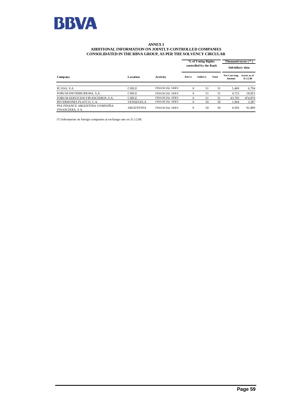

#### **ANNEX I ADDITIONAL INFORMATION ON JOINTLY-CONTROLLED COMPANIES CONSOLIDATED IN THE BBVA GROUP, AS PER THE SOLVENCY CIRCULAR**

|                                                    |                  |                        |               | % of Voting Rights<br>controlled by the Bank |       |                        | Thousand euros (*)<br>Subsidiary data |  |
|----------------------------------------------------|------------------|------------------------|---------------|----------------------------------------------|-------|------------------------|---------------------------------------|--|
| Company                                            | Location         | Activity               | <b>Direct</b> | <b>Indirect</b>                              | Total | Net Carrying<br>Amount | Assets as of<br>31.12.08              |  |
| ECASA, S.A.                                        | <b>CHILE</b>     | <b>FINANCIAL SERV.</b> | $\Omega$      | 51                                           | 51    | 5.469                  | 6,794                                 |  |
| FORUM DISTRIBUIDORA, S.A.                          | <b>CHILE</b>     | <b>FINANCIAL SERV.</b> | $\Omega$      | 51                                           | 51    | 4.723                  | 18,825                                |  |
| FORUM SERVICIOS FINANCIEROS, S.A.                  | <b>CHILE</b>     | <b>FINANCIAL SERV.</b> | $\Omega$      | 51                                           | 51    | 43.705                 | 474,870                               |  |
| <b>INVERSIONES PLATCO, C.A.</b>                    | VENEZUELA        | <b>FINANCIAL SERV.</b> |               | 50                                           | 50    | 1.004                  | 3,287                                 |  |
| PSA FINANCE ARGENTINA COMPAÑIA<br>FINANCIERA, S.A. | <b>ARGENTINA</b> | FINANCIAL SERV.        | $\Omega$      | 50                                           | 50    | 6.926                  | 92,089                                |  |

(\*) Information on foreign companies at exchange rate on 31.12.08.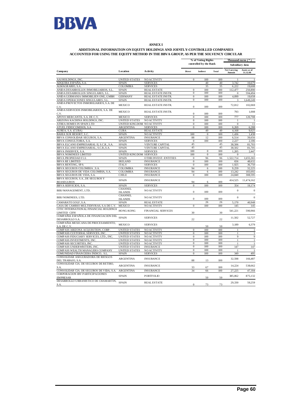

#### **ANNEX I**

#### **ADDITIONAL INFORMATION ON EQUITY HOLDINGS AND JOINTLY-CONTROLLED COMPANIES ACCOUNTED FOR USING THE EQUITY METHOD IN THE BBVA GROUP, AS PER THE SOLVENCY CIRCULAR**

|                                                                | % of Voting Rights                             |                           |                        |                  | Thousand euros ( * ) |                               |                          |  |
|----------------------------------------------------------------|------------------------------------------------|---------------------------|------------------------|------------------|----------------------|-------------------------------|--------------------------|--|
|                                                                |                                                |                           | controlled by the Bank |                  |                      |                               | Subsidiary data          |  |
| Company                                                        | Location                                       | <b>Activity</b>           | Direct                 | Indirect         | Total                | <b>Net Carrying</b><br>Amount | Assets as of<br>31.12.08 |  |
| AAI HOLDINGS, INC                                              | <b>UNITED STATES</b>                           | <b>NO ACTIVITY</b>        | $\mathbf{0}$           | 100              | 100                  | $\overline{1}$                | $\overline{1}$           |  |
| ADQUIRA ESPAÑA, S.A.                                           | <b>SPAIN</b>                                   | <b>SERVICES</b>           |                        | 40               | 40                   | 3,742                         | 10,679                   |  |
| ALMAGRARIO, S.A.                                               | <b>COLOMBIA</b>                                | <b>SERVICES</b>           |                        | 35               | 35                   | 6,222                         | 19,608                   |  |
| ANIDA DESARROLLOS INMOBILIARIOS, S.L.                          | <b>SPAIN</b>                                   | <b>REAL ESTATE</b>        | $\mathbf{0}$           | 100              | 100                  | 112,477                       | 250,890                  |  |
| ANIDA DESARROLLOS SINGULARES, S.L                              | <b>SPAIN</b>                                   | REAL ESTATE INSTR.        | $\mathbf{0}$           | 100              | 100                  | $\Omega$                      | 594.494                  |  |
| ANIDA GERMANIA IMMOBILIEN ONE, GMBH                            | <b>GERMANY</b>                                 | REAL ESTATE INSTR.        | $\overline{0}$         | 100              | 100                  | 4,099                         | 19,658                   |  |
| ANIDA OPERACIONES SINGULARES, S.L.                             | <b>SPAIN</b>                                   | REAL ESTATE INSTR.        | $\overline{0}$         | 100              | 100                  | 3                             | 1,649,249                |  |
| ANIDA PROYECTOS INMOBILIARIOS, S.A. DE<br>C.V                  | <b>MEXICO</b>                                  | REAL ESTATE INSTR.        | $\overline{0}$         | 100              | 100                  | 72,012                        | 102,069                  |  |
| ANIDA SERVICIOS INMOBILIARIOS, S.A. DE<br>C.V.                 | <b>MEXICO</b>                                  | REAL ESTATE INSTR.        | $\overline{0}$         | 100              | 100                  | 793                           | 1,008                    |  |
| APOYO MERCANTIL S.A. DE C.V.                                   | <b>MEXICO</b>                                  | <b>SERVICES</b>           | $\overline{0}$         | 100              | 100                  | 777                           | 120,708                  |  |
| ARIZONA KACHINA HOLDINGS, INC.                                 | <b>UNITED STATES</b>                           | <b>NO ACTIVITY</b>        | $\mathbf{0}$           | 100              | 100                  | $\overline{1}$                | $\overline{1}$           |  |
| ATREA HOMES IN SPAIN LTD                                       | UNITED KINGDOM NO ACTIVITY                     |                           | $\overline{0}$         | 100              | 100                  | $\overline{0}$                | 11                       |  |
| ATUEL FIDEICOMISOS, S.A.                                       | <b>ARGENTINA</b>                               | <b>SERVICES</b>           | $\theta$               | 100              | 100                  | 6.269                         | 6.288                    |  |
| AUREA, S.A. (CUBA)                                             | CUBA                                           | <b>REAL ESTATE</b>        |                        | 49               | 49                   | 4,168                         | 9,025                    |  |
| <b>BAHIA SUR RESORT, S.C.</b>                                  | <b>SPAIN</b>                                   | <b>NO ACTIVITY</b>        | 100                    | $\overline{0}$   | 100                  | 1.436                         | 1,438                    |  |
| BBVA CONSOLIDAR SEGUROS, S.A.                                  | <b>ARGENTINA</b>                               | <b>INSURANCE</b>          | 88                     | 12               | 100                  | 6,514                         | 39,656                   |  |
|                                                                | <b>SPAIN</b>                                   | <b>SERVICES</b>           | $\mathbf{0}$           | 100              | 100                  | 2.227                         | 2,186                    |  |
| BBVA CONSULTORIA, S.A.                                         | <b>SPAIN</b>                                   | <b>VENTURE CAPITAL</b>    | 45                     |                  | 45                   | 38,506                        | 81,703                   |  |
| BBVA ELCANO EMPRESARIAL II, S.C.R., S.A.                       | <b>SPAIN</b>                                   | <b>VENTURE CAPITAL</b>    | 45                     |                  | 45                   | 38.502                        |                          |  |
| BBVA ELCANO EMPRESARIAL, S.C.R.,S.A.<br>BBVA INSERVEX, S.A.    |                                                | <b>SERVICES</b>           | 100                    | $\boldsymbol{0}$ | 100                  | 1,205                         | 81,705<br>2,447          |  |
|                                                                | <b>SPAIN</b><br><b>UNITED KINGDOM SERVICES</b> |                           | 100                    | $\overline{0}$   | 100                  | $\Omega$                      |                          |  |
| BBVA NOMINEES LIMITED                                          | <b>SPAIN</b>                                   |                           | $\mathbf{0}$           | 96               | 96                   | 1,522,714                     | 1,655,365                |  |
| BBVA PROPIEDAD F.I.I.                                          |                                                | OTHR INVEST. ENTITIES     | $\overline{0}$         | 100              | 100                  |                               |                          |  |
| <b>BBVA RE LIMITED</b>                                         | <b>IRELAND</b>                                 | <b>INSURANCE</b>          | $\Omega$               |                  | 100                  | 656                           | 48,632                   |  |
| <b>BBVA RENTING, SPA</b>                                       | <b>ITALY</b>                                   | <b>SERVICES</b>           |                        | 100              |                      | 1,925                         | 36,750                   |  |
| <b>BBVA SEGUROS COLOMBIA, S.A.</b>                             | <b>COLOMBIA</b>                                | <b>INSURANCE</b>          | 94                     | 6                | 100                  | 9.259                         | 32,225                   |  |
| BBVA SEGUROS DE VIDA COLOMBIA, S.A.                            | <b>COLOMBIA</b>                                | <b>INSURANCE</b>          | 94                     | 6                | 100                  | 13,242                        | 183.692                  |  |
| BBVA SEGUROS DE VIDA, S.A.                                     | <b>CHILE</b>                                   | <b>INSURANCE</b>          | $\mathbf{0}$           | 100              | 100                  | 24,840                        | 308,595                  |  |
| BBVA SEGUROS, S.A., DE SEGUROS Y<br><b>REASEGUROS</b>          | <b>SPAIN</b>                                   | <b>INSURANCE</b>          | 94                     | 6                | 100                  | 414,525                       | 11,474,162               |  |
| <b>BBVA SERVICIOS, S.A.</b>                                    | <b>SPAIN</b>                                   | <b>SERVICES</b>           | $\Omega$               | 100              | 100                  | 354                           | 19,174                   |  |
| BIBJ MANAGEMENT, LTD.                                          | <b>CHANNEL</b><br><b>ISLANDS</b>               | <b>NO ACTIVITY</b>        | $\mathbf{0}$           | 100              | 100                  | $\mathbf{0}$                  | $\boldsymbol{0}$         |  |
| BIBJ NOMINEES, LTD.                                            | <b>CHANNEL</b><br><b>ISLANDS</b>               | <b>NO ACTIVITY</b>        | $\mathbf{0}$           | 100              | 100                  | $\mathbf{0}$                  | $\mathbf{0}$             |  |
| CAMARATE GOLF, S.A                                             | <b>SPAIN</b>                                   | <b>REAL ESTATE</b>        |                        | 26               | 26                   | 5.170                         | 40,948                   |  |
| CASA DE CAMBIO MULTIDIVISAS, S.A DEC.V.                        | <b>MEXICO</b>                                  | <b>NO ACTIVITY</b>        | $\mathbf{0}$           | 100              | 100                  | 145                           | 145                      |  |
| CITIC INTERNATION AL FINANCIAL HOLDINGS<br><b>LIMITED CIFH</b> | HONG-KONG                                      | <b>FINANCIAL SERVICES</b> | 30                     |                  | 30                   | 541,221                       | 590,966                  |  |
| COMPAÑIA ESPAÑOLA DE FINANCIACION DEL<br>DESARROLLO S.A.       | <b>SPAIN</b>                                   | <b>SERVICES</b>           | 22                     |                  | 22                   | 11,502                        | 52,727                   |  |
| COMPAÑIA MEXICANA DE PROCESAMIENTO,<br>S.A. DE C.V.            | <b>MEXICO</b>                                  | <b>SERVICES</b>           |                        | 50               | 50                   | 3,189                         | 6,379                    |  |
| COMPASS ARIZONA ACQUISITION, CORP.                             | <b>UNITED STATES</b>                           | NO ACTIVITY               | $\boldsymbol{0}$       | 100              | 100                  | $\mathbf{1}$                  | $\mathbf{1}$             |  |
| COMPASS CUSTODIAL SERVICES, INC                                | <b>UNITED STATES</b>                           | <b>NO ACTIVITY</b>        | $\mathbf{0}$           | 100              | 100                  | $\mathbf{1}$                  | $\mathbf{1}$             |  |
| COMPASS FIDUCIARY SERVICES, LTD., INC                          | <b>UNITED STATES</b>                           | NO ACTIVITY               | $\overline{0}$         | 100              | 100                  | $\overline{9}$                | $\overline{9}$           |  |
| COMPASS INVESTMENTS, INC.                                      | <b>UNITED STATES</b>                           | <b>NO ACTIVITY</b>        | $\mathbf{0}$           | 100              | 100                  | $\mathbf{1}$                  | $\mathbf{1}$             |  |
| COMPASS SECURITIES, INC.                                       | <b>UNITED STATES</b>                           | <b>NO ACTIVITY</b>        | $\overline{0}$         | 100              | 100                  | $\mathbf{1}$                  | $\mathbf{1}$             |  |
| COMPASS UNDER WRITERS, INC.                                    | <b>UNITED STATES</b>                           | <b>INSURANCE</b>          | $\mathbf{0}$           | 100              | 100                  | 147                           | 147                      |  |
| COMPASS WEALTH MANAGERS COMPANY                                | <b>UNITED STATES</b>                           | <b>NO ACTIVITY</b>        | $\overline{0}$         | 100              | 100                  |                               |                          |  |
| COMUNIDAD FINANCIERA ÍNDICO, S.L.                              | <b>SPAIN</b>                                   | <b>SERVICES</b>           | $\mathbf{0}$           | 100              | 100                  | 349                           | 495                      |  |
| CONSOLIDAR ASEGURADORA DE RIESGOS<br>DEL TRABAJO, S.A.         | <b>ARGENTINA</b>                               | <b>INSURANCE</b>          | 88                     | 13               | 100                  | 32,598                        | 166,487                  |  |
| CONSOLIDAR CIA. DE SEGUROS DE RETIRO,<br>S.A.                  | <b>ARGENTINA</b>                               | <b>INSURANCE</b>          | 33                     | 67               | 100                  | 14,224                        | 538,662                  |  |
| CONSOLIDAR CIA. DE SEGUROS DE VIDA, S.A.                       | <b>ARGENTINA</b>                               | <b>INSURANCE</b>          | 34                     | 66               | 100                  | 27,225                        | 47,184                   |  |
| CORPORACION IBV PARTICIPACIONES<br><b>EMPRESAR</b>             | <b>SPAIN</b>                                   | <b>PORTFOLIO</b>          |                        | 50               | 50                   | 385,062                       | 875,132                  |  |
| DESARROLLO URBANISTICO DE CHAMARTIN,<br>S.A.                   | <b>SPAIN</b>                                   | <b>REAL ESTATE</b>        | $\boldsymbol{0}$       | 73               | 73                   | 29,330                        | 59,259                   |  |
|                                                                |                                                |                           |                        |                  |                      |                               |                          |  |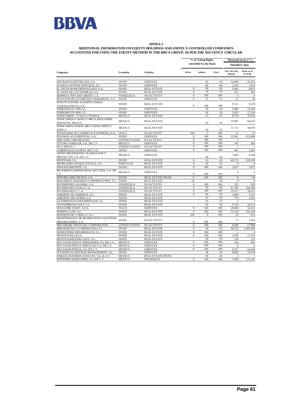

#### **ANNEX I ADDITIONAL INFORMATION ON EQUITY HOLDINGS AND JOINTLY-CONTROLLED COMPANIES ACCOUNTED FOR USING THE EQUITY METHOD IN THE BBVA GROUP, AS PER THE SOLVENCY CIRCULAR**

|                                                                    |                      |                    | % of Voting Rights<br>controlled by the Bank |              |       | Thousand euros (*)            |                          |  |
|--------------------------------------------------------------------|----------------------|--------------------|----------------------------------------------|--------------|-------|-------------------------------|--------------------------|--|
|                                                                    |                      | <b>Activity</b>    |                                              |              |       | Subsidiary data               |                          |  |
| Company                                                            | Location             |                    | Direct                                       | Indirect     | Total | <b>Net Carrying</b><br>Amount | Assets as of<br>31.12.08 |  |
| DISTRANSA RENTRUCKS, S.A.                                          | <b>SPAIN</b>         | <b>SERVICES</b>    |                                              | 43           | 43    | 14,994                        | 41,454                   |  |
| ECONTA GESTION INTEGRAL, S.L                                       | <b>SPAIN</b>         | <b>SERVICES</b>    |                                              | 60           | 60    | 2,745                         | 1,953                    |  |
| EL ENCINAR METROPOLITANO, S.A.                                     | <b>SPAIN</b>         | <b>REAL ESTATE</b> | $\mathbf{0}$                                 | 99           | 99    | 5,641                         | 9,057                    |  |
| EL OASIS DE LAS RAMBLAS, S.L                                       | <b>SPAIN</b>         | <b>REAL ESTATE</b> | $\mathbf{0}$                                 | 70           | 70    | 167                           | 493                      |  |
| EMPRESA INSTANT CREDIT, C.A.                                       | VENEZUELA            | NO ACTIVITY        | $\Omega$                                     | 100          | 100   | $\mathbf{0}$                  | $\boldsymbol{0}$         |  |
| ESTACION DE AUTOBUSES CHAMARTIN, S.A.                              | <b>SPAIN</b>         | <b>SERVICES</b>    | $\mathbf{0}$                                 | 51           | 51    | 31                            | 30                       |  |
| EXPLOTACIONES AGROPECUARIAS<br>VALDELAYEGUA, S.A.                  | <b>SPAIN</b>         | <b>REAL ESTATE</b> | $\mathbf{0}$                                 | 100          | 100   | 9,121                         | 9,128                    |  |
| FERROMOVIL 3000, S.L.                                              | <b>SPAIN</b>         | <b>SERVICES</b>    |                                              | 20           | 20    | 5,089                         | 25,444                   |  |
| FERROMOVIL 9000, S.L.                                              | <b>SPAIN</b>         | <b>SERVICES</b>    |                                              | 20           | 20    | 3.453                         | 17.264                   |  |
| FIDEICOMISO F/70191-2 PUEBLA                                       | MEXICO               | <b>REAL ESTATE</b> |                                              | 25           | 25    | 8,778                         | 47,526                   |  |
| FIDEICOMISO F 403853 5 BBVA BANCOMER<br>SERVICIOS ZIBATA           | <b>MEXICO</b>        | <b>REAL ESTATE</b> |                                              | 30           | 30    | 19,807                        | 66,025                   |  |
| FIDEICOMISO HARES BBVA BANCOMER F/<br>47997-2                      | <b>MEXICO</b>        | <b>REAL ESTATE</b> |                                              | 50           | 50    | 11.713                        | 30.070                   |  |
| FINANCEIRA DO COMERCIO EXTERIOR S.A.R.                             | <b>ITALY</b>         | <b>NO ACTIVITY</b> | 100                                          | $\mathbf{0}$ | 100   | 51                            | 37                       |  |
| FINANZIA AUTORENTING, S.A.                                         | <b>SPAIN</b>         | <b>SERVICES</b>    | $\mathbf{0}$                                 | 100          | 100   | 33,561                        | 651,086                  |  |
| FIRS TIER CORPORATION                                              | <b>UNITED STATES</b> | <b>NO ACTIVITY</b> | $\mathbf{0}$                                 | 100          | 100   |                               | -1                       |  |
| FUTURO FAMILIAR, S.A. DE C.V.                                      | <b>MEXICO</b>        | <b>SERVICES</b>    | $\mathbf{0}$                                 | 100          | 100   | 191                           | 483                      |  |
| FW CAPITAL I                                                       | <b>UNITED STATES</b> | <b>NO ACTIVITY</b> | $\mathbf{0}$                                 | 100          | 100   | $\mathbf{1}$                  | -1                       |  |
| GOBERNALIA GLOBAL NET, S.A.                                        | <b>SPAIN</b>         | <b>SERVICES</b>    | $\mathbf{0}$                                 | 100          | 100   | 947                           | 2.491                    |  |
| GRUPO PROFESIONAL PLANEACION Y<br>PROYECTOS, S.A. DE C.V.          | <b>MEXICO</b>        | <b>SERVICES</b>    |                                              | 44           | 44    | 7,063                         | 9,188                    |  |
| HESTENAR, S.L.                                                     | <b>SPAIN</b>         | <b>REAL ESTATE</b> | $\mathbf{0}$                                 | 43           | 43    | 48,715                        | 105,290                  |  |
| IMOBILIARIA DUQUE D'AVILA, S.A.                                    | PORTUGAL             | <b>REAL ESTATE</b> | $\overline{0}$                               | 50           | 50    | $\mathbf{0}$                  | $\overline{0}$           |  |
| INENSUR BRUNETE, S.L.                                              | <b>SPAIN</b>         | <b>REAL ESTATE</b> | $\mathbf{0}$                                 | 100          | 100   | 3,657                         | 3,812                    |  |
| INGENIERIA EMPRESARIAL MULTIBA, S.A. DE<br>C.V.                    | MEXICO               | <b>SERVICES</b>    | $\Omega$                                     | 100          | 100   | $\boldsymbol{0}$              | $\mathbf{0}$             |  |
| <b>INMOBILIARIA BILBAO, S.A.</b>                                   | <b>SPAIN</b>         | REAL ESTATE INSTR. | $\Omega$                                     | 100          | 100   | $\mathbf{0}$                  | 50                       |  |
| INMUEBLES MADARIAGA PROMOCIONES, S.L.                              | <b>SPAIN</b>         | <b>REAL ESTATE</b> | 50                                           |              | 50    | $\mathbf{0}$                  | $\mathbf{0}$             |  |
| INVERSIONES ALDAMA, C.A.                                           | VENEZUELA            | <b>NO ACTIVITY</b> | $\Omega$                                     | 100          | 100   | 255                           | 503                      |  |
| INVERSIONES P.H.R.4, C.A.                                          | VENEZUELA            | <b>NO ACTIVITY</b> | $\overline{0}$                               | 60           | 60    | 67,785                        | 202,340                  |  |
| INVERSIONES T, C.A.                                                | VENEZUELA            | NO ACTIVITY        | $\mathbf{0}$                                 | 100          | 100   | 19,071                        | 58,547                   |  |
| JARDINES DE SARRIENA, S.L.                                         | <b>SPAIN</b>         | <b>REAL ESTATE</b> | $\mathbf{0}$                                 | 85           | 85    | 2,869                         | 7,551                    |  |
| JARDINES DEL RUBIN, S.A.                                           | <b>SPAIN</b>         | <b>REAL ESTATE</b> |                                              | 50           | 50    | 779                           | 1,391                    |  |
| LA ESMERALDA DESARROLLOS, S.L.                                     | <b>SPAIN</b>         | <b>REAL ESTATE</b> |                                              | 25           | 25    |                               | $\mathbf{1}$             |  |
| LAS PEDRAZAS GOLF, S.L.                                            | <b>SPAIN</b>         | <b>REAL ESTATE</b> |                                              | 50           | 50    | 9.724                         | 34.572                   |  |
| MAGGIORE FLEET, S.P.A.                                             | <b>ITALY</b>         | <b>SERVICES</b>    | $\mathbf{0}$                                 | 100          | 100   | 20,000                        | 56,323                   |  |
| MARINA LLAR, S.L.                                                  | <b>SPAIN</b>         | <b>REAL ESTATE</b> | $\mathbf{0}$                                 | 100          | 100   | 21.154                        | 101,228                  |  |
| MARQUES DE CUBAS 21, S.L.                                          | <b>SPAIN</b>         | <b>REAL ESTATE</b> | 100                                          | $\mathbf{0}$ | 100   | 32                            | 614                      |  |
| MEDITERRANIA DE PROMOCIONS I GESTIONS<br><b>INMOBILIARIES, S.A</b> | <b>SPAIN</b>         | <b>NO ACTIVITY</b> | $\Omega$                                     | 100          | 100   | 17                            | 1,059                    |  |
| MEGABANK FINANCIAL CORPORATION                                     | <b>UNITED STATES</b> | <b>NO ACTIVITY</b> | $\mathbf{0}$                                 | 100          | 100   | 8,298                         | 17,808                   |  |
| MIRADOR DE LA CARRASCOSA, S.L.                                     | <b>SPAIN</b>         | <b>REAL ESTATE</b> | $\Omega$                                     | 56           | 56    | 98,732                        | 1,395,384                |  |
| MONESTERIO DESARROLLOS, S.L.                                       | <b>SPAIN</b>         | <b>REAL ESTATE</b> | $\mathbf{0}$                                 | 100          | 100   | $\mathbf{1}$                  | $\mathbf{0}$             |  |
| MONTEALIAGA,S.A                                                    | <b>SPAIN</b>         | <b>REAL ESTATE</b> | $\Omega$                                     | 100          | 100   | 3,639                         | 11,753                   |  |
| MONTEALMENARA GOLF, S.L                                            | <b>SPAIN</b>         | <b>REAL ESTATE</b> |                                              | 50           | 50    | 139                           | 125                      |  |
| MULTIASISTENCIA OPERADORA S.A. DE C.V.                             | MEXICO               | <b>SERVICES</b>    | $\mathbf{0}$                                 | 100          | 100   | 254                           | 441                      |  |
| MULTIASISTENCIA SERVICIOS S.A. DE C.V.                             | MEXICO               | <b>SERVICES</b>    | $\mathbf{0}$                                 | 100          | 100   | $\mathbf{0}$                  | $\mathbf{0}$             |  |
| MULTIAS IS TENCIA, S.A. DE C.V.                                    | MEXICO               | <b>SERVICES</b>    | $\Omega$                                     | 100          | 100   | 9,317                         | 24,194                   |  |
| OCCIDENTAL HOTELES MANAGEMENT, S.L.                                | <b>SPAIN</b>         | <b>SERVICES</b>    |                                              | 58           | 58    | 8,858                         | 10,538                   |  |
| PARQUE REFORMA SANTA FE, S.A. de C.V.                              | <b>MEXICO</b>        | REAL ESTATE INSTR. |                                              | 30           | 30    |                               | 1                        |  |
| PENSIONES BANCOMER, S.A. DE C.V.                                   | MEXICO               | <b>INSURANCE</b>   | $\mathbf{0}$                                 | 100          | 100   | 7,830                         | 121,181                  |  |
|                                                                    |                      |                    |                                              |              |       |                               |                          |  |